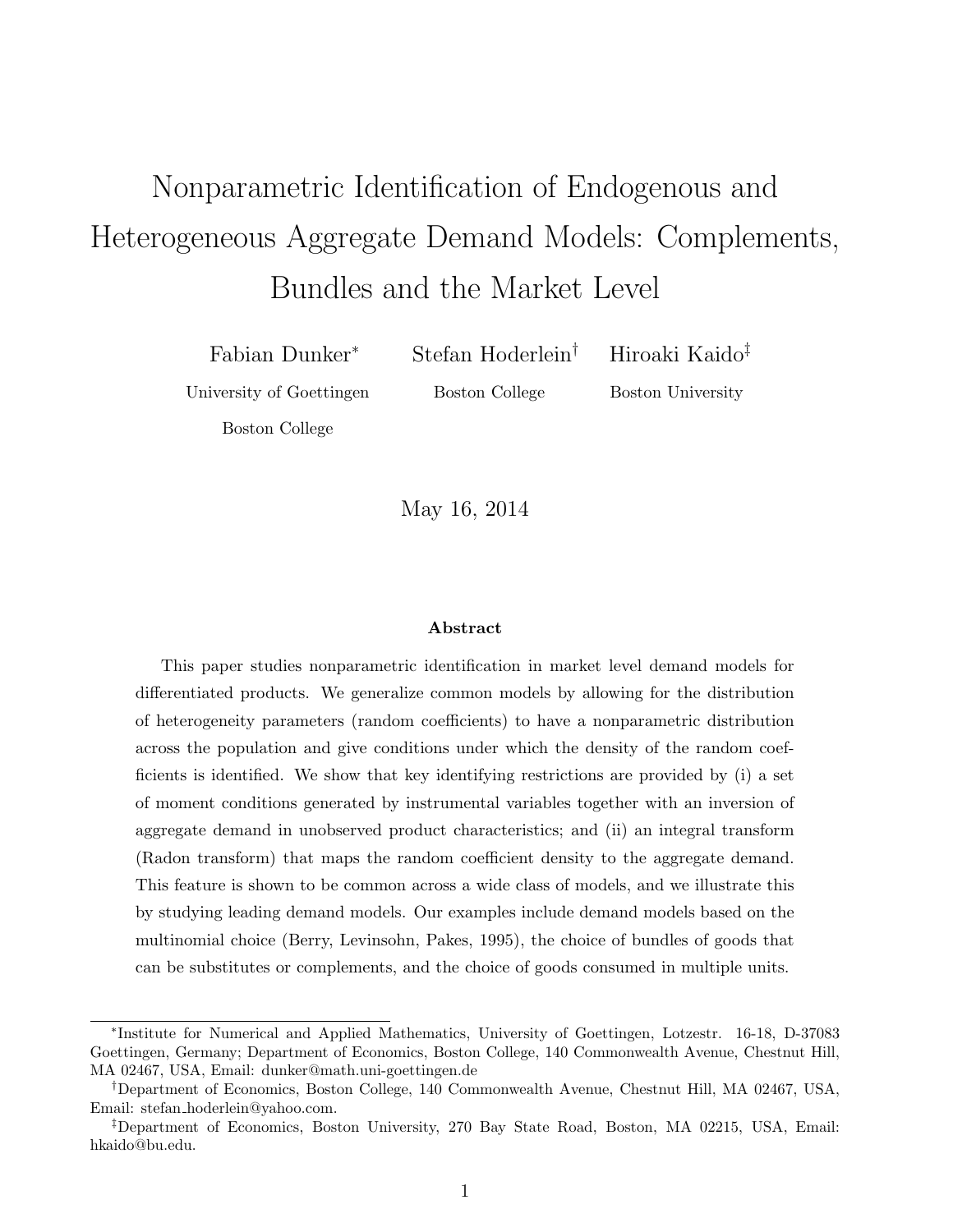# Nonparametric Identification of Endogenous and Heterogeneous Aggregate Demand Models: Complements, Bundles and the Market Level

Fabian Dunker<sup>∗</sup> Stefan Hoderlein† Hiroaki Kaido‡

University of Goettingen Boston College Boston University

Boston College

May 16, 2014

#### Abstract

This paper studies nonparametric identification in market level demand models for differentiated products. We generalize common models by allowing for the distribution of heterogeneity parameters (random coefficients) to have a nonparametric distribution across the population and give conditions under which the density of the random coefficients is identified. We show that key identifying restrictions are provided by (i) a set of moment conditions generated by instrumental variables together with an inversion of aggregate demand in unobserved product characteristics; and (ii) an integral transform (Radon transform) that maps the random coefficient density to the aggregate demand. This feature is shown to be common across a wide class of models, and we illustrate this by studying leading demand models. Our examples include demand models based on the multinomial choice (Berry, Levinsohn, Pakes, 1995), the choice of bundles of goods that can be substitutes or complements, and the choice of goods consumed in multiple units.

<sup>∗</sup> Institute for Numerical and Applied Mathematics, University of Goettingen, Lotzestr. 16-18, D-37083 Goettingen, Germany; Department of Economics, Boston College, 140 Commonwealth Avenue, Chestnut Hill, MA 02467, USA, Email: dunker@math.uni-goettingen.de

<sup>†</sup>Department of Economics, Boston College, 140 Commonwealth Avenue, Chestnut Hill, MA 02467, USA, Email: stefan hoderlein@yahoo.com.

<sup>‡</sup>Department of Economics, Boston University, 270 Bay State Road, Boston, MA 02215, USA, Email: hkaido@bu.edu.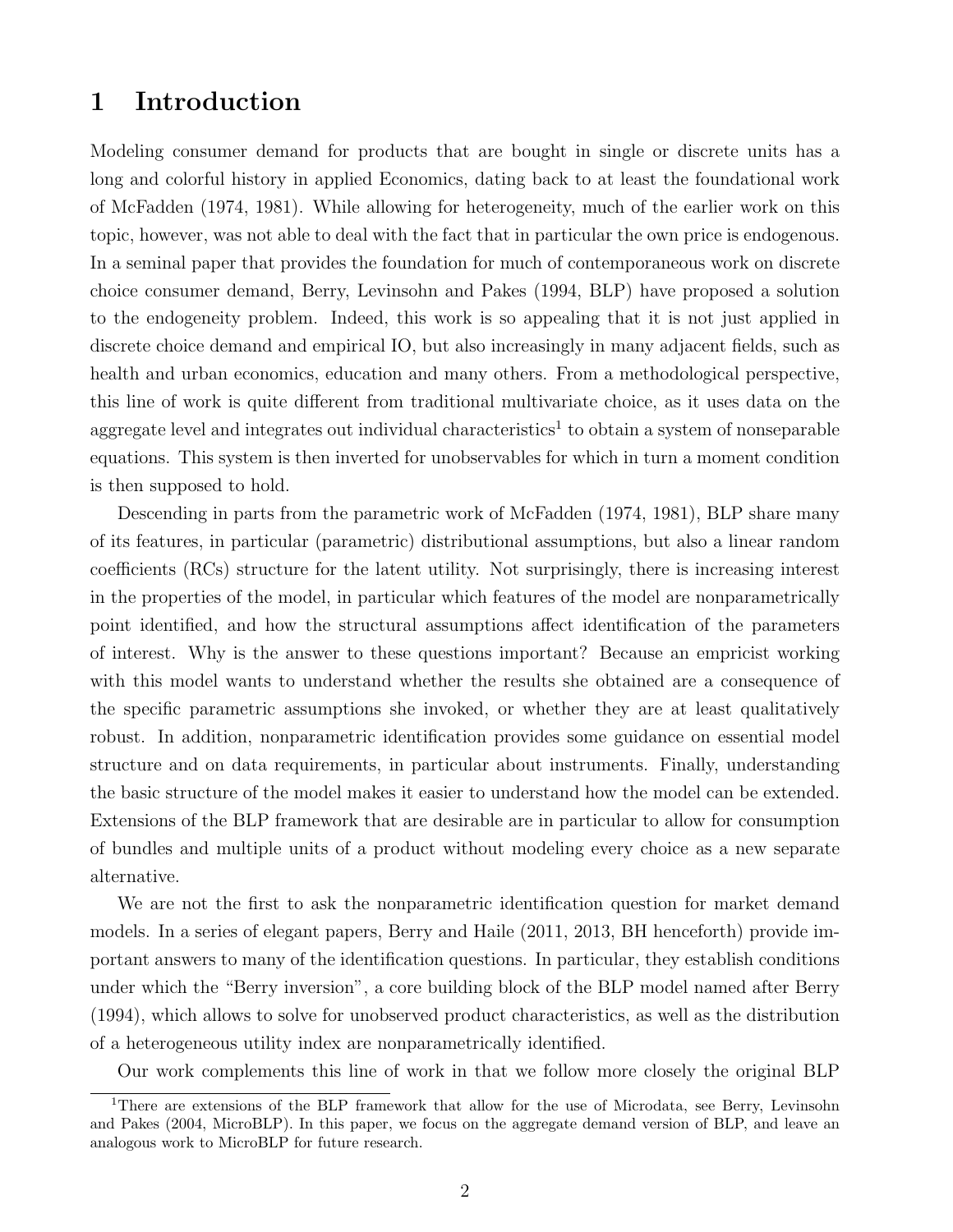## 1 Introduction

Modeling consumer demand for products that are bought in single or discrete units has a long and colorful history in applied Economics, dating back to at least the foundational work of McFadden (1974, 1981). While allowing for heterogeneity, much of the earlier work on this topic, however, was not able to deal with the fact that in particular the own price is endogenous. In a seminal paper that provides the foundation for much of contemporaneous work on discrete choice consumer demand, Berry, Levinsohn and Pakes (1994, BLP) have proposed a solution to the endogeneity problem. Indeed, this work is so appealing that it is not just applied in discrete choice demand and empirical IO, but also increasingly in many adjacent fields, such as health and urban economics, education and many others. From a methodological perspective, this line of work is quite different from traditional multivariate choice, as it uses data on the aggregate level and integrates out individual characteristics<sup>1</sup> to obtain a system of nonseparable equations. This system is then inverted for unobservables for which in turn a moment condition is then supposed to hold.

Descending in parts from the parametric work of McFadden (1974, 1981), BLP share many of its features, in particular (parametric) distributional assumptions, but also a linear random coefficients (RCs) structure for the latent utility. Not surprisingly, there is increasing interest in the properties of the model, in particular which features of the model are nonparametrically point identified, and how the structural assumptions affect identification of the parameters of interest. Why is the answer to these questions important? Because an empricist working with this model wants to understand whether the results she obtained are a consequence of the specific parametric assumptions she invoked, or whether they are at least qualitatively robust. In addition, nonparametric identification provides some guidance on essential model structure and on data requirements, in particular about instruments. Finally, understanding the basic structure of the model makes it easier to understand how the model can be extended. Extensions of the BLP framework that are desirable are in particular to allow for consumption of bundles and multiple units of a product without modeling every choice as a new separate alternative.

We are not the first to ask the nonparametric identification question for market demand models. In a series of elegant papers, Berry and Haile (2011, 2013, BH henceforth) provide important answers to many of the identification questions. In particular, they establish conditions under which the "Berry inversion", a core building block of the BLP model named after Berry (1994), which allows to solve for unobserved product characteristics, as well as the distribution of a heterogeneous utility index are nonparametrically identified.

Our work complements this line of work in that we follow more closely the original BLP

<sup>&</sup>lt;sup>1</sup>There are extensions of the BLP framework that allow for the use of Microdata, see Berry, Levinsohn and Pakes (2004, MicroBLP). In this paper, we focus on the aggregate demand version of BLP, and leave an analogous work to MicroBLP for future research.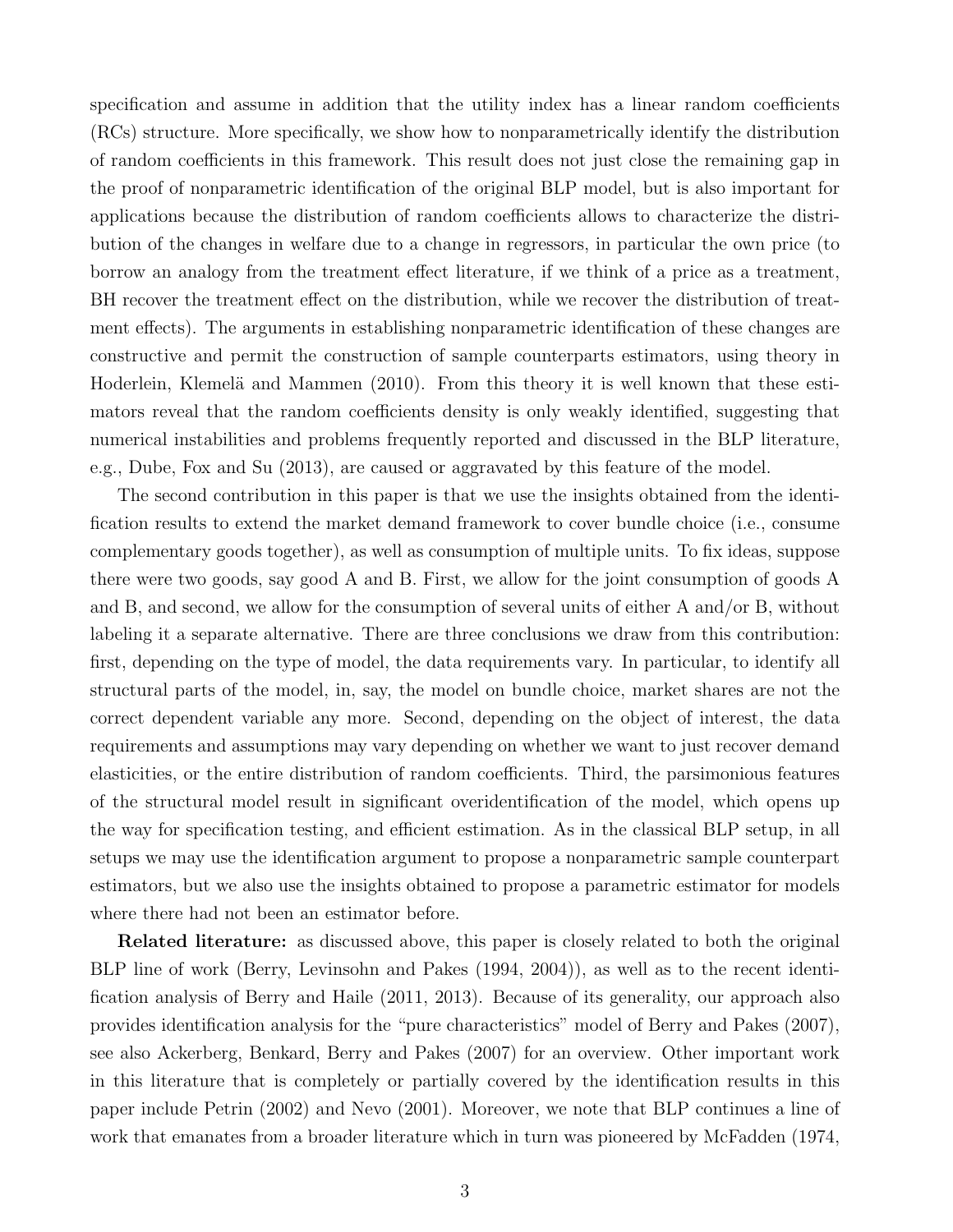specification and assume in addition that the utility index has a linear random coefficients (RCs) structure. More specifically, we show how to nonparametrically identify the distribution of random coefficients in this framework. This result does not just close the remaining gap in the proof of nonparametric identification of the original BLP model, but is also important for applications because the distribution of random coefficients allows to characterize the distribution of the changes in welfare due to a change in regressors, in particular the own price (to borrow an analogy from the treatment effect literature, if we think of a price as a treatment, BH recover the treatment effect on the distribution, while we recover the distribution of treatment effects). The arguments in establishing nonparametric identification of these changes are constructive and permit the construction of sample counterparts estimators, using theory in Hoderlein, Klemelä and Mammen (2010). From this theory it is well known that these estimators reveal that the random coefficients density is only weakly identified, suggesting that numerical instabilities and problems frequently reported and discussed in the BLP literature, e.g., Dube, Fox and Su (2013), are caused or aggravated by this feature of the model.

The second contribution in this paper is that we use the insights obtained from the identification results to extend the market demand framework to cover bundle choice (i.e., consume complementary goods together), as well as consumption of multiple units. To fix ideas, suppose there were two goods, say good A and B. First, we allow for the joint consumption of goods A and B, and second, we allow for the consumption of several units of either A and/or B, without labeling it a separate alternative. There are three conclusions we draw from this contribution: first, depending on the type of model, the data requirements vary. In particular, to identify all structural parts of the model, in, say, the model on bundle choice, market shares are not the correct dependent variable any more. Second, depending on the object of interest, the data requirements and assumptions may vary depending on whether we want to just recover demand elasticities, or the entire distribution of random coefficients. Third, the parsimonious features of the structural model result in significant overidentification of the model, which opens up the way for specification testing, and efficient estimation. As in the classical BLP setup, in all setups we may use the identification argument to propose a nonparametric sample counterpart estimators, but we also use the insights obtained to propose a parametric estimator for models where there had not been an estimator before.

Related literature: as discussed above, this paper is closely related to both the original BLP line of work (Berry, Levinsohn and Pakes (1994, 2004)), as well as to the recent identification analysis of Berry and Haile (2011, 2013). Because of its generality, our approach also provides identification analysis for the "pure characteristics" model of Berry and Pakes (2007), see also Ackerberg, Benkard, Berry and Pakes (2007) for an overview. Other important work in this literature that is completely or partially covered by the identification results in this paper include Petrin (2002) and Nevo (2001). Moreover, we note that BLP continues a line of work that emanates from a broader literature which in turn was pioneered by McFadden (1974,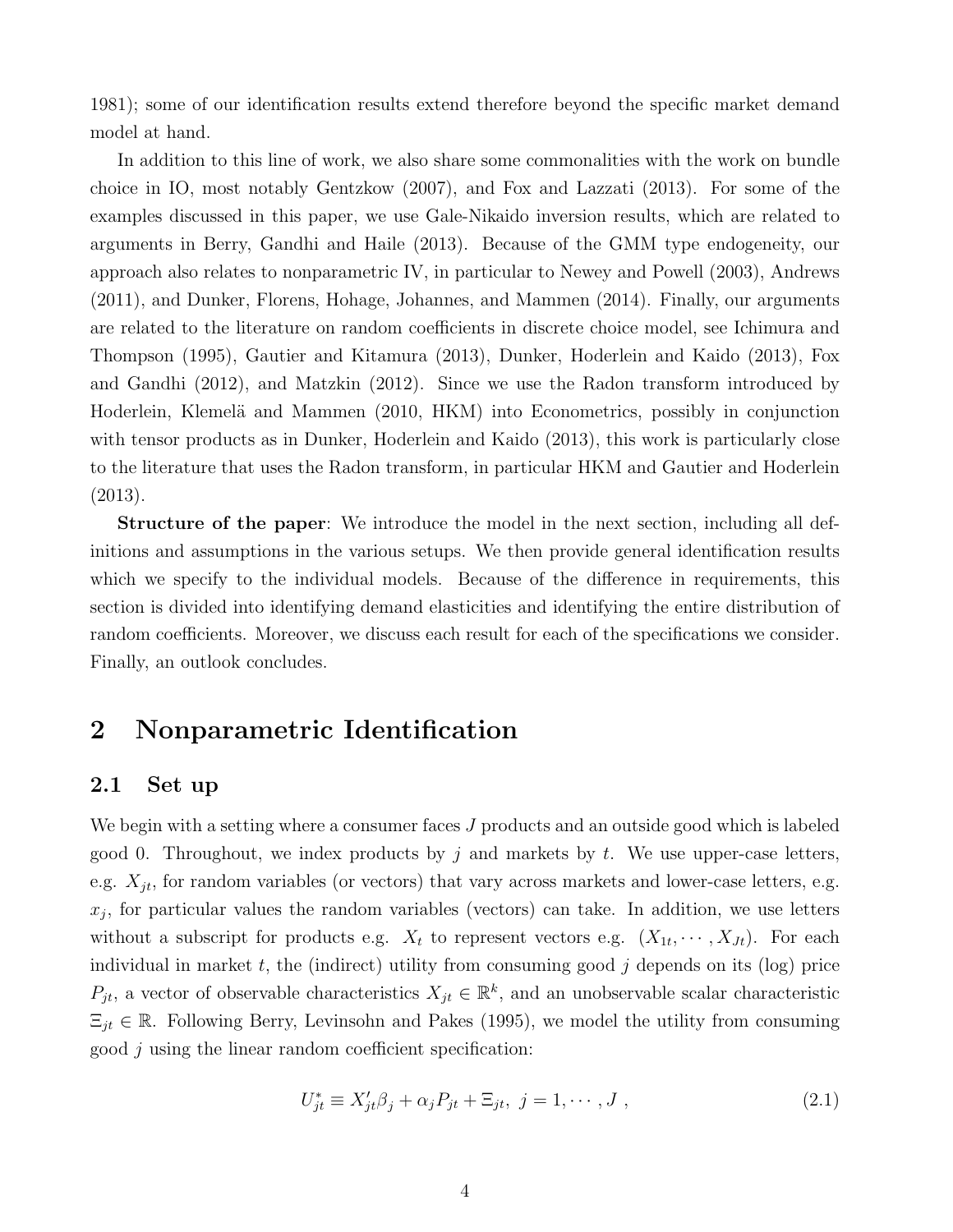1981); some of our identification results extend therefore beyond the specific market demand model at hand.

In addition to this line of work, we also share some commonalities with the work on bundle choice in IO, most notably Gentzkow (2007), and Fox and Lazzati (2013). For some of the examples discussed in this paper, we use Gale-Nikaido inversion results, which are related to arguments in Berry, Gandhi and Haile (2013). Because of the GMM type endogeneity, our approach also relates to nonparametric IV, in particular to Newey and Powell (2003), Andrews (2011), and Dunker, Florens, Hohage, Johannes, and Mammen (2014). Finally, our arguments are related to the literature on random coefficients in discrete choice model, see Ichimura and Thompson (1995), Gautier and Kitamura (2013), Dunker, Hoderlein and Kaido (2013), Fox and Gandhi (2012), and Matzkin (2012). Since we use the Radon transform introduced by Hoderlein, Klemelä and Mammen (2010, HKM) into Econometrics, possibly in conjunction with tensor products as in Dunker, Hoderlein and Kaido  $(2013)$ , this work is particularly close to the literature that uses the Radon transform, in particular HKM and Gautier and Hoderlein (2013).

Structure of the paper: We introduce the model in the next section, including all definitions and assumptions in the various setups. We then provide general identification results which we specify to the individual models. Because of the difference in requirements, this section is divided into identifying demand elasticities and identifying the entire distribution of random coefficients. Moreover, we discuss each result for each of the specifications we consider. Finally, an outlook concludes.

# 2 Nonparametric Identification

## 2.1 Set up

We begin with a setting where a consumer faces  $J$  products and an outside good which is labeled good 0. Throughout, we index products by j and markets by t. We use upper-case letters, e.g.  $X_{it}$ , for random variables (or vectors) that vary across markets and lower-case letters, e.g.  $x_j$ , for particular values the random variables (vectors) can take. In addition, we use letters without a subscript for products e.g.  $X_t$  to represent vectors e.g.  $(X_{1t}, \dots, X_{Jt})$ . For each individual in market  $t$ , the (indirect) utility from consuming good  $j$  depends on its (log) price  $P_{jt}$ , a vector of observable characteristics  $X_{jt} \in \mathbb{R}^k$ , and an unobservable scalar characteristic  $\Xi_{jt} \in \mathbb{R}$ . Following Berry, Levinsohn and Pakes (1995), we model the utility from consuming good j using the linear random coefficient specification:

$$
U_{jt}^{*} \equiv X_{jt}'\beta_j + \alpha_j P_{jt} + \Xi_{jt}, \ j = 1, \cdots, J \tag{2.1}
$$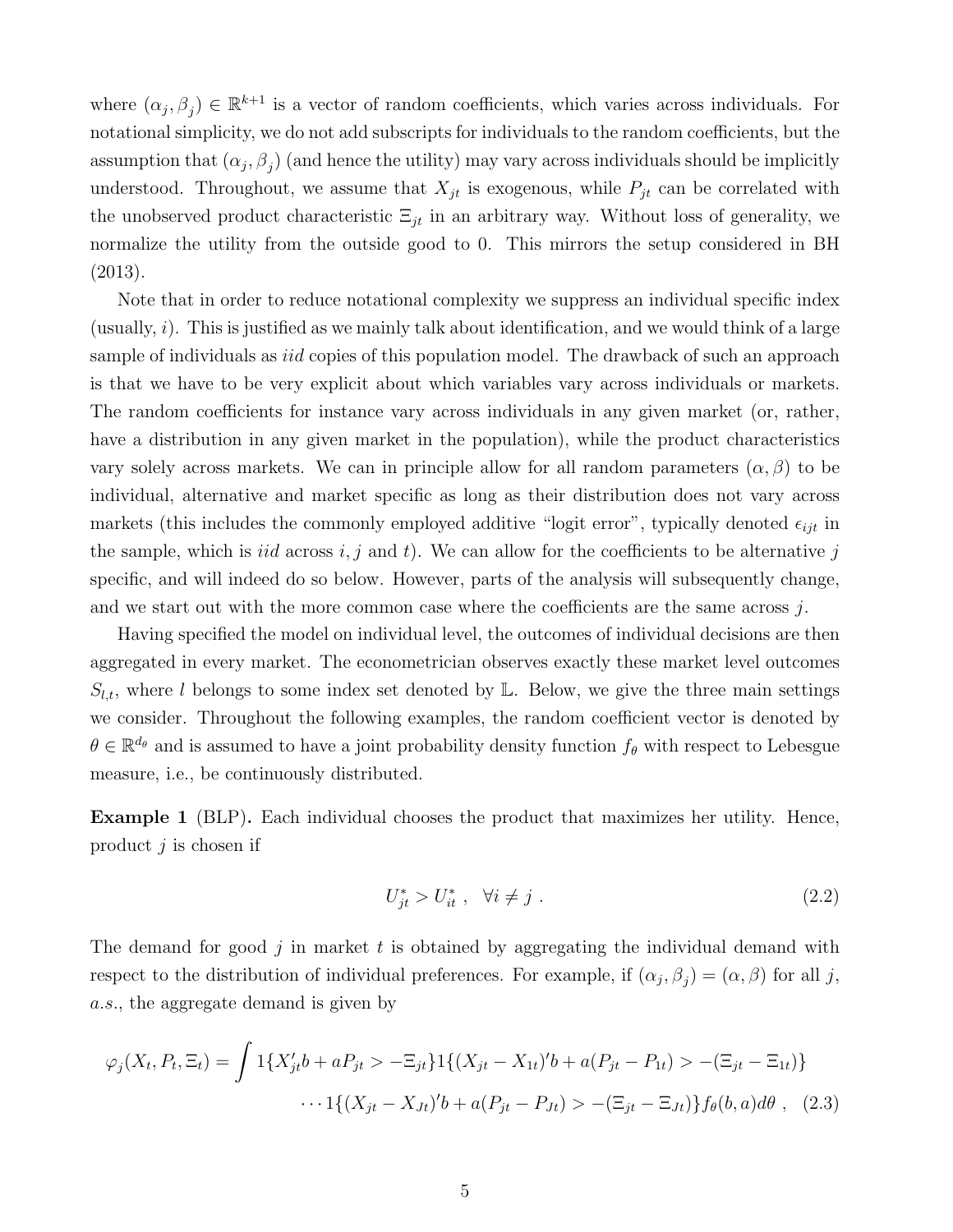where  $(\alpha_j, \beta_j) \in \mathbb{R}^{k+1}$  is a vector of random coefficients, which varies across individuals. For notational simplicity, we do not add subscripts for individuals to the random coefficients, but the assumption that  $(\alpha_j, \beta_j)$  (and hence the utility) may vary across individuals should be implicitly understood. Throughout, we assume that  $X_{jt}$  is exogenous, while  $P_{jt}$  can be correlated with the unobserved product characteristic  $\Xi_{jt}$  in an arbitrary way. Without loss of generality, we normalize the utility from the outside good to 0. This mirrors the setup considered in BH (2013).

Note that in order to reduce notational complexity we suppress an individual specific index (usually,  $i$ ). This is justified as we mainly talk about identification, and we would think of a large sample of individuals as *iid* copies of this population model. The drawback of such an approach is that we have to be very explicit about which variables vary across individuals or markets. The random coefficients for instance vary across individuals in any given market (or, rather, have a distribution in any given market in the population), while the product characteristics vary solely across markets. We can in principle allow for all random parameters  $(\alpha, \beta)$  to be individual, alternative and market specific as long as their distribution does not vary across markets (this includes the commonly employed additive "logit error", typically denoted  $\epsilon_{ijt}$  in the sample, which is *iid* across  $i, j$  and  $t$ ). We can allow for the coefficients to be alternative  $j$ specific, and will indeed do so below. However, parts of the analysis will subsequently change, and we start out with the more common case where the coefficients are the same across  $j$ .

Having specified the model on individual level, the outcomes of individual decisions are then aggregated in every market. The econometrician observes exactly these market level outcomes  $S_{l,t}$ , where l belongs to some index set denoted by L. Below, we give the three main settings we consider. Throughout the following examples, the random coefficient vector is denoted by  $\theta \in \mathbb{R}^{d_{\theta}}$  and is assumed to have a joint probability density function  $f_{\theta}$  with respect to Lebesgue measure, i.e., be continuously distributed.

Example 1 (BLP). Each individual chooses the product that maximizes her utility. Hence, product  $j$  is chosen if

$$
U_{jt}^* > U_{it}^*, \quad \forall i \neq j \tag{2.2}
$$

The demand for good j in market t is obtained by aggregating the individual demand with respect to the distribution of individual preferences. For example, if  $(\alpha_j, \beta_j) = (\alpha, \beta)$  for all j, a.s., the aggregate demand is given by

$$
\varphi_j(X_t, P_t, \Xi_t) = \int 1\{X'_{jt}b + aP_{jt} > -\Xi_{jt}\} 1\{(X_{jt} - X_{1t})'b + a(P_{jt} - P_{1t}) > -(\Xi_{jt} - \Xi_{1t})\}
$$

$$
\cdots 1\{(X_{jt} - X_{Jt})'b + a(P_{jt} - P_{Jt}) > -(\Xi_{jt} - \Xi_{Jt})\} f_{\theta}(b, a)d\theta , \quad (2.3)
$$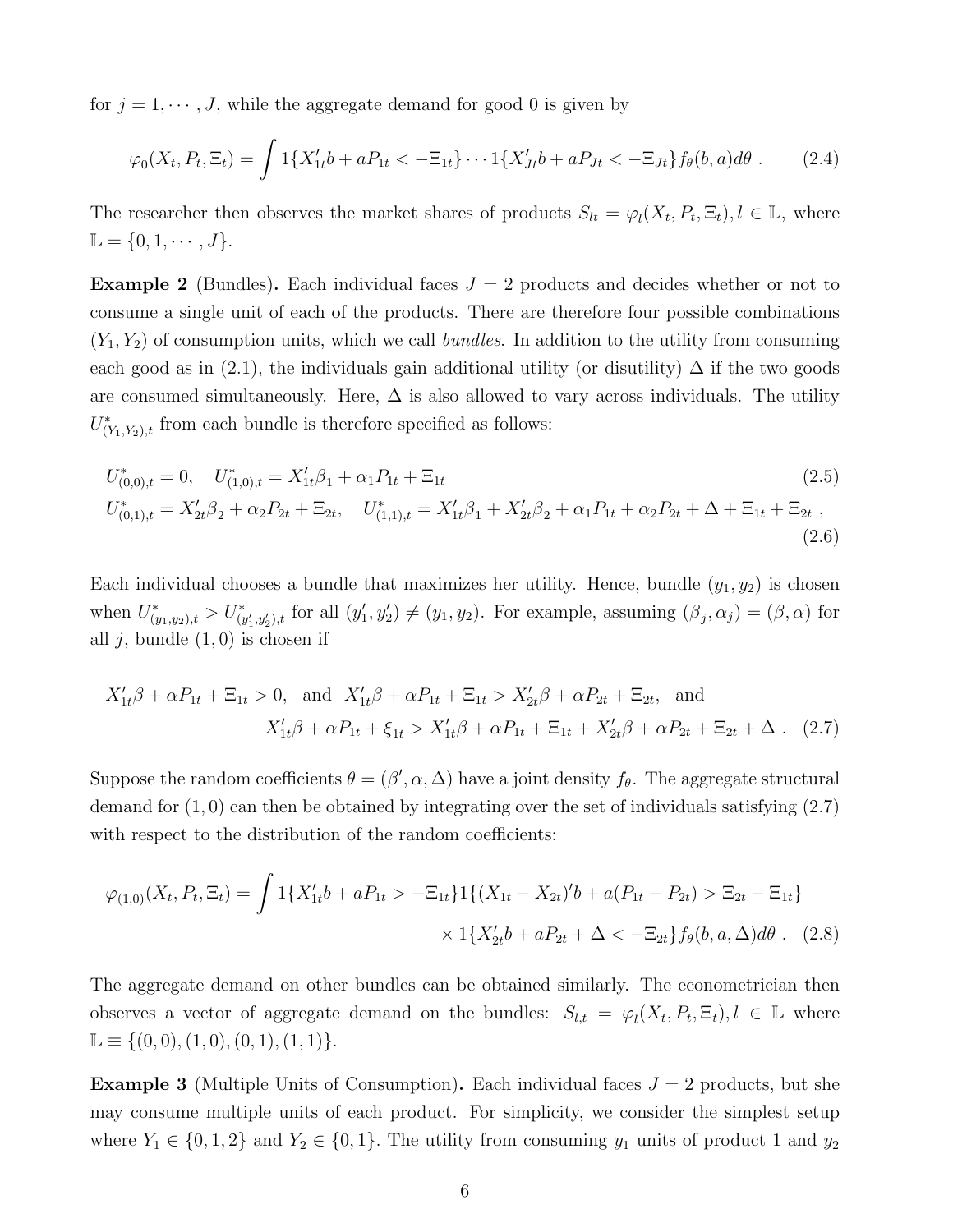for  $j = 1, \dots, J$ , while the aggregate demand for good 0 is given by

$$
\varphi_0(X_t, P_t, \Xi_t) = \int 1\{X'_{1t}b + aP_{1t} < -\Xi_{1t}\} \cdots 1\{X'_{Jt}b + aP_{Jt} < -\Xi_{Jt}\} f_\theta(b, a)d\theta. \tag{2.4}
$$

The researcher then observes the market shares of products  $S_{lt} = \varphi_l(X_t, P_t, \Xi_t)$ ,  $l \in \mathbb{L}$ , where  $\mathbb{L} = \{0, 1, \cdots, J\}.$ 

**Example 2** (Bundles). Each individual faces  $J = 2$  products and decides whether or not to consume a single unit of each of the products. There are therefore four possible combinations  $(Y_1, Y_2)$  of consumption units, which we call bundles. In addition to the utility from consuming each good as in (2.1), the individuals gain additional utility (or disutility)  $\Delta$  if the two goods are consumed simultaneously. Here,  $\Delta$  is also allowed to vary across individuals. The utility  $U^*_{(Y_1,Y_2),t}$  from each bundle is therefore specified as follows:

$$
U_{(0,0),t}^{*} = 0, \quad U_{(1,0),t}^{*} = X_{1t}'\beta_{1} + \alpha_{1}P_{1t} + \Xi_{1t}
$$
\n
$$
U_{(0,1),t}^{*} = X_{2t}'\beta_{2} + \alpha_{2}P_{2t} + \Xi_{2t}, \quad U_{(1,1),t}^{*} = X_{1t}'\beta_{1} + X_{2t}'\beta_{2} + \alpha_{1}P_{1t} + \alpha_{2}P_{2t} + \Delta + \Xi_{1t} + \Xi_{2t} \tag{2.6}
$$

Each individual chooses a bundle that maximizes her utility. Hence, bundle  $(y_1, y_2)$  is chosen when  $U^*_{(y_1, y_2), t} > U^*_{(y'_1, y'_2), t}$  for all  $(y'_1, y'_2) \neq (y_1, y_2)$ . For example, assuming  $(\beta_j, \alpha_j) = (\beta, \alpha)$  for all  $j$ , bundle  $(1, 0)$  is chosen if

$$
X'_{1t}\beta + \alpha P_{1t} + \Xi_{1t} > 0, \text{ and } X'_{1t}\beta + \alpha P_{1t} + \Xi_{1t} > X'_{2t}\beta + \alpha P_{2t} + \Xi_{2t}, \text{ and}
$$

$$
X'_{1t}\beta + \alpha P_{1t} + \xi_{1t} > X'_{1t}\beta + \alpha P_{1t} + \Xi_{1t} + X'_{2t}\beta + \alpha P_{2t} + \Xi_{2t} + \Delta. \quad (2.7)
$$

Suppose the random coefficients  $\theta = (\beta', \alpha, \Delta)$  have a joint density  $f_{\theta}$ . The aggregate structural demand for  $(1,0)$  can then be obtained by integrating over the set of individuals satisfying  $(2.7)$ with respect to the distribution of the random coefficients:

$$
\varphi_{(1,0)}(X_t, P_t, \Xi_t) = \int 1\{X'_{1t}b + aP_{1t} > -\Xi_{1t}\} 1\{(X_{1t} - X_{2t})'b + a(P_{1t} - P_{2t}) > \Xi_{2t} - \Xi_{1t}\}
$$

$$
\times 1\{X'_{2t}b + aP_{2t} + \Delta < -\Xi_{2t}\} f_\theta(b, a, \Delta)d\theta. \tag{2.8}
$$

The aggregate demand on other bundles can be obtained similarly. The econometrician then observes a vector of aggregate demand on the bundles:  $S_{l,t} = \varphi_l(X_t, P_t, \Xi_t), l \in \mathbb{L}$  where  $\mathbb{L} \equiv \{(0,0), (1,0), (0,1), (1, 1)\}.$ 

**Example 3** (Multiple Units of Consumption). Each individual faces  $J = 2$  products, but she may consume multiple units of each product. For simplicity, we consider the simplest setup where  $Y_1 \in \{0, 1, 2\}$  and  $Y_2 \in \{0, 1\}$ . The utility from consuming  $y_1$  units of product 1 and  $y_2$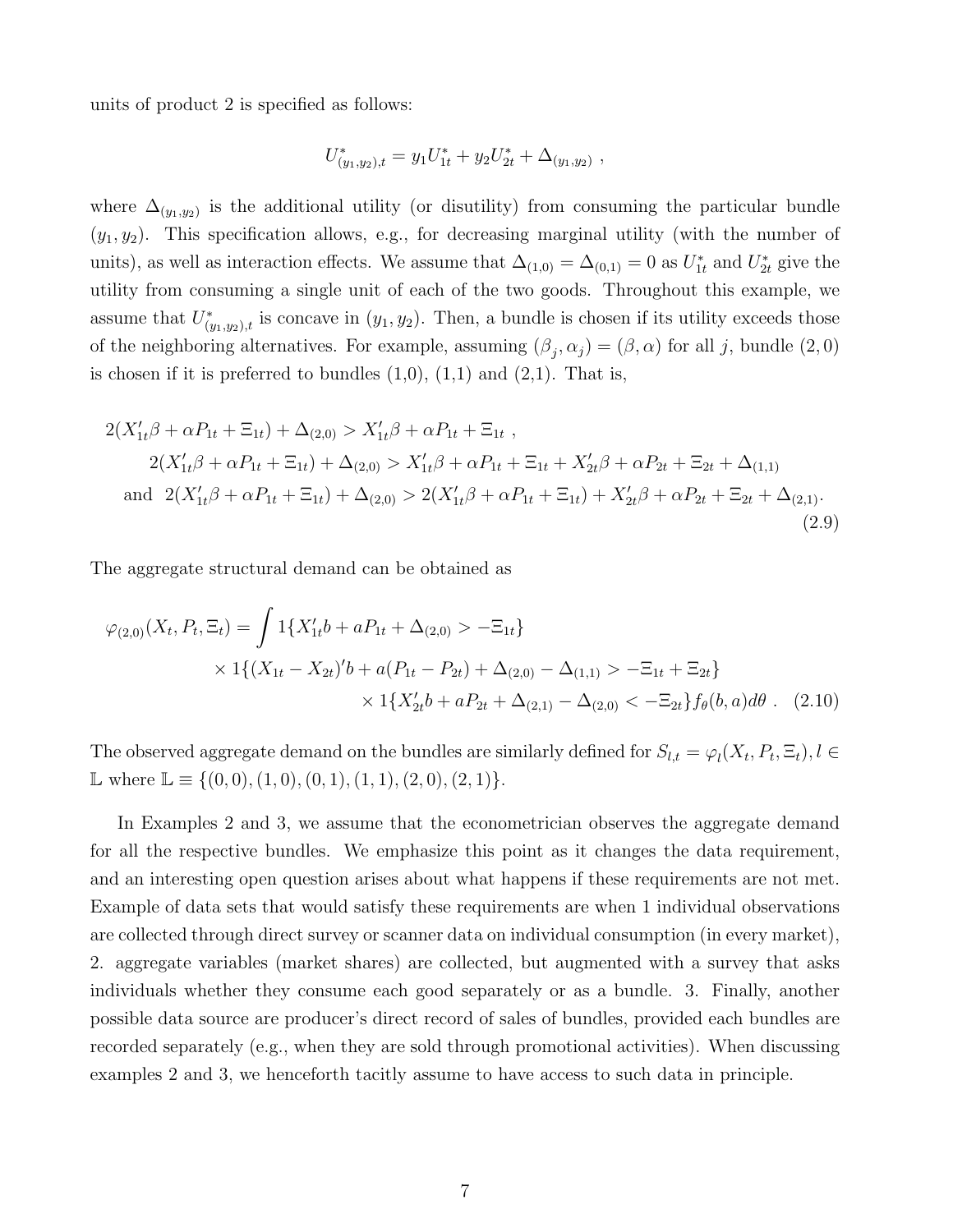units of product 2 is specified as follows:

$$
U^*_{(y_1,y_2),t} = y_1 U^*_{1t} + y_2 U^*_{2t} + \Delta_{(y_1,y_2)},
$$

where  $\Delta_{(y_1,y_2)}$  is the additional utility (or disutility) from consuming the particular bundle  $(y_1, y_2)$ . This specification allows, e.g., for decreasing marginal utility (with the number of units), as well as interaction effects. We assume that  $\Delta_{(1,0)} = \Delta_{(0,1)} = 0$  as  $U_{1t}^*$  and  $U_{2t}^*$  give the utility from consuming a single unit of each of the two goods. Throughout this example, we assume that  $U^*_{(y_1,y_2),t}$  is concave in  $(y_1, y_2)$ . Then, a bundle is chosen if its utility exceeds those of the neighboring alternatives. For example, assuming  $(\beta_j, \alpha_j) = (\beta, \alpha)$  for all j, bundle  $(2, 0)$ is chosen if it is preferred to bundles  $(1,0)$ ,  $(1,1)$  and  $(2,1)$ . That is,

$$
2(X'_{1t}\beta + \alpha P_{1t} + \Xi_{1t}) + \Delta_{(2,0)} > X'_{1t}\beta + \alpha P_{1t} + \Xi_{1t} ,
$$
  
\n
$$
2(X'_{1t}\beta + \alpha P_{1t} + \Xi_{1t}) + \Delta_{(2,0)} > X'_{1t}\beta + \alpha P_{1t} + \Xi_{1t} + X'_{2t}\beta + \alpha P_{2t} + \Xi_{2t} + \Delta_{(1,1)}
$$
  
\nand 
$$
2(X'_{1t}\beta + \alpha P_{1t} + \Xi_{1t}) + \Delta_{(2,0)} > 2(X'_{1t}\beta + \alpha P_{1t} + \Xi_{1t}) + X'_{2t}\beta + \alpha P_{2t} + \Xi_{2t} + \Delta_{(2,1)}.
$$
  
\n(2.9)

The aggregate structural demand can be obtained as

$$
\varphi_{(2,0)}(X_t, P_t, \Xi_t) = \int 1\{X'_{1t}b + aP_{1t} + \Delta_{(2,0)} > -\Xi_{1t}\}
$$
  
 
$$
\times 1\{(X_{1t} - X_{2t})'b + a(P_{1t} - P_{2t}) + \Delta_{(2,0)} - \Delta_{(1,1)} > -\Xi_{1t} + \Xi_{2t}\}
$$
  
 
$$
\times 1\{X'_{2t}b + aP_{2t} + \Delta_{(2,1)} - \Delta_{(2,0)} < -\Xi_{2t}\}f_{\theta}(b, a)d\theta. \quad (2.10)
$$

The observed aggregate demand on the bundles are similarly defined for  $S_{l,t} = \varphi_l(X_t, P_t, \Xi_t)$ ,  $l \in$ L where  $\mathbb{L} \equiv \{(0,0), (1,0), (0,1), (1,1), (2,0), (2,1)\}.$ 

In Examples 2 and 3, we assume that the econometrician observes the aggregate demand for all the respective bundles. We emphasize this point as it changes the data requirement, and an interesting open question arises about what happens if these requirements are not met. Example of data sets that would satisfy these requirements are when 1 individual observations are collected through direct survey or scanner data on individual consumption (in every market), 2. aggregate variables (market shares) are collected, but augmented with a survey that asks individuals whether they consume each good separately or as a bundle. 3. Finally, another possible data source are producer's direct record of sales of bundles, provided each bundles are recorded separately (e.g., when they are sold through promotional activities). When discussing examples 2 and 3, we henceforth tacitly assume to have access to such data in principle.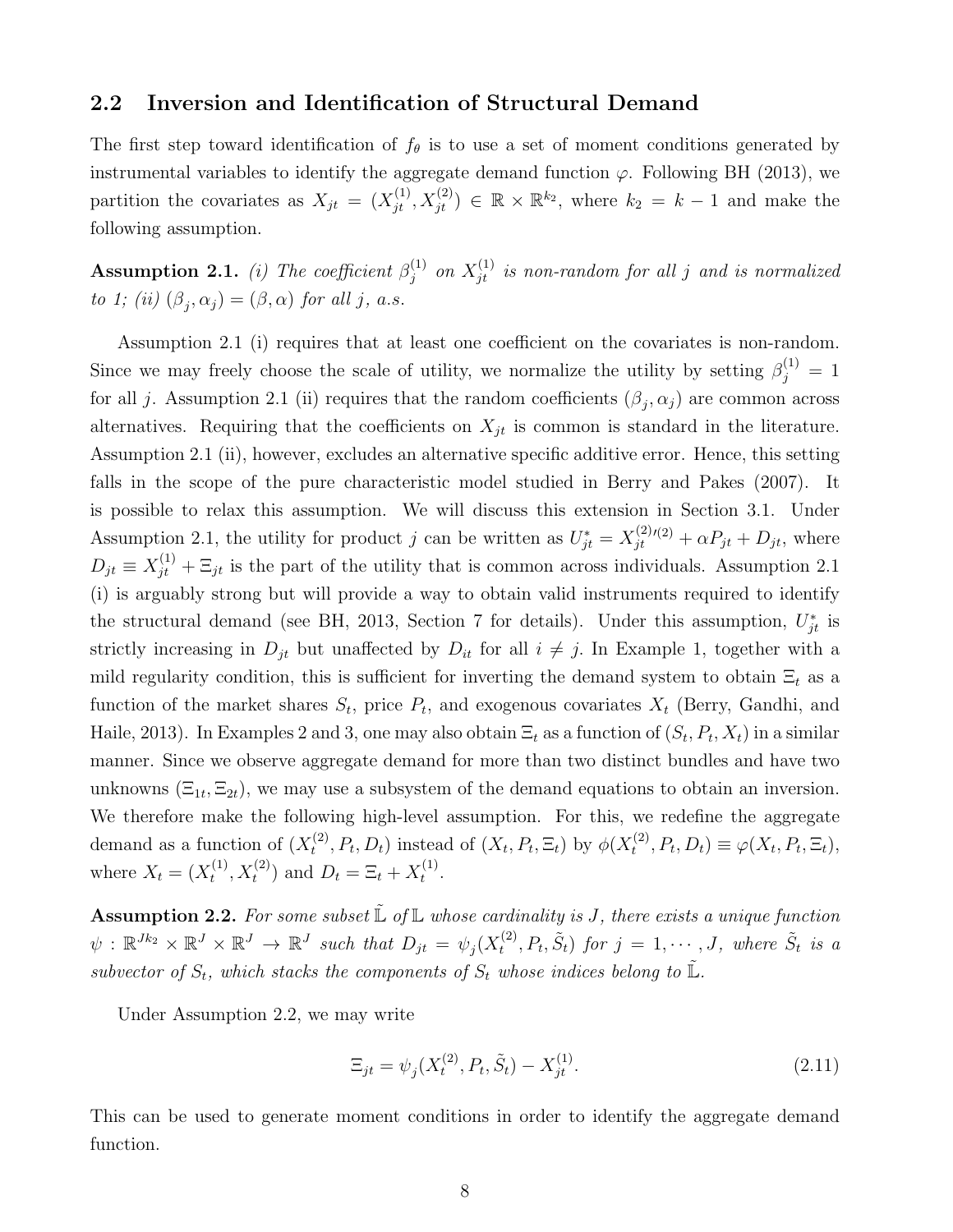#### 2.2 Inversion and Identification of Structural Demand

The first step toward identification of  $f_{\theta}$  is to use a set of moment conditions generated by instrumental variables to identify the aggregate demand function  $\varphi$ . Following BH (2013), we partition the covariates as  $X_{jt} = (X_{jt}^{(1)}, X_{jt}^{(2)}) \in \mathbb{R} \times \mathbb{R}^{k_2}$ , where  $k_2 = k - 1$  and make the following assumption.

**Assumption 2.1.** (i) The coefficient  $\beta_i^{(1)}$  $j_j^{(1)}$  on  $X_{jt}^{(1)}$  is non-random for all j and is normalized to 1; (ii)  $(\beta_j, \alpha_j) = (\beta, \alpha)$  for all j, a.s.

Assumption 2.1 (i) requires that at least one coefficient on the covariates is non-random. Since we may freely choose the scale of utility, we normalize the utility by setting  $\beta_j^{(1)} = 1$ for all j. Assumption 2.1 (ii) requires that the random coefficients  $(\beta_j, \alpha_j)$  are common across alternatives. Requiring that the coefficients on  $X_{jt}$  is common is standard in the literature. Assumption 2.1 (ii), however, excludes an alternative specific additive error. Hence, this setting falls in the scope of the pure characteristic model studied in Berry and Pakes (2007). It is possible to relax this assumption. We will discuss this extension in Section 3.1. Under Assumption 2.1, the utility for product j can be written as  $U_{jt}^* = X_{jt}^{(2)}$  $j_t^{(2)}(t^2) + \alpha P_{jt} + D_{jt}$ , where  $D_{jt} \equiv X_{jt}^{(1)} + \Xi_{jt}$  is the part of the utility that is common across individuals. Assumption 2.1 (i) is arguably strong but will provide a way to obtain valid instruments required to identify the structural demand (see BH, 2013, Section 7 for details). Under this assumption,  $U_{jt}^*$  is strictly increasing in  $D_{jt}$  but unaffected by  $D_{it}$  for all  $i \neq j$ . In Example 1, together with a mild regularity condition, this is sufficient for inverting the demand system to obtain  $\Xi_t$  as a function of the market shares  $S_t$ , price  $P_t$ , and exogenous covariates  $X_t$  (Berry, Gandhi, and Haile, 2013). In Examples 2 and 3, one may also obtain  $\Xi_t$  as a function of  $(S_t, P_t, X_t)$  in a similar manner. Since we observe aggregate demand for more than two distinct bundles and have two unknowns  $(\Xi_{1t}, \Xi_{2t})$ , we may use a subsystem of the demand equations to obtain an inversion. We therefore make the following high-level assumption. For this, we redefine the aggregate demand as a function of  $(X_t^{(2)}$  $t_t^{(2)}, P_t, D_t$ ) instead of  $(X_t, P_t, \Xi_t)$  by  $\phi(X_t^{(2)})$  $t^{(2)}, P_t, D_t) \equiv \varphi(X_t, P_t, \Xi_t),$ where  $X_t = (X_t^{(1)}$  $(t_1^{(1)}, X_t^{(2)})$  and  $D_t = \Xi_t + X_t^{(1)}$  $\frac{1}{t}$ .

**Assumption 2.2.** For some subset  $\mathbb{L}$  of  $\mathbb{L}$  whose cardinality is J, there exists a unique function  $\psi$  :  $\mathbb{R}^{Jk_2} \times \mathbb{R}^J \times \mathbb{R}^J \to \mathbb{R}^J$  such that  $D_{jt} = \psi_j(X_t^{(2)})$  $t^{(2)}, P_t, \tilde{S}_t$  for  $j = 1, \cdots, J$ , where  $\tilde{S}_t$  is a subvector of  $S_t$ , which stacks the components of  $S_t$  whose indices belong to  $\tilde{\mathbb{L}}$ .

Under Assumption 2.2, we may write

$$
\Xi_{jt} = \psi_j(X_t^{(2)}, P_t, \tilde{S}_t) - X_{jt}^{(1)}.
$$
\n(2.11)

This can be used to generate moment conditions in order to identify the aggregate demand function.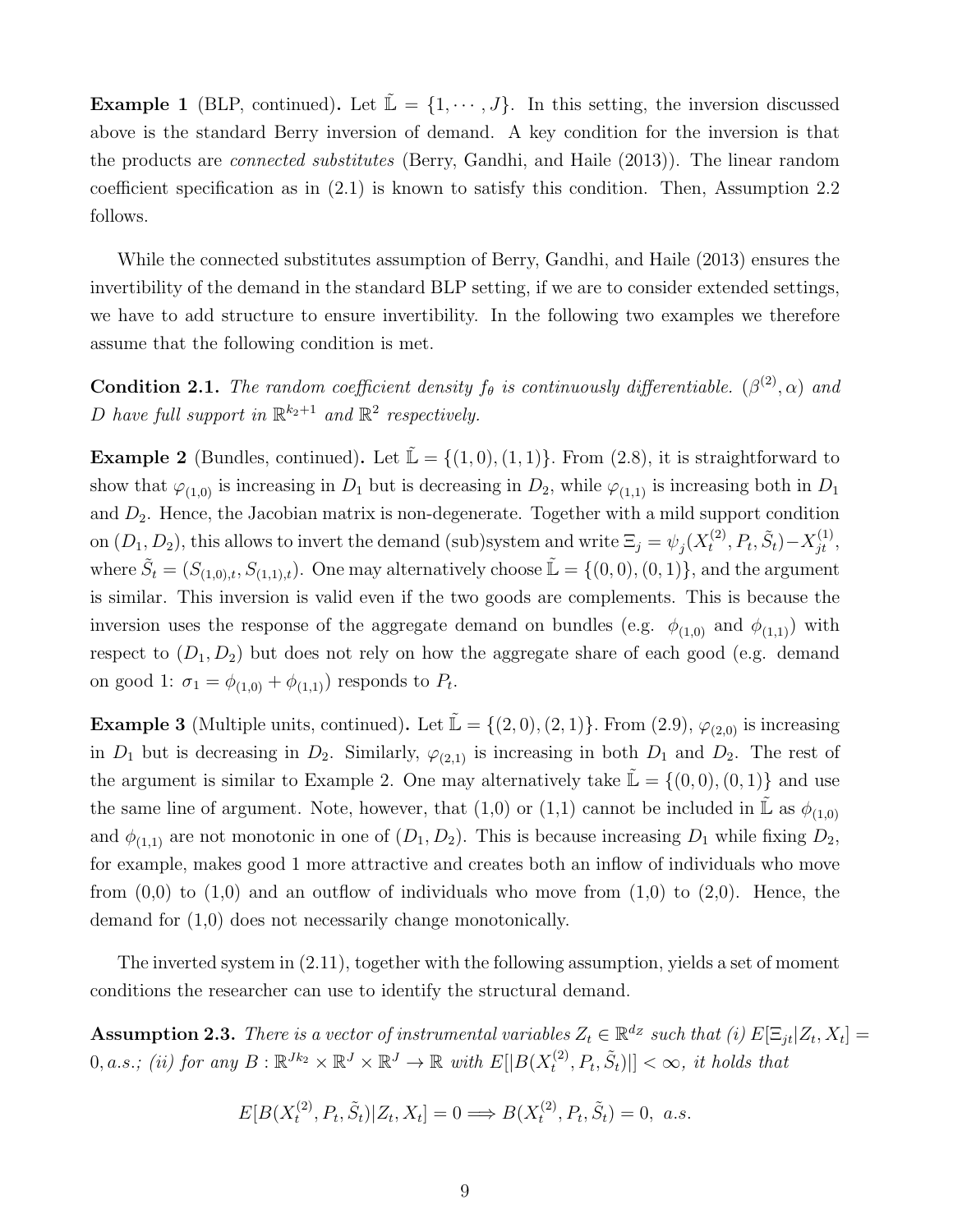**Example 1** (BLP, continued). Let  $\mathbb{L} = \{1, \dots, J\}$ . In this setting, the inversion discussed above is the standard Berry inversion of demand. A key condition for the inversion is that the products are connected substitutes (Berry, Gandhi, and Haile (2013)). The linear random coefficient specification as in (2.1) is known to satisfy this condition. Then, Assumption 2.2 follows.

While the connected substitutes assumption of Berry, Gandhi, and Haile (2013) ensures the invertibility of the demand in the standard BLP setting, if we are to consider extended settings, we have to add structure to ensure invertibility. In the following two examples we therefore assume that the following condition is met.

**Condition 2.1.** The random coefficient density  $f_{\theta}$  is continuously differentiable.  $(\beta^{(2)}, \alpha)$  and D have full support in  $\mathbb{R}^{k_2+1}$  and  $\mathbb{R}^2$  respectively.

**Example 2** (Bundles, continued). Let  $\tilde{\mathbb{L}} = \{(1,0), (1,1)\}$ . From (2.8), it is straightforward to show that  $\varphi_{(1,0)}$  is increasing in  $D_1$  but is decreasing in  $D_2$ , while  $\varphi_{(1,1)}$  is increasing both in  $D_1$ and  $D_2$ . Hence, the Jacobian matrix is non-degenerate. Together with a mild support condition on  $(D_1, D_2)$ , this allows to invert the demand (sub)system and write  $\Xi_j = \psi_j(X_t^{(2)}$  $F_t^{(2)}, P_t, \tilde{S}_t$ ) –  $X_{jt}^{(1)},$ where  $\tilde{S}_t = (S_{(1,0),t}, S_{(1,1),t})$ . One may alternatively choose  $\tilde{\mathbb{L}} = \{(0,0), (0,1)\}$ , and the argument is similar. This inversion is valid even if the two goods are complements. This is because the inversion uses the response of the aggregate demand on bundles (e.g.  $\phi_{(1,0)}$  and  $\phi_{(1,1)}$ ) with respect to  $(D_1, D_2)$  but does not rely on how the aggregate share of each good (e.g. demand on good 1:  $\sigma_1 = \phi_{(1,0)} + \phi_{(1,1)}$  responds to  $P_t$ .

**Example 3** (Multiple units, continued). Let  $\mathbb{L} = \{(2,0), (2,1)\}$ . From  $(2.9), \varphi_{(2,0)}$  is increasing in  $D_1$  but is decreasing in  $D_2$ . Similarly,  $\varphi_{(2,1)}$  is increasing in both  $D_1$  and  $D_2$ . The rest of the argument is similar to Example 2. One may alternatively take  $\mathbb{L} = \{(0,0), (0,1)\}\$  and use the same line of argument. Note, however, that (1,0) or (1,1) cannot be included in  $\mathbb{L}$  as  $\phi_{(1,0)}$ and  $\phi_{(1,1)}$  are not monotonic in one of  $(D_1, D_2)$ . This is because increasing  $D_1$  while fixing  $D_2$ , for example, makes good 1 more attractive and creates both an inflow of individuals who move from  $(0,0)$  to  $(1,0)$  and an outflow of individuals who move from  $(1,0)$  to  $(2,0)$ . Hence, the demand for (1,0) does not necessarily change monotonically.

The inverted system in (2.11), together with the following assumption, yields a set of moment conditions the researcher can use to identify the structural demand.

**Assumption 2.3.** There is a vector of instrumental variables  $Z_t \in \mathbb{R}^{d_Z}$  such that (i)  $E[\Xi_{jt}|Z_t, X_t] =$  $0, a.s.; (ii)$  for any  $B: \mathbb{R}^{Jk_2} \times \mathbb{R}^J \times \mathbb{R}^J \to \mathbb{R}$  with  $E[|B(X_t^{(2)})|]$  $[t_t^{(2)}, P_t, \tilde{S}_t)$ ||  $< \infty$ , it holds that

$$
E[B(X_t^{(2)}, P_t, \tilde{S}_t)|Z_t, X_t] = 0 \Longrightarrow B(X_t^{(2)}, P_t, \tilde{S}_t) = 0, \ a.s.
$$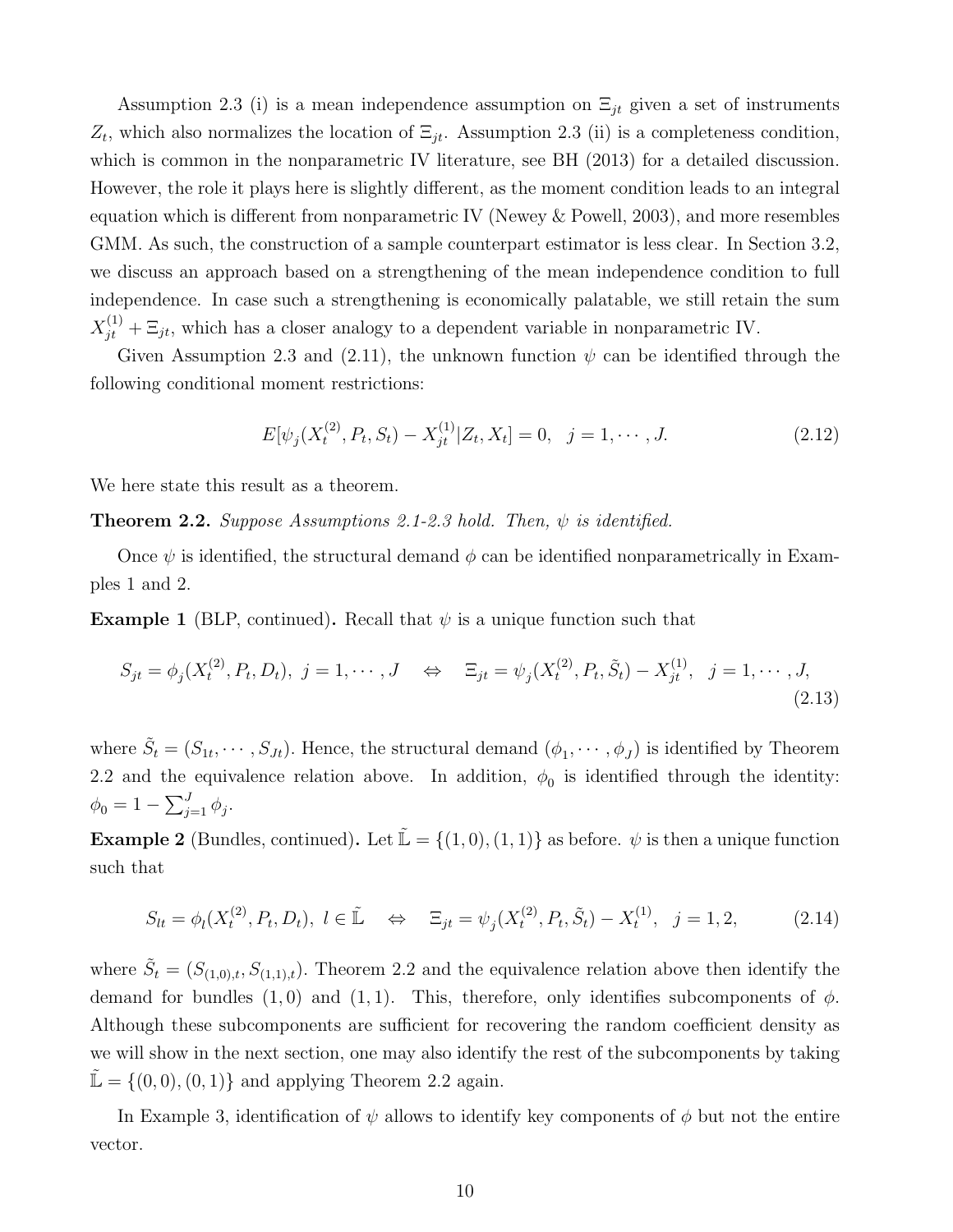Assumption 2.3 (i) is a mean independence assumption on  $\Xi_{jt}$  given a set of instruments  $Z_t$ , which also normalizes the location of  $\Xi_{jt}$ . Assumption 2.3 (ii) is a completeness condition, which is common in the nonparametric IV literature, see BH (2013) for a detailed discussion. However, the role it plays here is slightly different, as the moment condition leads to an integral equation which is different from nonparametric IV (Newey & Powell, 2003), and more resembles GMM. As such, the construction of a sample counterpart estimator is less clear. In Section 3.2, we discuss an approach based on a strengthening of the mean independence condition to full independence. In case such a strengthening is economically palatable, we still retain the sum  $X_{jt}^{(1)} + \Xi_{jt}$ , which has a closer analogy to a dependent variable in nonparametric IV.

Given Assumption 2.3 and (2.11), the unknown function  $\psi$  can be identified through the following conditional moment restrictions:

$$
E[\psi_j(X_t^{(2)}, P_t, S_t) - X_{jt}^{(1)}|Z_t, X_t] = 0, \quad j = 1, \cdots, J.
$$
\n(2.12)

We here state this result as a theorem.

**Theorem 2.2.** Suppose Assumptions 2.1-2.3 hold. Then,  $\psi$  is identified.

Once  $\psi$  is identified, the structural demand  $\phi$  can be identified nonparametrically in Examples 1 and 2.

**Example 1** (BLP, continued). Recall that  $\psi$  is a unique function such that

$$
S_{jt} = \phi_j(X_t^{(2)}, P_t, D_t), \ j = 1, \cdots, J \quad \Leftrightarrow \quad \Xi_{jt} = \psi_j(X_t^{(2)}, P_t, \tilde{S}_t) - X_{jt}^{(1)}, \ j = 1, \cdots, J,
$$
\n(2.13)

where  $\tilde{S}_t = (S_{1t}, \dots, S_{Jt})$ . Hence, the structural demand  $(\phi_1, \dots, \phi_J)$  is identified by Theorem 2.2 and the equivalence relation above. In addition,  $\phi_0$  is identified through the identity:  $\phi_0 = 1 - \sum_{j=1}^J \phi_j.$ 

**Example 2** (Bundles, continued). Let  $\mathbb{L} = \{(1,0), (1,1)\}$  as before.  $\psi$  is then a unique function such that

$$
S_{lt} = \phi_l(X_t^{(2)}, P_t, D_t), \ l \in \tilde{\mathbb{L}} \quad \Leftrightarrow \quad \Xi_{jt} = \psi_j(X_t^{(2)}, P_t, \tilde{S}_t) - X_t^{(1)}, \ j = 1, 2, \tag{2.14}
$$

where  $\tilde{S}_t = (S_{(1,0),t}, S_{(1,1),t})$ . Theorem 2.2 and the equivalence relation above then identify the demand for bundles  $(1, 0)$  and  $(1, 1)$ . This, therefore, only identifies subcomponents of  $\phi$ . Although these subcomponents are sufficient for recovering the random coefficient density as we will show in the next section, one may also identify the rest of the subcomponents by taking  $\mathbb{L} = \{(0,0), (0,1)\}\$ and applying Theorem 2.2 again.

In Example 3, identification of  $\psi$  allows to identify key components of  $\phi$  but not the entire vector.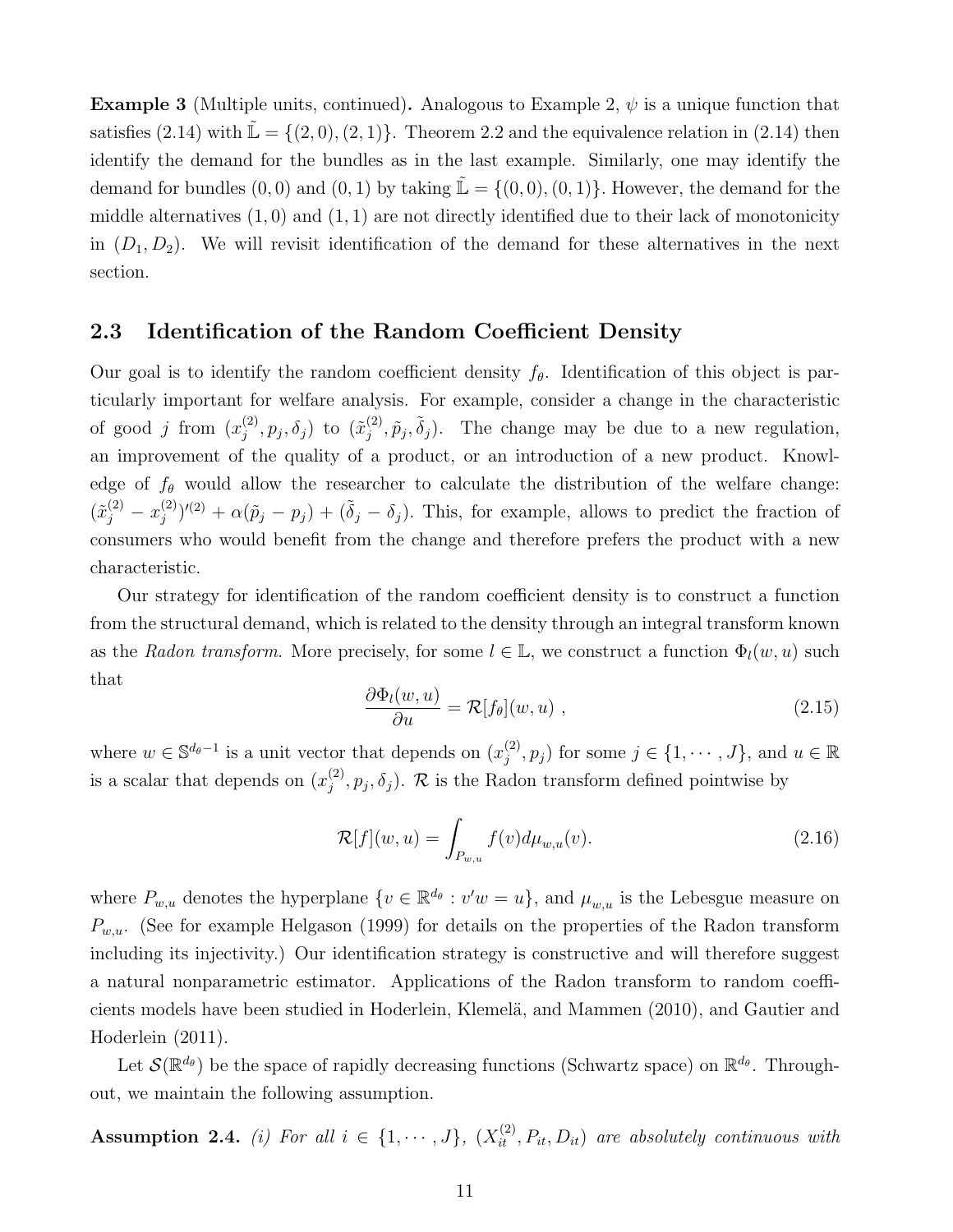**Example 3** (Multiple units, continued). Analogous to Example 2,  $\psi$  is a unique function that satisfies (2.14) with  $\mathbb{L} = \{(2,0), (2,1)\}.$  Theorem 2.2 and the equivalence relation in (2.14) then identify the demand for the bundles as in the last example. Similarly, one may identify the demand for bundles  $(0, 0)$  and  $(0, 1)$  by taking  $\mathbb{L} = \{(0, 0), (0, 1)\}\.$  However, the demand for the middle alternatives  $(1,0)$  and  $(1,1)$  are not directly identified due to their lack of monotonicity in  $(D_1, D_2)$ . We will revisit identification of the demand for these alternatives in the next section.

#### 2.3 Identification of the Random Coefficient Density

Our goal is to identify the random coefficient density  $f_{\theta}$ . Identification of this object is particularly important for welfare analysis. For example, consider a change in the characteristic of good j from  $(x_i^{(2)}$  $j^{(2)}, p_j, \delta_j)$  to  $(\tilde x_j^{(2)}$  $(\hat{p}_j^{(2)}, \tilde{p}_j, \tilde{\delta}_j)$ . The change may be due to a new regulation, an improvement of the quality of a product, or an introduction of a new product. Knowledge of  $f_{\theta}$  would allow the researcher to calculate the distribution of the welfare change:  $(\tilde{x}^{(2)}_j - x^{(2)}_j)$  $(\hat{p}_j^{(2)})^{\prime(2)} + \alpha(\tilde{p}_j - p_j) + (\tilde{\delta}_j - \delta_j)$ . This, for example, allows to predict the fraction of consumers who would benefit from the change and therefore prefers the product with a new characteristic.

Our strategy for identification of the random coefficient density is to construct a function from the structural demand, which is related to the density through an integral transform known as the Radon transform. More precisely, for some  $l \in \mathbb{L}$ , we construct a function  $\Phi_l(w, u)$  such that

$$
\frac{\partial \Phi_l(w, u)}{\partial u} = \mathcal{R}[f_\theta](w, u) , \qquad (2.15)
$$

where  $w \in \mathbb{S}^{d_{\theta}-1}$  is a unit vector that depends on  $(x_i^{(2)})$  $(j^{(2)}, p_j)$  for some  $j \in \{1, \cdots, J\}$ , and  $u \in \mathbb{R}$ is a scalar that depends on  $(x_i^{(2)})$  $j^{(2)}$ ,  $p_j$ ,  $\delta_j$ ). R is the Radon transform defined pointwise by

$$
\mathcal{R}[f](w, u) = \int_{P_{w, u}} f(v) d\mu_{w, u}(v).
$$
\n(2.16)

where  $P_{w,u}$  denotes the hyperplane  $\{v \in \mathbb{R}^{d_{\theta}} : v'w = u\}$ , and  $\mu_{w,u}$  is the Lebesgue measure on  $P_{w,u}$ . (See for example Helgason (1999) for details on the properties of the Radon transform including its injectivity.) Our identification strategy is constructive and will therefore suggest a natural nonparametric estimator. Applications of the Radon transform to random coefficients models have been studied in Hoderlein, Klemelä, and Mammen (2010), and Gautier and Hoderlein (2011).

Let  $\mathcal{S}(\mathbb{R}^{d_{\theta}})$  be the space of rapidly decreasing functions (Schwartz space) on  $\mathbb{R}^{d_{\theta}}$ . Throughout, we maintain the following assumption.

**Assumption 2.4.** (i) For all  $i \in \{1, \dots, J\}$ ,  $(X_{it}^{(2)}, P_{it}, D_{it})$  are absolutely continuous with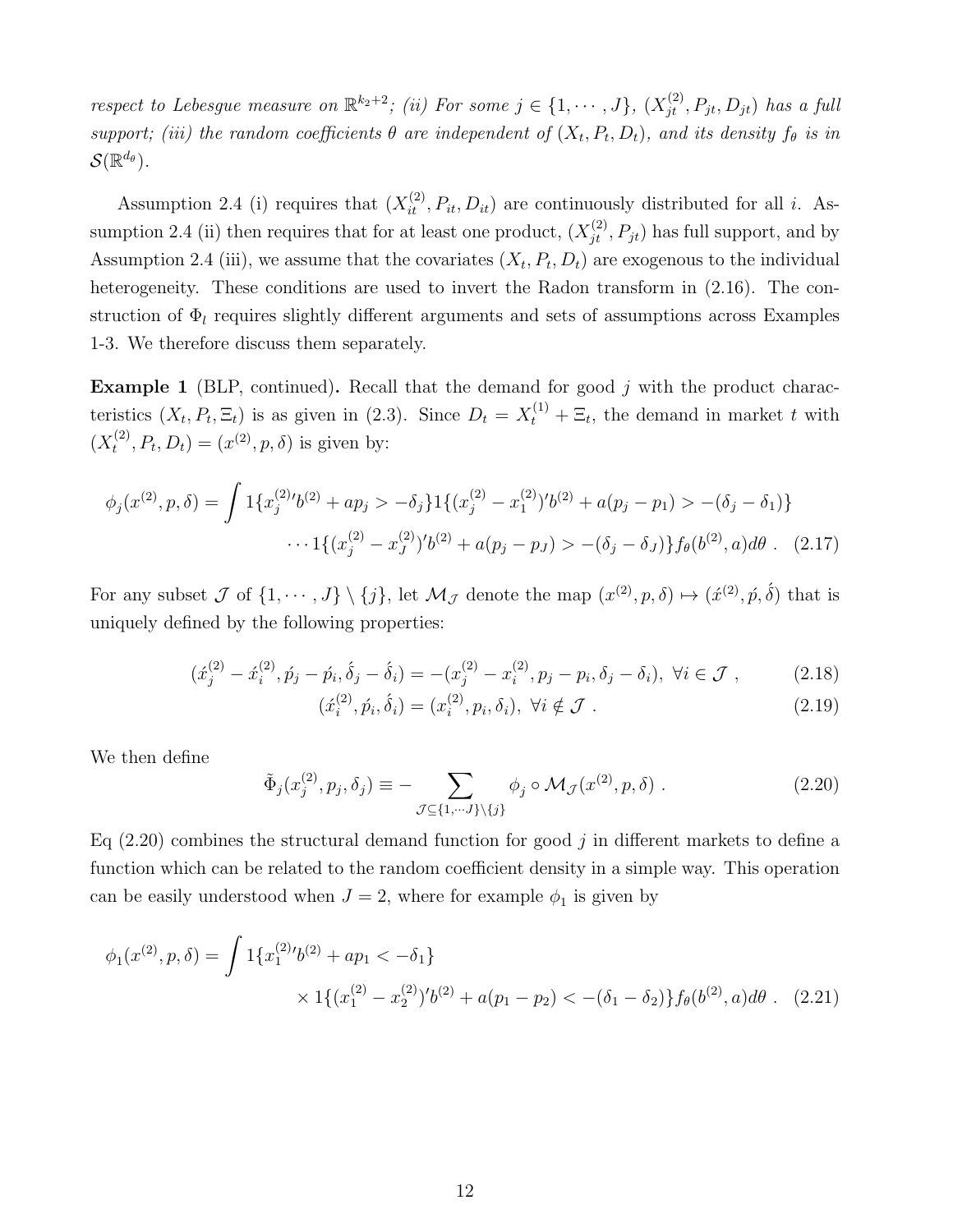respect to Lebesgue measure on  $\mathbb{R}^{k_2+2}$ ; (ii) For some  $j \in \{1, \cdots, J\}$ ,  $(X_{jt}^{(2)}, P_{jt}, D_{jt})$  has a full support; (iii) the random coefficients  $\theta$  are independent of  $(X_t, P_t, D_t)$ , and its density  $f_{\theta}$  is in  $\mathcal{S}(\mathbb{R}^{d_{\theta}}).$ 

Assumption 2.4 (i) requires that  $(X_{it}^{(2)}, P_{it}, D_{it})$  are continuously distributed for all *i*. Assumption 2.4 (ii) then requires that for at least one product,  $(X_{jt}^{(2)}, P_{jt})$  has full support, and by Assumption 2.4 (iii), we assume that the covariates  $(X_t, P_t, D_t)$  are exogenous to the individual heterogeneity. These conditions are used to invert the Radon transform in  $(2.16)$ . The construction of  $\Phi_l$  requires slightly different arguments and sets of assumptions across Examples 1-3. We therefore discuss them separately.

**Example 1** (BLP, continued). Recall that the demand for good  $j$  with the product characteristics  $(X_t, P_t, \Xi_t)$  is as given in (2.3). Since  $D_t = X_t^{(1)} + \Xi_t$ , the demand in market t with  $(X_t^{(2)}$  $(t^{(2)}_t, P_t, D_t) = (x^{(2)}, p, \delta)$  is given by:

$$
\phi_j(x^{(2)}, p, \delta) = \int 1\{x_j^{(2)}\prime b^{(2)} + ap_j > -\delta_j\} 1\{(x_j^{(2)} - x_1^{(2)})\prime b^{(2)} + a(p_j - p_1) > -(\delta_j - \delta_1)\} \\
\cdots 1\{(x_j^{(2)} - x_j^{(2)})\prime b^{(2)} + a(p_j - p_j) > -(\delta_j - \delta_j)\} f_\theta(b^{(2)}, a) d\theta \tag{2.17}
$$

For any subset  $\mathcal J$  of  $\{1,\cdots,J\}\setminus\{j\}$ , let  $\mathcal M_{\mathcal J}$  denote the map  $(x^{(2)},p,\delta)\mapsto(x^{(2)},p,\delta)$  that is uniquely defined by the following properties:

$$
(\acute{x}_{j}^{(2)} - \acute{x}_{i}^{(2)}, \acute{p}_{j} - \acute{p}_{i}, \acute{\delta}_{j} - \acute{\delta}_{i}) = -(x_{j}^{(2)} - x_{i}^{(2)}, p_{j} - p_{i}, \delta_{j} - \delta_{i}), \ \forall i \in \mathcal{J}, \tag{2.18}
$$

$$
(\acute{x}_{i}^{(2)}, \acute{p}_{i}, \acute{\delta}_{i}) = (x_{i}^{(2)}, p_{i}, \delta_{i}), \ \forall i \notin \mathcal{J} . \tag{2.19}
$$

We then define

$$
\tilde{\Phi}_j(x_j^{(2)}, p_j, \delta_j) \equiv - \sum_{\mathcal{J} \subseteq \{1, \cdots, J\} \setminus \{j\}} \phi_j \circ \mathcal{M}_{\mathcal{J}}(x^{(2)}, p, \delta) . \tag{2.20}
$$

Eq  $(2.20)$  combines the structural demand function for good j in different markets to define a function which can be related to the random coefficient density in a simple way. This operation can be easily understood when  $J = 2$ , where for example  $\phi_1$  is given by

$$
\phi_1(x^{(2)}, p, \delta) = \int 1\{x_1^{(2)}\prime b^{(2)} + ap_1 < -\delta_1\} \\
\times 1\{(x_1^{(2)} - x_2^{(2)})\prime b^{(2)} + a(p_1 - p_2) < -(\delta_1 - \delta_2)\}f_\theta(b^{(2)}, a)d\theta \quad (2.21)
$$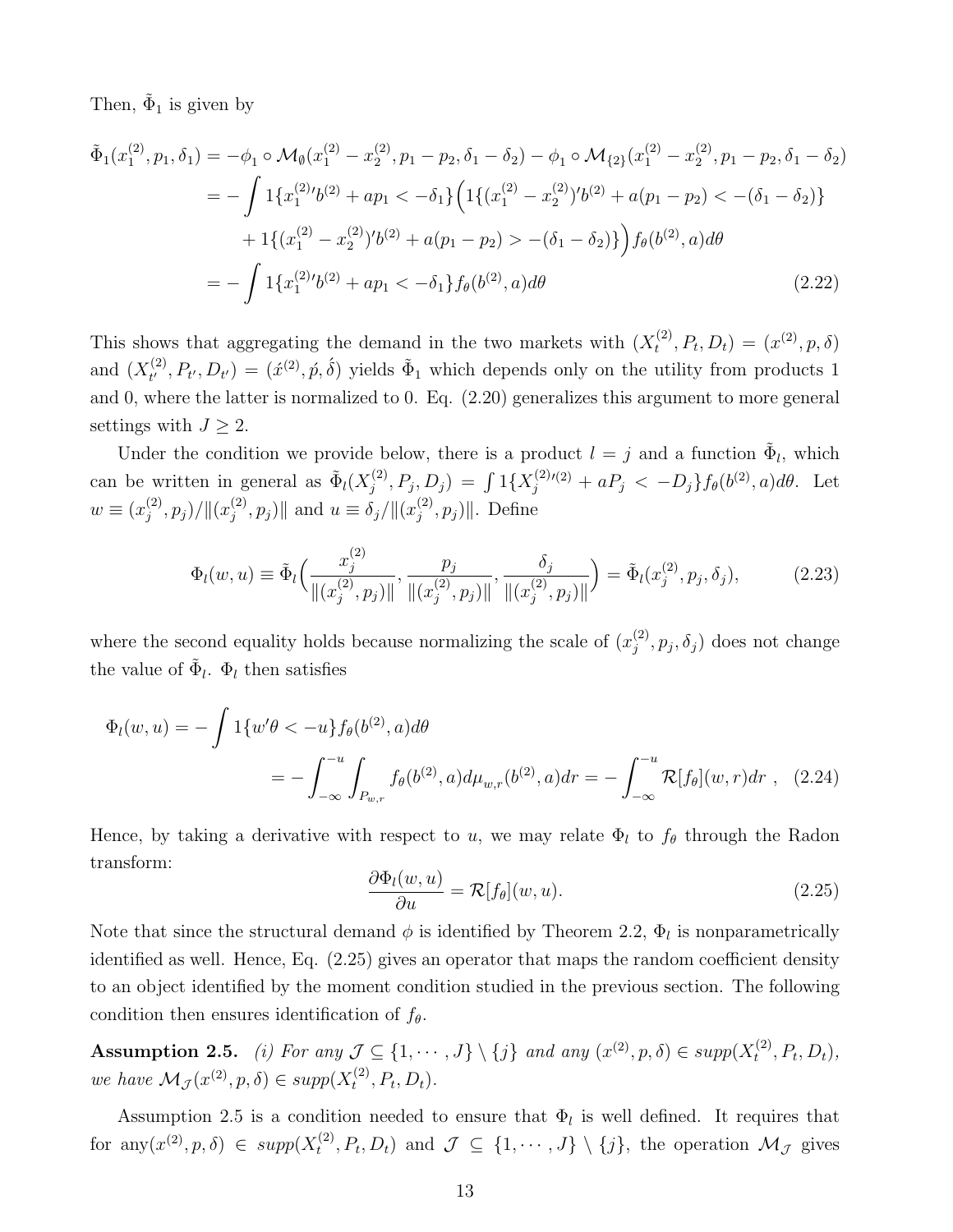Then,  $\tilde{\Phi}_1$  is given by

$$
\tilde{\Phi}_{1}(x_{1}^{(2)}, p_{1}, \delta_{1}) = -\phi_{1} \circ \mathcal{M}_{\emptyset}(x_{1}^{(2)} - x_{2}^{(2)}, p_{1} - p_{2}, \delta_{1} - \delta_{2}) - \phi_{1} \circ \mathcal{M}_{\{2\}}(x_{1}^{(2)} - x_{2}^{(2)}, p_{1} - p_{2}, \delta_{1} - \delta_{2})
$$
\n
$$
= -\int 1\{x_{1}^{(2)}\prime b^{(2)} + ap_{1} < -\delta_{1}\} \Big( 1\{(x_{1}^{(2)} - x_{2}^{(2)})\prime b^{(2)} + a(p_{1} - p_{2}) < -(\delta_{1} - \delta_{2})\}
$$
\n
$$
+ 1\{(x_{1}^{(2)} - x_{2}^{(2)})\prime b^{(2)} + a(p_{1} - p_{2}) > -(\delta_{1} - \delta_{2})\} \Big) f_{\theta}(b^{(2)}, a) d\theta
$$
\n
$$
= -\int 1\{x_{1}^{(2)}\prime b^{(2)} + ap_{1} < -\delta_{1}\} f_{\theta}(b^{(2)}, a) d\theta \tag{2.22}
$$

This shows that aggregating the demand in the two markets with  $(X_t^{(2)})$  $t^{(2)}$ ,  $P_t$ ,  $D_t$ ) =  $(x^{(2)}, p, \delta)$ and  $(X_t^{(2)}$  $t_t^{(2)}, P_{t'}, D_{t'} = (x^{(2)}, \hat{p}, \hat{\delta})$  yields  $\tilde{\Phi}_1$  which depends only on the utility from products 1 and 0, where the latter is normalized to 0. Eq. (2.20) generalizes this argument to more general settings with  $J \geq 2$ .

Under the condition we provide below, there is a product  $l = j$  and a function  $\tilde{\Phi}_l$ , which can be written in general as  $\tilde{\Phi}_l(X_i^{(2)})$  $j^{(2)}, P_j, D_j$  =  $\int 1\{X_j^{(2)}\}$  $j_j^{(2)}(2) + aP_j < -D_j\}f_{\theta}(b^{(2)}, a)d\theta$ . Let  $w \equiv (x_i^{(2)}$  $\binom{(2)}{j}, p_j)/\| (x_j^{(2)}$  $\|\hat{y}_{j}^{(2)}, p_{j})\|$  and  $u \equiv \delta_{j}/\|(x_{j}^{(2)})$  $\| \hat{p}^{(2)}_j, p_j) \|.$  Define

$$
\Phi_l(w, u) \equiv \tilde{\Phi}_l \Big( \frac{x_j^{(2)}}{\|(x_j^{(2)}, p_j)\|}, \frac{p_j}{\|(x_j^{(2)}, p_j)\|}, \frac{\delta_j}{\|(x_j^{(2)}, p_j)\|} \Big) = \tilde{\Phi}_l(x_j^{(2)}, p_j, \delta_j), \tag{2.23}
$$

where the second equality holds because normalizing the scale of  $(x_i^{(2)})$  $j^{(2)}, p_j, \delta_j$  does not change the value of  $\tilde{\Phi}_l$ .  $\Phi_l$  then satisfies

$$
\Phi_l(w, u) = -\int 1\{w'\theta < -u\} f_\theta(b^{(2)}, a) d\theta
$$
\n
$$
= -\int_{-\infty}^{-u} \int_{P_{w,r}} f_\theta(b^{(2)}, a) d\mu_{w,r}(b^{(2)}, a) dr = -\int_{-\infty}^{-u} \mathcal{R}[f_\theta](w, r) dr \quad (2.24)
$$

Hence, by taking a derivative with respect to u, we may relate  $\Phi_l$  to  $f_\theta$  through the Radon transform:

$$
\frac{\partial \Phi_l(w, u)}{\partial u} = \mathcal{R}[f_\theta](w, u). \tag{2.25}
$$

Note that since the structural demand  $\phi$  is identified by Theorem 2.2,  $\Phi_l$  is nonparametrically identified as well. Hence, Eq. (2.25) gives an operator that maps the random coefficient density to an object identified by the moment condition studied in the previous section. The following condition then ensures identification of  $f_{\theta}$ .

Assumption 2.5. (i) For any  $\mathcal{J} \subseteq \{1, \cdots, J\} \setminus \{j\}$  and any  $(x^{(2)}, p, \delta) \in supp(X_t^{(2)})$  $t^{(2)}, P_t, D_t),$ we have  $\mathcal{M}_{\mathcal{J}}(x^{(2)}, p, \delta) \in supp(X_t^{(2)})$  $t^{(2)}, P_t, D_t$ .

Assumption 2.5 is a condition needed to ensure that  $\Phi_l$  is well defined. It requires that for any $(x^{(2)}, p, \delta) \in supp(X_t^{(2)}$  $(t^{(2)}, P_t, D_t)$  and  $\mathcal{J} \subseteq \{1, \cdots, J\} \setminus \{j\}$ , the operation  $\mathcal{M}_{\mathcal{J}}$  gives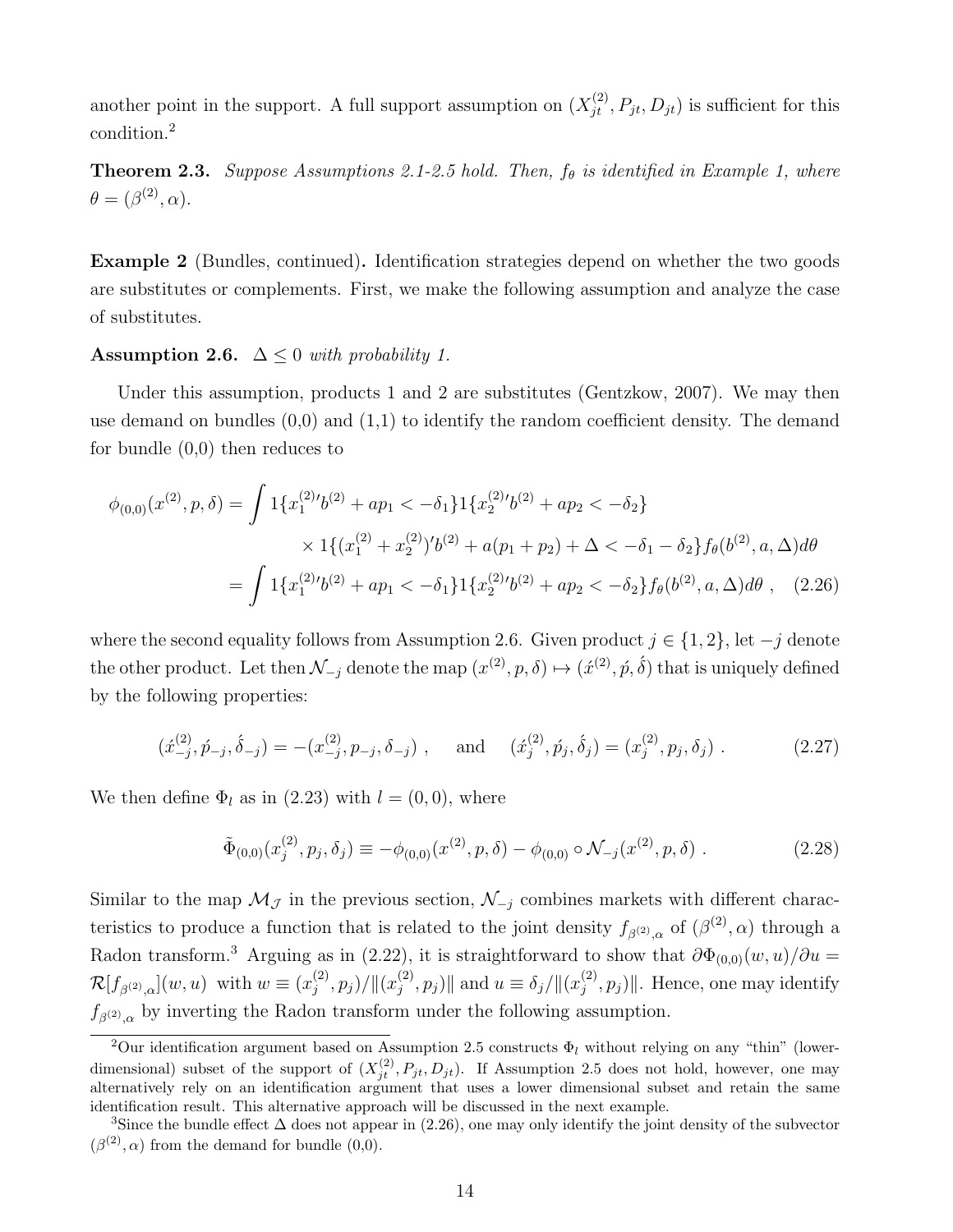another point in the support. A full support assumption on  $(X_{jt}^{(2)}, P_{jt}, D_{jt})$  is sufficient for this condition.<sup>2</sup>

**Theorem 2.3.** Suppose Assumptions 2.1-2.5 hold. Then,  $f_{\theta}$  is identified in Example 1, where  $\theta = (\beta^{(2)}, \alpha).$ 

Example 2 (Bundles, continued). Identification strategies depend on whether the two goods are substitutes or complements. First, we make the following assumption and analyze the case of substitutes.

Assumption 2.6.  $\Delta \leq 0$  with probability 1.

Under this assumption, products 1 and 2 are substitutes (Gentzkow, 2007). We may then use demand on bundles  $(0,0)$  and  $(1,1)$  to identify the random coefficient density. The demand for bundle (0,0) then reduces to

$$
\phi_{(0,0)}(x^{(2)},p,\delta) = \int 1\{x_1^{(2)}\prime b^{(2)} + ap_1 < -\delta_1\} 1\{x_2^{(2)}\prime b^{(2)} + ap_2 < -\delta_2\} \\
\times 1\{(x_1^{(2)} + x_2^{(2)})\prime b^{(2)} + a(p_1 + p_2) + \Delta < -\delta_1 - \delta_2\} f_\theta(b^{(2)},a,\Delta)d\theta \\
= \int 1\{x_1^{(2)}\prime b^{(2)} + ap_1 < -\delta_1\} 1\{x_2^{(2)}\prime b^{(2)} + ap_2 < -\delta_2\} f_\theta(b^{(2)},a,\Delta)d\theta \,, \tag{2.26}
$$

where the second equality follows from Assumption 2.6. Given product  $j \in \{1, 2\}$ , let  $-j$  denote the other product. Let then  $\mathcal{N}_{-j}$  denote the map  $(x^{(2)}, p, \delta) \mapsto (\acute{x}^{(2)}, \acute{p}, \acute{\delta})$  that is uniquely defined by the following properties:

$$
(\acute{x}_{-j}^{(2)}, \acute{p}_{-j}, \acute{\delta}_{-j}) = -(x_{-j}^{(2)}, p_{-j}, \delta_{-j}) , \text{ and } (\acute{x}_{j}^{(2)}, \acute{p}_{j}, \acute{\delta}_{j}) = (x_{j}^{(2)}, p_{j}, \delta_{j}) .
$$
 (2.27)

We then define  $\Phi_l$  as in (2.23) with  $l = (0, 0)$ , where

$$
\tilde{\Phi}_{(0,0)}(x_j^{(2)}, p_j, \delta_j) \equiv -\phi_{(0,0)}(x^{(2)}, p, \delta) - \phi_{(0,0)} \circ \mathcal{N}_{-j}(x^{(2)}, p, \delta) \ . \tag{2.28}
$$

Similar to the map  $\mathcal{M}_{\mathcal{J}}$  in the previous section,  $\mathcal{N}_{-j}$  combines markets with different characteristics to produce a function that is related to the joint density  $f_{\beta^{(2)},\alpha}$  of  $(\beta^{(2)},\alpha)$  through a Radon transform.<sup>3</sup> Arguing as in (2.22), it is straightforward to show that  $\partial \Phi_{(0,0)}(w, u)/\partial u =$  $\mathcal{R}[f_{\beta^{(2)},\alpha}](w,u)$  with  $w \equiv (x_j^{(2)})$  $\binom{(2)}{j}, p_j)/\| (x_j^{(2)}$  $\|\hat{y}_{j}^{(2)}, p_{j})\|$  and  $u \equiv \delta_{j}/\|(x_{j}^{(2)})$  $\|f_j^{(2)}, p_j\|$ . Hence, one may identify  $f_{\beta^{(2)},\alpha}$  by inverting the Radon transform under the following assumption.

<sup>&</sup>lt;sup>2</sup>Our identification argument based on Assumption 2.5 constructs  $\Phi_l$  without relying on any "thin" (lowerdimensional) subset of the support of  $(X_{jt}^{(2)}, P_{jt}, D_{jt})$ . If Assumption 2.5 does not hold, however, one may alternatively rely on an identification argument that uses a lower dimensional subset and retain the same identification result. This alternative approach will be discussed in the next example.

<sup>&</sup>lt;sup>3</sup>Since the bundle effect  $\Delta$  does not appear in (2.26), one may only identify the joint density of the subvector  $(\beta^{(2)}, \alpha)$  from the demand for bundle  $(0,0)$ .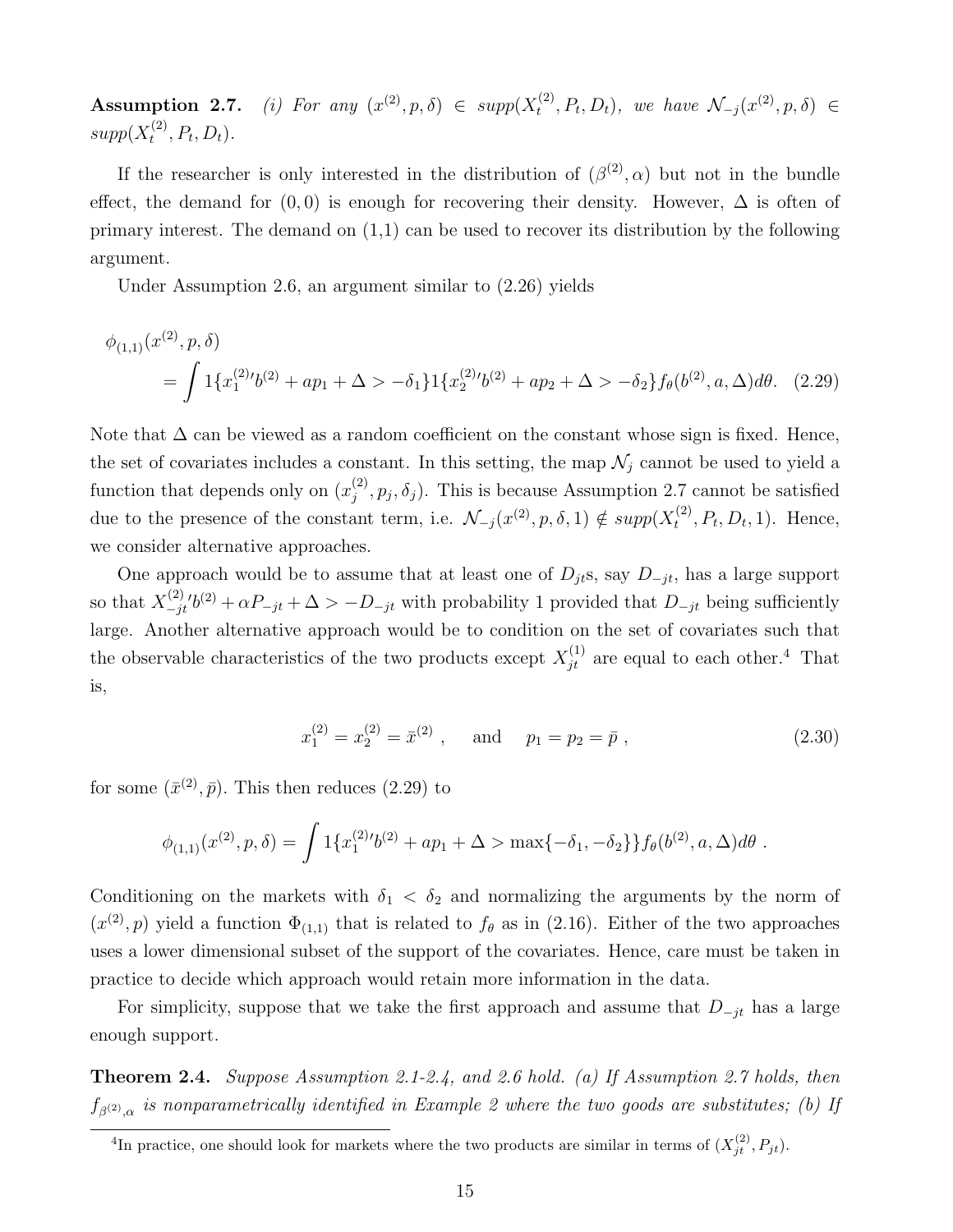Assumption 2.7.  $(2^2, p, \delta) \in supp(X_t^{(2)})$  $(t^{(2)}_t, P_t, D_t)$ , we have  $\mathcal{N}_{-j}(x^{(2)}, p, \delta) \in$  $supp(X_t^{(2)}$  $t^{(2)}, P_t, D_t$ .

If the researcher is only interested in the distribution of  $(\beta^{(2)}, \alpha)$  but not in the bundle effect, the demand for  $(0, 0)$  is enough for recovering their density. However,  $\Delta$  is often of primary interest. The demand on  $(1,1)$  can be used to recover its distribution by the following argument.

Under Assumption 2.6, an argument similar to (2.26) yields

$$
\phi_{(1,1)}(x^{(2)}, p, \delta)
$$
  
=  $\int 1\{x_1^{(2)}(b^{(2)} + ap_1 + \Delta > -\delta_1\} \{x_2^{(2)}(b^{(2)} + ap_2 + \Delta > -\delta_2\} f_\theta(b^{(2)}, a, \Delta) d\theta.$  (2.29)

Note that  $\Delta$  can be viewed as a random coefficient on the constant whose sign is fixed. Hence, the set of covariates includes a constant. In this setting, the map  $\mathcal{N}_j$  cannot be used to yield a function that depends only on  $(x_i^{(2)})$  $j^{(2)}$ ,  $p_j$ ,  $\delta_j$ ). This is because Assumption 2.7 cannot be satisfied due to the presence of the constant term, i.e.  $\mathcal{N}_{-j}(x^{(2)}, p, \delta, 1) \notin supp(X_t^{(2)})$  $t^{(2)}$ ,  $P_t$ ,  $D_t$ , 1). Hence, we consider alternative approaches.

One approach would be to assume that at least one of  $D_{jt}$ s, say  $D_{-jt}$ , has a large support so that  $X_{-ii}^{(2)}$  $\sum_{j=1}^{(2)'}$   $b^{(2)} + \alpha P_{-jt} + \Delta > -D_{-jt}$  with probability 1 provided that  $D_{-jt}$  being sufficiently large. Another alternative approach would be to condition on the set of covariates such that the observable characteristics of the two products except  $X_{jt}^{(1)}$  are equal to each other.<sup>4</sup> That is,

$$
x_1^{(2)} = x_2^{(2)} = \bar{x}^{(2)}
$$
, and  $p_1 = p_2 = \bar{p}$ , (2.30)

for some  $(\bar{x}^{(2)}, \bar{p})$ . This then reduces (2.29) to

$$
\phi_{(1,1)}(x^{(2)},p,\delta) = \int 1\{x_1^{(2)}\prime b^{(2)} + ap_1 + \Delta > \max\{-\delta_1, -\delta_2\}\}f_\theta(b^{(2)},a,\Delta)d\theta.
$$

Conditioning on the markets with  $\delta_1 < \delta_2$  and normalizing the arguments by the norm of  $(x^{(2)}, p)$  yield a function  $\Phi_{(1,1)}$  that is related to  $f_{\theta}$  as in (2.16). Either of the two approaches uses a lower dimensional subset of the support of the covariates. Hence, care must be taken in practice to decide which approach would retain more information in the data.

For simplicity, suppose that we take the first approach and assume that  $D_{-jt}$  has a large enough support.

Theorem 2.4. Suppose Assumption 2.1-2.4, and 2.6 hold. (a) If Assumption 2.7 holds, then  $f_{\beta^{(2)},\alpha}$  is nonparametrically identified in Example 2 where the two goods are substitutes; (b) If

<sup>&</sup>lt;sup>4</sup>In practice, one should look for markets where the two products are similar in terms of  $(X_{jt}^{(2)}, P_{jt})$ .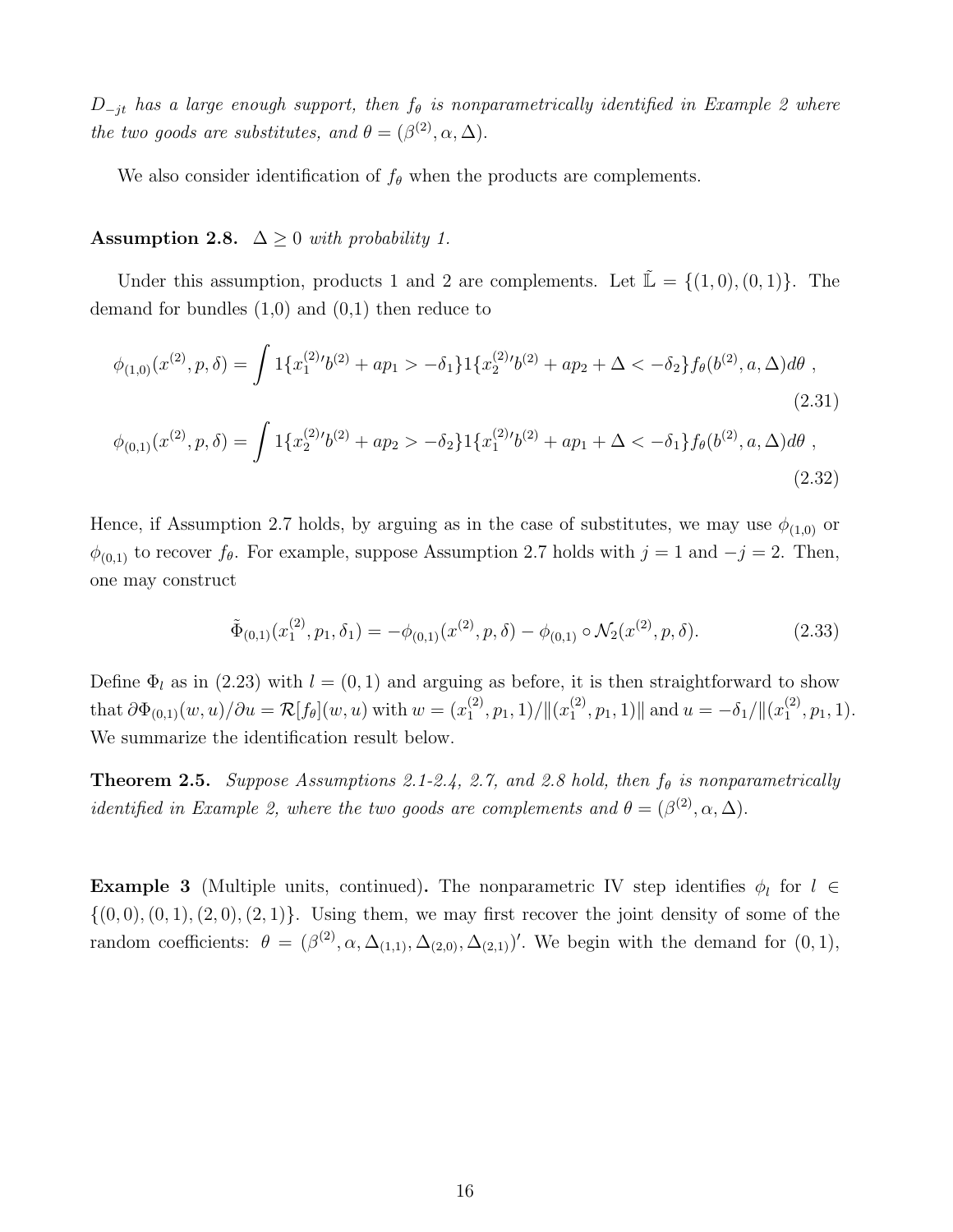$D_{-it}$  has a large enough support, then  $f_{\theta}$  is nonparametrically identified in Example 2 where the two goods are substitutes, and  $\theta = (\beta^{(2)}, \alpha, \Delta)$ .

We also consider identification of  $f_{\theta}$  when the products are complements.

Assumption 2.8.  $\Delta \geq 0$  with probability 1.

Under this assumption, products 1 and 2 are complements. Let  $\tilde{\mathbb{L}} = \{(1,0), (0,1)\}.$  The demand for bundles  $(1,0)$  and  $(0,1)$  then reduce to

$$
\phi_{(1,0)}(x^{(2)}, p, \delta) = \int 1\{x_1^{(2)}(b^{(2)} + ap_1 > -\delta_1\} 1\{x_2^{(2)}(b^{(2)} + ap_2 + \Delta < -\delta_2\} f_\theta(b^{(2)}, a, \Delta)d\theta,
$$
\n(2.31)

$$
\phi_{(0,1)}(x^{(2)},p,\delta) = \int 1\{x_2^{(2)}(b^{(2)} + ap_2 > -\delta_2\} 1\{x_1^{(2)}(b^{(2)} + ap_1 + \Delta < -\delta_1\} f_\theta(b^{(2)}, a, \Delta)d\theta ,\tag{2.32}
$$

Hence, if Assumption 2.7 holds, by arguing as in the case of substitutes, we may use  $\phi_{(1,0)}$  or  $\phi_{(0,1)}$  to recover  $f_{\theta}$ . For example, suppose Assumption 2.7 holds with  $j = 1$  and  $-j = 2$ . Then, one may construct

$$
\tilde{\Phi}_{(0,1)}(x_1^{(2)}, p_1, \delta_1) = -\phi_{(0,1)}(x^{(2)}, p, \delta) - \phi_{(0,1)} \circ \mathcal{N}_2(x^{(2)}, p, \delta). \tag{2.33}
$$

Define  $\Phi_l$  as in (2.23) with  $l = (0, 1)$  and arguing as before, it is then straightforward to show that  $\partial \Phi_{(0,1)}(w,u)/\partial u = \mathcal{R}[f_\theta](w,u)$  with  $w = (x_1^{(2)})$  $\binom{2}{1}, p_1, 1)/\|(x_1^{(2)}$  $\|u_1^{(2)}, p_1, 1)\|$  and  $u = -\delta_1/\|(x_1^{(2)})$  $\binom{2}{1}, p_1, 1$ . We summarize the identification result below.

**Theorem 2.5.** Suppose Assumptions 2.1-2.4, 2.7, and 2.8 hold, then  $f_{\theta}$  is nonparametrically *identified in Example 2, where the two goods are complements and*  $\theta = (\beta^{(2)}, \alpha, \Delta)$ .

**Example 3** (Multiple units, continued). The nonparametric IV step identifies  $\phi_l$  for  $l \in$  $\{(0,0), (0,1), (2,0), (2,1)\}.$  Using them, we may first recover the joint density of some of the random coefficients:  $\theta = (\beta^{(2)}, \alpha, \Delta_{(1,1)}, \Delta_{(2,0)}, \Delta_{(2,1)})'$ . We begin with the demand for  $(0,1)$ ,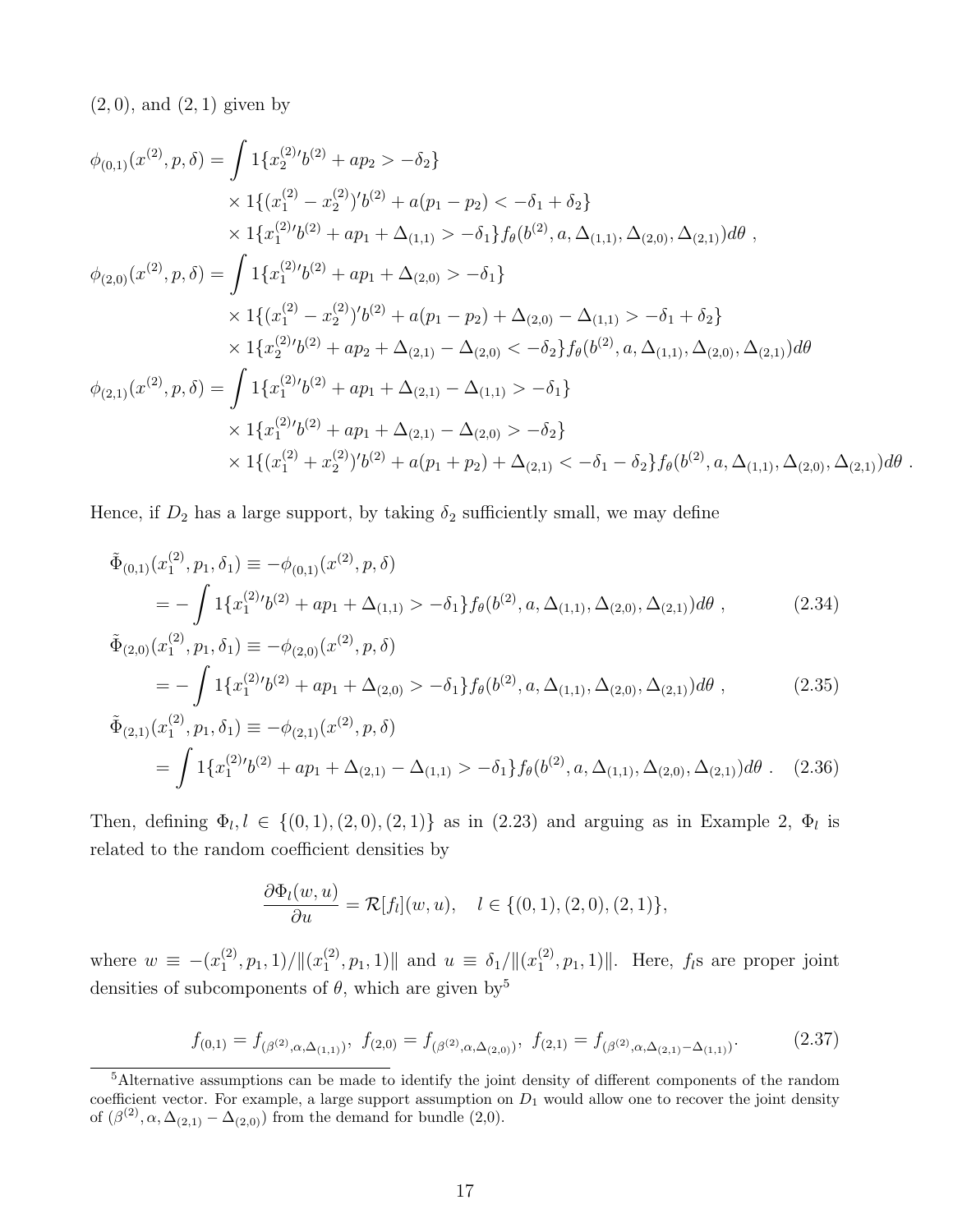$(2, 0)$ , and  $(2, 1)$  given by

$$
\phi_{(0,1)}(x^{(2)}, p, \delta) = \int 1\{x_2^{(2)}(b^{(2)} + ap_2 > -\delta_2\} \\
\times 1\{(x_1^{(2)} - x_2^{(2)})'(b^{(2)} + a(p_1 - p_2) < -\delta_1 + \delta_2\} \\
\times 1\{x_1^{(2)}(b^{(2)} + ap_1 + \Delta_{(1,1)} > -\delta_1\}f_\theta(b^{(2)}, a, \Delta_{(1,1)}, \Delta_{(2,0)}, \Delta_{(2,1)})d\theta ,\
$$
  

$$
\phi_{(2,0)}(x^{(2)}, p, \delta) = \int 1\{x_1^{(2)}(b^{(2)} + ap_1 + \Delta_{(2,0)} > -\delta_1\} \\
\times 1\{(x_1^{(2)} - x_2^{(2)})'(b^{(2)} + a(p_1 - p_2) + \Delta_{(2,0)} - \Delta_{(1,1)} > -\delta_1 + \delta_2\} \\
\times 1\{x_2^{(2)}(b^{(2)} + ap_2 + \Delta_{(2,1)} - \Delta_{(2,0)} < -\delta_2\}f_\theta(b^{(2)}, a, \Delta_{(1,1)}, \Delta_{(2,0)}, \Delta_{(2,1)})d\theta
$$
  

$$
\phi_{(2,1)}(x^{(2)}, p, \delta) = \int 1\{x_1^{(2)}(b^{(2)} + ap_1 + \Delta_{(2,1)} - \Delta_{(1,1)} > -\delta_1\} \\
\times 1\{x_1^{(2)}(b^{(2)} + ap_1 + \Delta_{(2,1)} - \Delta_{(2,0)} > -\delta_2\} \\
\times 1\{(x_1^{(2)} + x_2^{(2)})'(b^{(2)} + a(p_1 + p_2) + \Delta_{(2,1)} < -\delta_1 - \delta_2\}f_\theta(b^{(2)}, a, \Delta_{(1,1)}, \Delta_{(2,0)}, \Delta_{(2,1)})d\theta.
$$

Hence, if  $D_2$  has a large support, by taking  $\delta_2$  sufficiently small, we may define

$$
\tilde{\Phi}_{(0,1)}(x_1^{(2)}, p_1, \delta_1) \equiv -\phi_{(0,1)}(x^{(2)}, p, \delta)
$$
\n
$$
= -\int 1\{x_1^{(2)}b^{(2)} + ap_1 + \Delta_{(1,1)} > -\delta_1\}f_\theta(b^{(2)}, a, \Delta_{(1,1)}, \Delta_{(2,0)}, \Delta_{(2,1)})d\theta,
$$
\n(2.34)

$$
\tilde{\Phi}_{(2,0)}(x_1^{(2)}, p_1, \delta_1) \equiv -\phi_{(2,0)}(x^{(2)}, p, \delta)
$$
\n
$$
= -\int 1\{x_1^{(2)}(b^{(2)} + ap_1 + \Delta_{(2,0)} > -\delta_1\} f_\theta(b^{(2)}, a, \Delta_{(1,1)}, \Delta_{(2,0)}, \Delta_{(2,1)}) d\theta ,
$$
\n(2.35)

$$
\tilde{\Phi}_{(2,1)}(x_1^{(2)}, p_1, \delta_1) \equiv -\phi_{(2,1)}(x^{(2)}, p, \delta)
$$
\n
$$
= \int 1\{x_1^{(2)}(b^{(2)} + ap_1 + \Delta_{(2,1)} - \Delta_{(1,1)} > -\delta_1\} f_\theta(b^{(2)}, a, \Delta_{(1,1)}, \Delta_{(2,0)}, \Delta_{(2,1)}) d\theta \,. \tag{2.36}
$$

Then, defining  $\Phi_l, l \in \{(0,1), (2,0), (2,1)\}\$ as in  $(2.23)$  and arguing as in Example 2,  $\Phi_l$  is related to the random coefficient densities by

$$
\frac{\partial \Phi_l(w, u)}{\partial u} = \mathcal{R}[f_l](w, u), \quad l \in \{(0, 1), (2, 0), (2, 1)\},\
$$

where  $w \equiv -(x_1^{(2)})$  $\binom{2}{1}, p_1, 1)/\|(x_1^{(2)}$  $\mathcal{L}_1^{(2)}, p_1, 1)$  and  $u \equiv \delta_1 / ||(x_1^{(2)})$  $\|f_1^{(2)}, p_1, 1\rangle\|$ . Here,  $f_i$ s are proper joint densities of subcomponents of  $\theta$ , which are given by<sup>5</sup>

$$
f_{(0,1)} = f_{(\beta^{(2)}, \alpha, \Delta_{(1,1)})}, \ f_{(2,0)} = f_{(\beta^{(2)}, \alpha, \Delta_{(2,0)})}, \ f_{(2,1)} = f_{(\beta^{(2)}, \alpha, \Delta_{(2,1)} - \Delta_{(1,1)})}.
$$
(2.37)

<sup>5</sup>Alternative assumptions can be made to identify the joint density of different components of the random coefficient vector. For example, a large support assumption on  $D_1$  would allow one to recover the joint density of  $(\beta^{(2)}, \alpha, \Delta_{(2,1)} - \Delta_{(2,0)})$  from the demand for bundle  $(2,0)$ .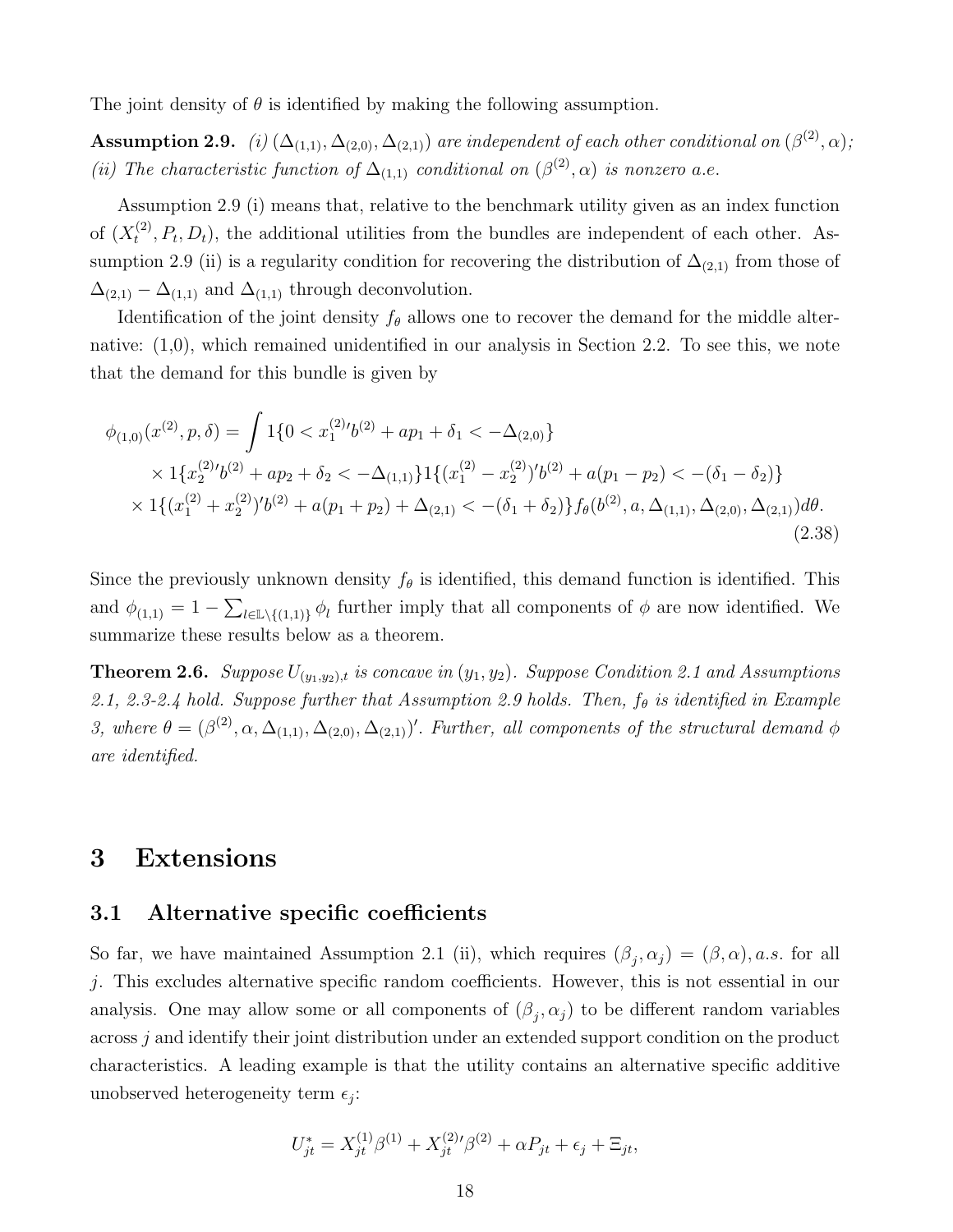The joint density of  $\theta$  is identified by making the following assumption.

**Assumption 2.9.** (i)  $(\Delta_{(1,1)}, \Delta_{(2,0)}, \Delta_{(2,1)})$  are independent of each other conditional on  $(\beta^{(2)}, \alpha)$ ; (ii) The characteristic function of  $\Delta_{(1,1)}$  conditional on  $(\beta^{(2)}, \alpha)$  is nonzero a.e.

Assumption 2.9 (i) means that, relative to the benchmark utility given as an index function of  $(X_t^{(2)}$  $t^{(2)}$ ,  $P_t$ ,  $D_t$ ), the additional utilities from the bundles are independent of each other. Assumption 2.9 (ii) is a regularity condition for recovering the distribution of  $\Delta_{(2,1)}$  from those of  $\Delta_{(2,1)}$  –  $\Delta_{(1,1)}$  and  $\Delta_{(1,1)}$  through deconvolution.

Identification of the joint density  $f_{\theta}$  allows one to recover the demand for the middle alternative: (1,0), which remained unidentified in our analysis in Section 2.2. To see this, we note that the demand for this bundle is given by

$$
\phi_{(1,0)}(x^{(2)}, p, \delta) = \int 1\{0 < x_1^{(2)'}b^{(2)} + ap_1 + \delta_1 < -\Delta_{(2,0)}\} \\
\times 1\{x_2^{(2)'}b^{(2)} + ap_2 + \delta_2 < -\Delta_{(1,1)}\}1\{(x_1^{(2)} - x_2^{(2)})'b^{(2)} + a(p_1 - p_2) < -(\delta_1 - \delta_2)\} \\
\times 1\{(x_1^{(2)} + x_2^{(2)})'b^{(2)} + a(p_1 + p_2) + \Delta_{(2,1)} < -(\delta_1 + \delta_2)\}f_\theta(b^{(2)}, a, \Delta_{(1,1)}, \Delta_{(2,0)}, \Delta_{(2,1)})d\theta. \tag{2.38}
$$

Since the previously unknown density  $f_{\theta}$  is identified, this demand function is identified. This and  $\phi_{(1,1)} = 1 - \sum_{l \in \mathbb{L} \setminus \{(1,1)\}} \phi_l$  further imply that all components of  $\phi$  are now identified. We summarize these results below as a theorem.

**Theorem 2.6.** Suppose  $U_{(y_1,y_2),t}$  is concave in  $(y_1, y_2)$ . Suppose Condition 2.1 and Assumptions 2.1, 2.3-2.4 hold. Suppose further that Assumption 2.9 holds. Then,  $f_{\theta}$  is identified in Example 3, where  $\theta = (\beta^{(2)}, \alpha, \Delta_{(1,1)}, \Delta_{(2,0)}, \Delta_{(2,1)})'$ . Further, all components of the structural demand  $\phi$ are identified.

## 3 Extensions

#### 3.1 Alternative specific coefficients

So far, we have maintained Assumption 2.1 (ii), which requires  $(\beta_j, \alpha_j) = (\beta, \alpha)$ , a.s. for all j. This excludes alternative specific random coefficients. However, this is not essential in our analysis. One may allow some or all components of  $(\beta_j, \alpha_j)$  to be different random variables across j and identify their joint distribution under an extended support condition on the product characteristics. A leading example is that the utility contains an alternative specific additive unobserved heterogeneity term  $\epsilon_j$ :

$$
U_{jt}^* = X_{jt}^{(1)}\beta^{(1)} + X_{jt}^{(2)}\beta^{(2)} + \alpha P_{jt} + \epsilon_j + \Xi_{jt},
$$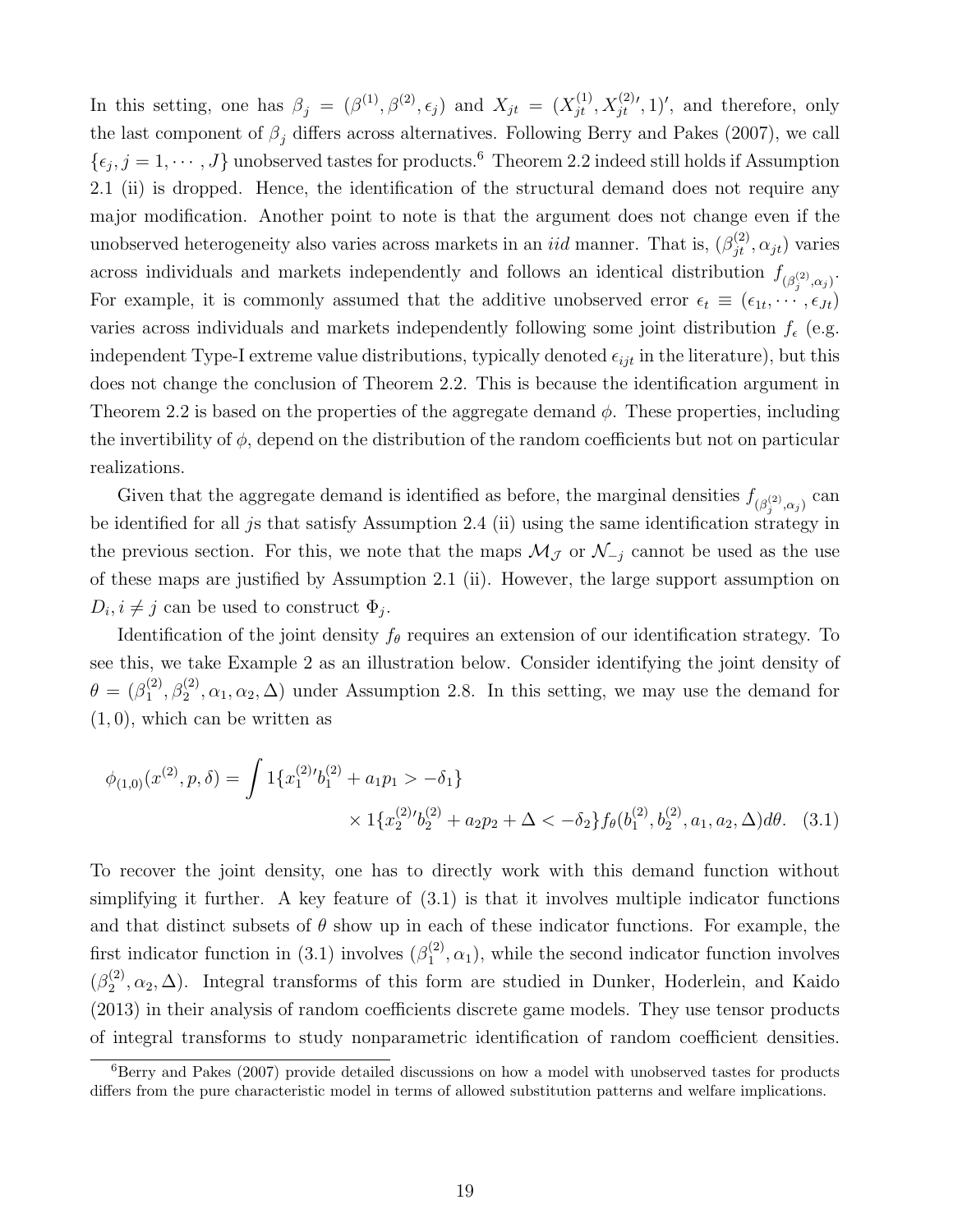In this setting, one has  $\beta_j = (\beta^{(1)}, \beta^{(2)}, \epsilon_j)$  and  $X_{jt} = (X_{jt}^{(1)}, X_{jt}^{(2)}, 1)'$ , and therefore, only the last component of  $\beta_j$  differs across alternatives. Following Berry and Pakes (2007), we call  $\{\epsilon_j, j = 1, \cdots, J\}$  unobserved tastes for products.<sup>6</sup> Theorem 2.2 indeed still holds if Assumption 2.1 (ii) is dropped. Hence, the identification of the structural demand does not require any major modification. Another point to note is that the argument does not change even if the unobserved heterogeneity also varies across markets in an *iid* manner. That is,  $(\beta_{jt}^{(2)}, \alpha_{jt})$  varies across individuals and markets independently and follows an identical distribution  $f_{(\beta_j^{(2)},\alpha_j)}$ . For example, it is commonly assumed that the additive unobserved error  $\epsilon_t \equiv (\epsilon_{1t}, \cdots, \epsilon_{Jt})$ varies across individuals and markets independently following some joint distribution  $f_{\epsilon}$  (e.g. independent Type-I extreme value distributions, typically denoted  $\epsilon_{ijt}$  in the literature), but this does not change the conclusion of Theorem 2.2. This is because the identification argument in Theorem 2.2 is based on the properties of the aggregate demand  $\phi$ . These properties, including the invertibility of  $\phi$ , depend on the distribution of the random coefficients but not on particular realizations.

Given that the aggregate demand is identified as before, the marginal densities  $f_{(\beta_j^{(2)},\alpha_j)}$  can be identified for all js that satisfy Assumption 2.4 (ii) using the same identification strategy in the previous section. For this, we note that the maps  $\mathcal{M}_{\mathcal{J}}$  or  $\mathcal{N}_{-j}$  cannot be used as the use of these maps are justified by Assumption 2.1 (ii). However, the large support assumption on  $D_i, i \neq j$  can be used to construct  $\Phi_j$ .

Identification of the joint density  $f_{\theta}$  requires an extension of our identification strategy. To see this, we take Example 2 as an illustration below. Consider identifying the joint density of  $\theta = (\beta_1^{(2)}$  $\binom{2}{1}, \beta_2^{(2)}, \alpha_1, \alpha_2, \Delta$  under Assumption 2.8. In this setting, we may use the demand for  $(1, 0)$ , which can be written as

$$
\phi_{(1,0)}(x^{(2)}, p, \delta) = \int 1\{x_1^{(2)}\prime b_1^{(2)} + a_1 p_1 > -\delta_1\} \times 1\{x_2^{(2)}\prime b_2^{(2)} + a_2 p_2 + \Delta < -\delta_2\} f_\theta(b_1^{(2)}, b_2^{(2)}, a_1, a_2, \Delta) d\theta. \tag{3.1}
$$

To recover the joint density, one has to directly work with this demand function without simplifying it further. A key feature of  $(3.1)$  is that it involves multiple indicator functions and that distinct subsets of  $\theta$  show up in each of these indicator functions. For example, the first indicator function in (3.1) involves  $(\beta_1^{(2)})$  $\binom{2}{1}$ ,  $\alpha_1$ ), while the second indicator function involves  $(\beta_2^{(2)}$  $\mathcal{L}_2^{(2)}, \alpha_2, \Delta$ ). Integral transforms of this form are studied in Dunker, Hoderlein, and Kaido (2013) in their analysis of random coefficients discrete game models. They use tensor products of integral transforms to study nonparametric identification of random coefficient densities.

 $6$ Berry and Pakes (2007) provide detailed discussions on how a model with unobserved tastes for products differs from the pure characteristic model in terms of allowed substitution patterns and welfare implications.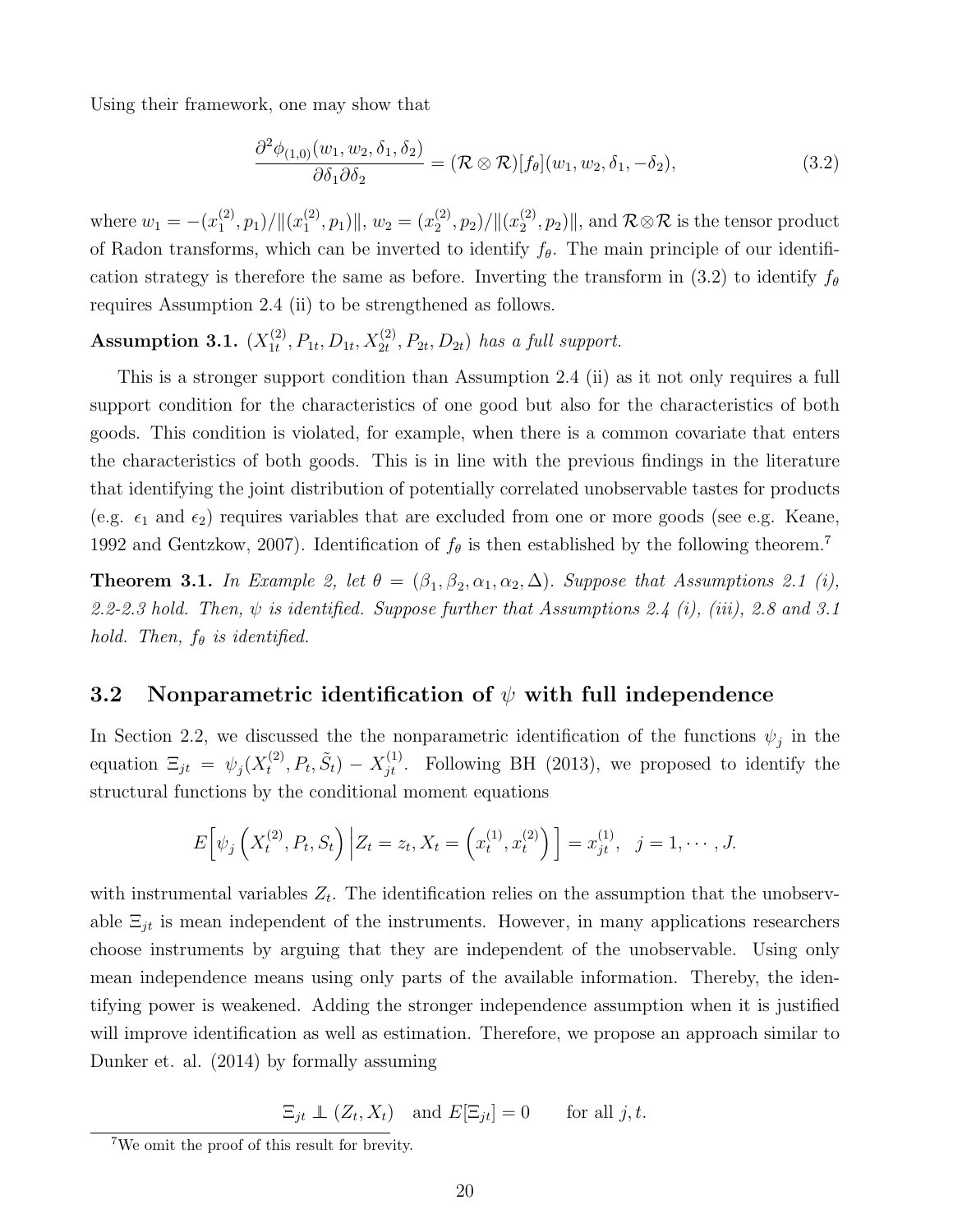Using their framework, one may show that

$$
\frac{\partial^2 \phi_{(1,0)}(w_1, w_2, \delta_1, \delta_2)}{\partial \delta_1 \partial \delta_2} = (\mathcal{R} \otimes \mathcal{R})[f_\theta](w_1, w_2, \delta_1, -\delta_2),\tag{3.2}
$$

where  $w_1 = -(x_1^{(2)})$  $\binom{2}{1}, p_1)/\|(x_1^{(2)}$  $\binom{2}{1}, p_1$ ||,  $w_2 = (x_2^{(2)})$  $\binom{2}{2}, p_2)/\|(x_2^{(2)}$  $\mathbb{Z}_2^{(2)}, p_2$  | ||, and  $\mathcal{R} \otimes \mathcal{R}$  is the tensor product of Radon transforms, which can be inverted to identify  $f_{\theta}$ . The main principle of our identification strategy is therefore the same as before. Inverting the transform in (3.2) to identify  $f_{\theta}$ requires Assumption 2.4 (ii) to be strengthened as follows.

#### Assumption 3.1.  $(X_{1t}^{(2)}$  $I_1^{(2)}, P_{1t}, D_{1t}, X_{2t}^{(2)}, P_{2t}, D_{2t})$  has a full support.

This is a stronger support condition than Assumption 2.4 (ii) as it not only requires a full support condition for the characteristics of one good but also for the characteristics of both goods. This condition is violated, for example, when there is a common covariate that enters the characteristics of both goods. This is in line with the previous findings in the literature that identifying the joint distribution of potentially correlated unobservable tastes for products (e.g.  $\epsilon_1$  and  $\epsilon_2$ ) requires variables that are excluded from one or more goods (see e.g. Keane, 1992 and Gentzkow, 2007). Identification of  $f_{\theta}$  is then established by the following theorem.<sup>7</sup>

**Theorem 3.1.** In Example 2, let  $\theta = (\beta_1, \beta_2, \alpha_1, \alpha_2, \Delta)$ . Suppose that Assumptions 2.1 (i), 2.2-2.3 hold. Then,  $\psi$  is identified. Suppose further that Assumptions 2.4 (i), (iii), 2.8 and 3.1 hold. Then,  $f_{\theta}$  is identified.

## 3.2 Nonparametric identification of  $\psi$  with full independence

In Section 2.2, we discussed the the nonparametric identification of the functions  $\psi_j$  in the equation  $\Xi_{jt} = \psi_j(X_t^{(2)})$  $t_i^{(2)}, P_t, \tilde{S}_t$  –  $X_{jt}^{(1)}$ . Following BH (2013), we proposed to identify the structural functions by the conditional moment equations

$$
E\left[\psi_j\left(X_t^{(2)}, P_t, S_t\right) \Big| Z_t = z_t, X_t = \left(x_t^{(1)}, x_t^{(2)}\right) \right] = x_{jt}^{(1)}, \ \ j = 1, \cdots, J.
$$

with instrumental variables  $Z_t$ . The identification relies on the assumption that the unobservable  $\Xi_{jt}$  is mean independent of the instruments. However, in many applications researchers choose instruments by arguing that they are independent of the unobservable. Using only mean independence means using only parts of the available information. Thereby, the identifying power is weakened. Adding the stronger independence assumption when it is justified will improve identification as well as estimation. Therefore, we propose an approach similar to Dunker et. al. (2014) by formally assuming

 $\Xi_{jt} \perp \!\!\!\! \perp (Z_t, X_t)$  and  $E[\Xi_{jt}] = 0$  for all j, t.

<sup>7</sup>We omit the proof of this result for brevity.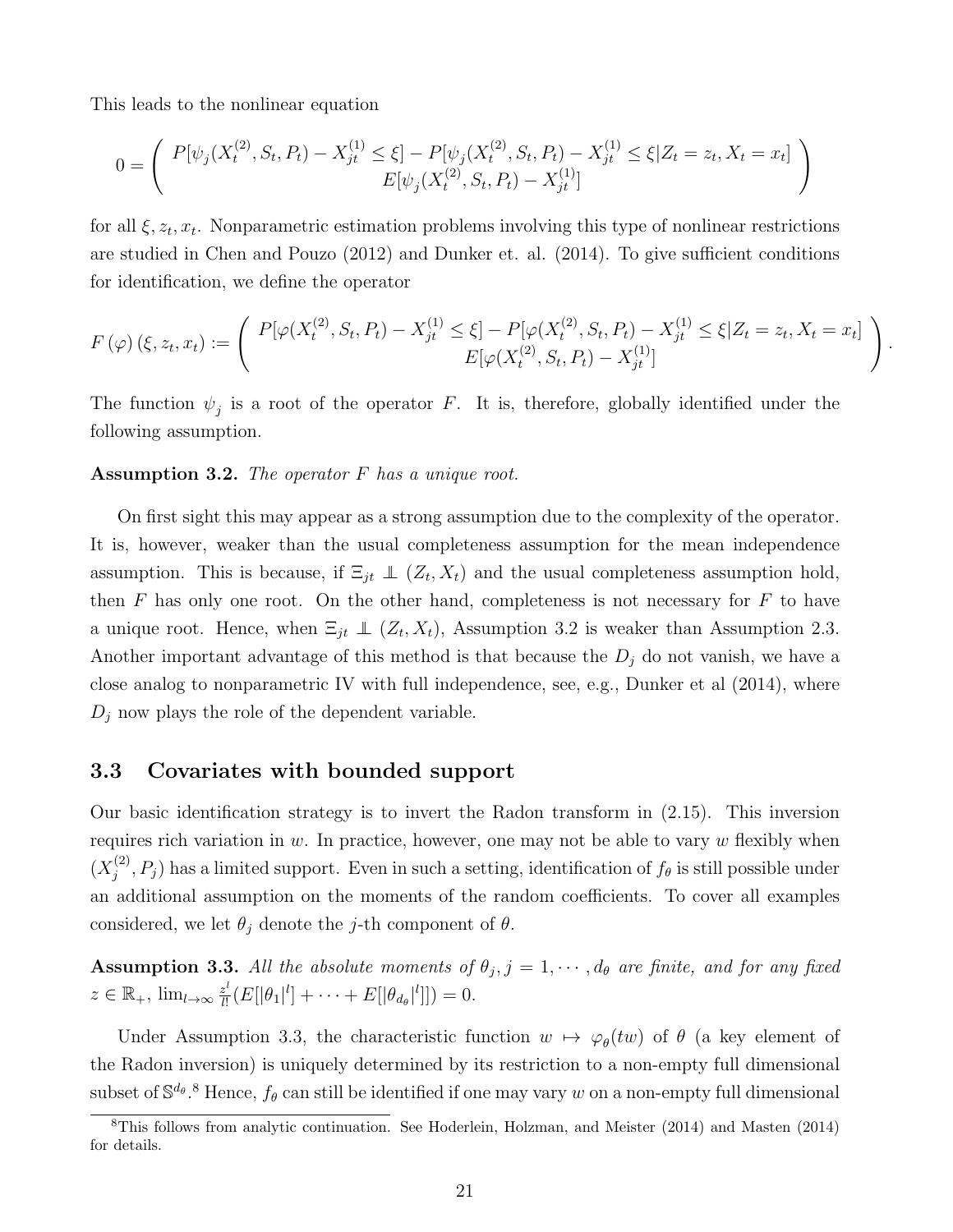This leads to the nonlinear equation

$$
0 = \begin{pmatrix} P[\psi_j(X_t^{(2)}, S_t, P_t) - X_{jt}^{(1)} \le \xi] - P[\psi_j(X_t^{(2)}, S_t, P_t) - X_{jt}^{(1)} \le \xi | Z_t = z_t, X_t = x_t] \\ E[\psi_j(X_t^{(2)}, S_t, P_t) - X_{jt}^{(1)}] \end{pmatrix}
$$

for all  $\xi, z_t, x_t$ . Nonparametric estimation problems involving this type of nonlinear restrictions are studied in Chen and Pouzo (2012) and Dunker et. al. (2014). To give sufficient conditions for identification, we define the operator

$$
F(\varphi)(\xi, z_t, x_t) := \left( \begin{array}{c} P[\varphi(X_t^{(2)}, S_t, P_t) - X_{jt}^{(1)} \leq \xi] - P[\varphi(X_t^{(2)}, S_t, P_t) - X_{jt}^{(1)} \leq \xi | Z_t = z_t, X_t = x_t] \\ E[\varphi(X_t^{(2)}, S_t, P_t) - X_{jt}^{(1)}] \end{array} \right).
$$

The function  $\psi_j$  is a root of the operator F. It is, therefore, globally identified under the following assumption.

### Assumption 3.2. The operator  $F$  has a unique root.

On first sight this may appear as a strong assumption due to the complexity of the operator. It is, however, weaker than the usual completeness assumption for the mean independence assumption. This is because, if  $\Xi_{jt} \perp (Z_t, X_t)$  and the usual completeness assumption hold, then  $F$  has only one root. On the other hand, completeness is not necessary for  $F$  to have a unique root. Hence, when  $\Xi_{jt} \perp (Z_t, X_t)$ , Assumption 3.2 is weaker than Assumption 2.3. Another important advantage of this method is that because the  $D_j$  do not vanish, we have a close analog to nonparametric IV with full independence, see, e.g., Dunker et al (2014), where  $D_j$  now plays the role of the dependent variable.

## 3.3 Covariates with bounded support

Our basic identification strategy is to invert the Radon transform in (2.15). This inversion requires rich variation in  $w$ . In practice, however, one may not be able to vary  $w$  flexibly when  $(X_i^{(2)}$  $j^{(2)}$ ,  $P_j$ ) has a limited support. Even in such a setting, identification of  $f_\theta$  is still possible under an additional assumption on the moments of the random coefficients. To cover all examples considered, we let  $\theta_i$  denote the j-th component of  $\theta$ .

**Assumption 3.3.** All the absolute moments of  $\theta_j$ ,  $j = 1, \dots, d_\theta$  are finite, and for any fixed  $z \in \mathbb{R}_+$ ,  $\lim_{l \to \infty} \frac{z^l}{l!}$  $\frac{z^l}{l!}(E[|\theta_1|^l] + \cdots + E[|\theta_{d_{\theta}}|^l]]) = 0.$ 

Under Assumption 3.3, the characteristic function  $w \mapsto \varphi_{\theta}(tw)$  of  $\theta$  (a key element of the Radon inversion) is uniquely determined by its restriction to a non-empty full dimensional subset of  $\mathbb{S}^{d_\theta}$ .<sup>8</sup> Hence,  $f_\theta$  can still be identified if one may vary w on a non-empty full dimensional

<sup>8</sup>This follows from analytic continuation. See Hoderlein, Holzman, and Meister (2014) and Masten (2014) for details.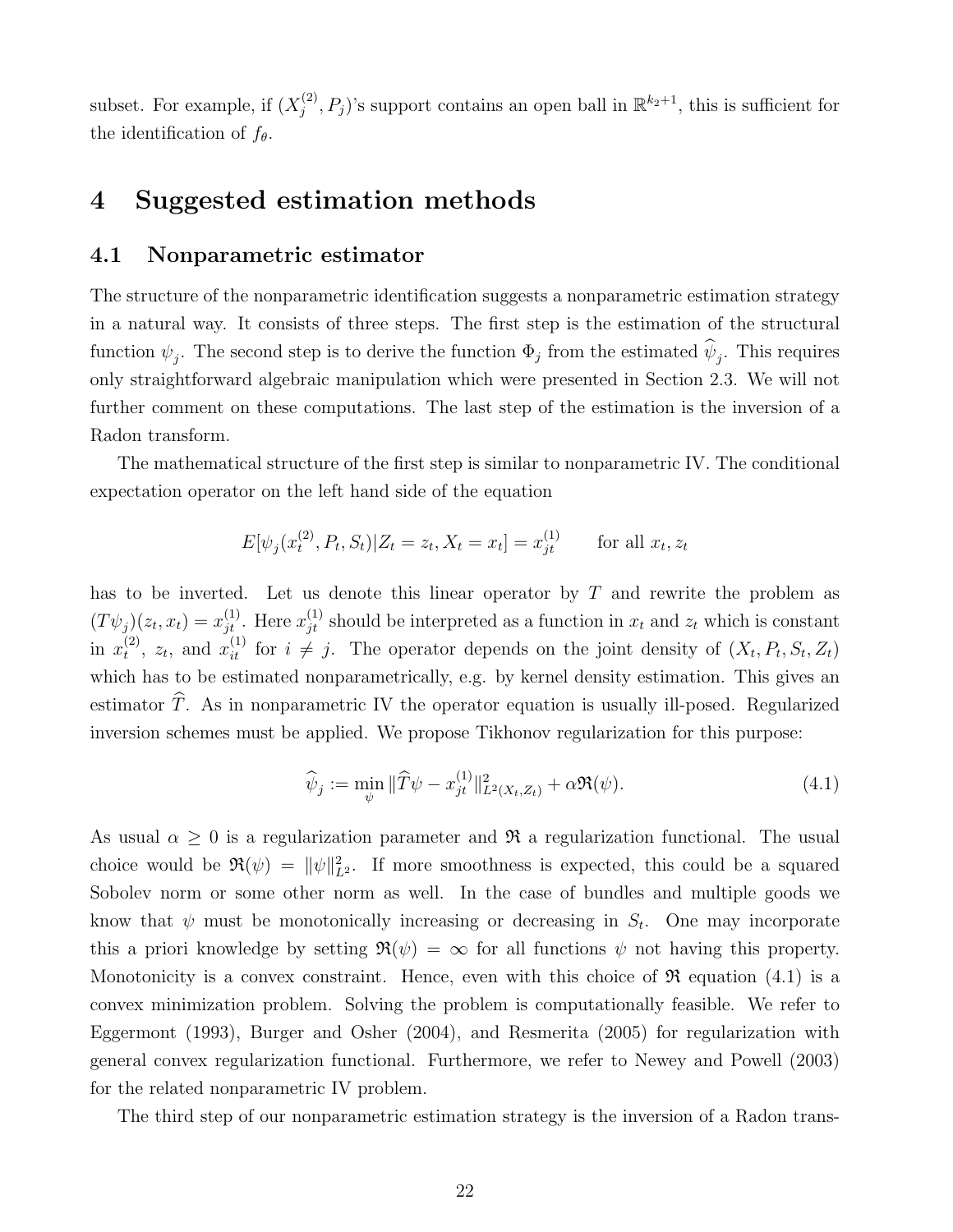subset. For example, if  $(X_i^{(2)}$  $(j^{(2)}, P_j)$ 's support contains an open ball in  $\mathbb{R}^{k_2+1}$ , this is sufficient for the identification of  $f_{\theta}$ .

# 4 Suggested estimation methods

### 4.1 Nonparametric estimator

The structure of the nonparametric identification suggests a nonparametric estimation strategy in a natural way. It consists of three steps. The first step is the estimation of the structural function  $\psi_j$ . The second step is to derive the function  $\Phi_j$  from the estimated  $\psi_j$ . This requires only straightforward algebraic manipulation which were presented in Section 2.3. We will not further comment on these computations. The last step of the estimation is the inversion of a Radon transform.

The mathematical structure of the first step is similar to nonparametric IV. The conditional expectation operator on the left hand side of the equation

$$
E[\psi_j(x_t^{(2)}, P_t, S_t)|Z_t = z_t, X_t = x_t] = x_{jt}^{(1)} \quad \text{for all } x_t, z_t
$$

has to be inverted. Let us denote this linear operator by T and rewrite the problem as  $(T\psi_j)(z_t, x_t) = x_{jt}^{(1)}$ . Here  $x_{jt}^{(1)}$  should be interpreted as a function in  $x_t$  and  $z_t$  which is constant in  $x_t^{(2)}$  $t^{(2)}$ ,  $z_t$ , and  $x_{it}^{(1)}$  for  $i \neq j$ . The operator depends on the joint density of  $(X_t, P_t, S_t, Z_t)$ which has to be estimated nonparametrically, e.g. by kernel density estimation. This gives an estimator  $\widehat{T}$ . As in nonparametric IV the operator equation is usually ill-posed. Regularized inversion schemes must be applied. We propose Tikhonov regularization for this purpose:

$$
\widehat{\psi}_j := \min_{\psi} \|\widehat{T}\psi - x_{jt}^{(1)}\|_{L^2(X_t, Z_t)}^2 + \alpha \Re(\psi). \tag{4.1}
$$

As usual  $\alpha \geq 0$  is a regularization parameter and  $\Re$  a regularization functional. The usual choice would be  $\Re(\psi) = ||\psi||_{L^2}^2$ . If more smoothness is expected, this could be a squared Sobolev norm or some other norm as well. In the case of bundles and multiple goods we know that  $\psi$  must be monotonically increasing or decreasing in  $S_t$ . One may incorporate this a priori knowledge by setting  $\Re(\psi) = \infty$  for all functions  $\psi$  not having this property. Monotonicity is a convex constraint. Hence, even with this choice of  $\Re$  equation (4.1) is a convex minimization problem. Solving the problem is computationally feasible. We refer to Eggermont (1993), Burger and Osher (2004), and Resmerita (2005) for regularization with general convex regularization functional. Furthermore, we refer to Newey and Powell (2003) for the related nonparametric IV problem.

The third step of our nonparametric estimation strategy is the inversion of a Radon trans-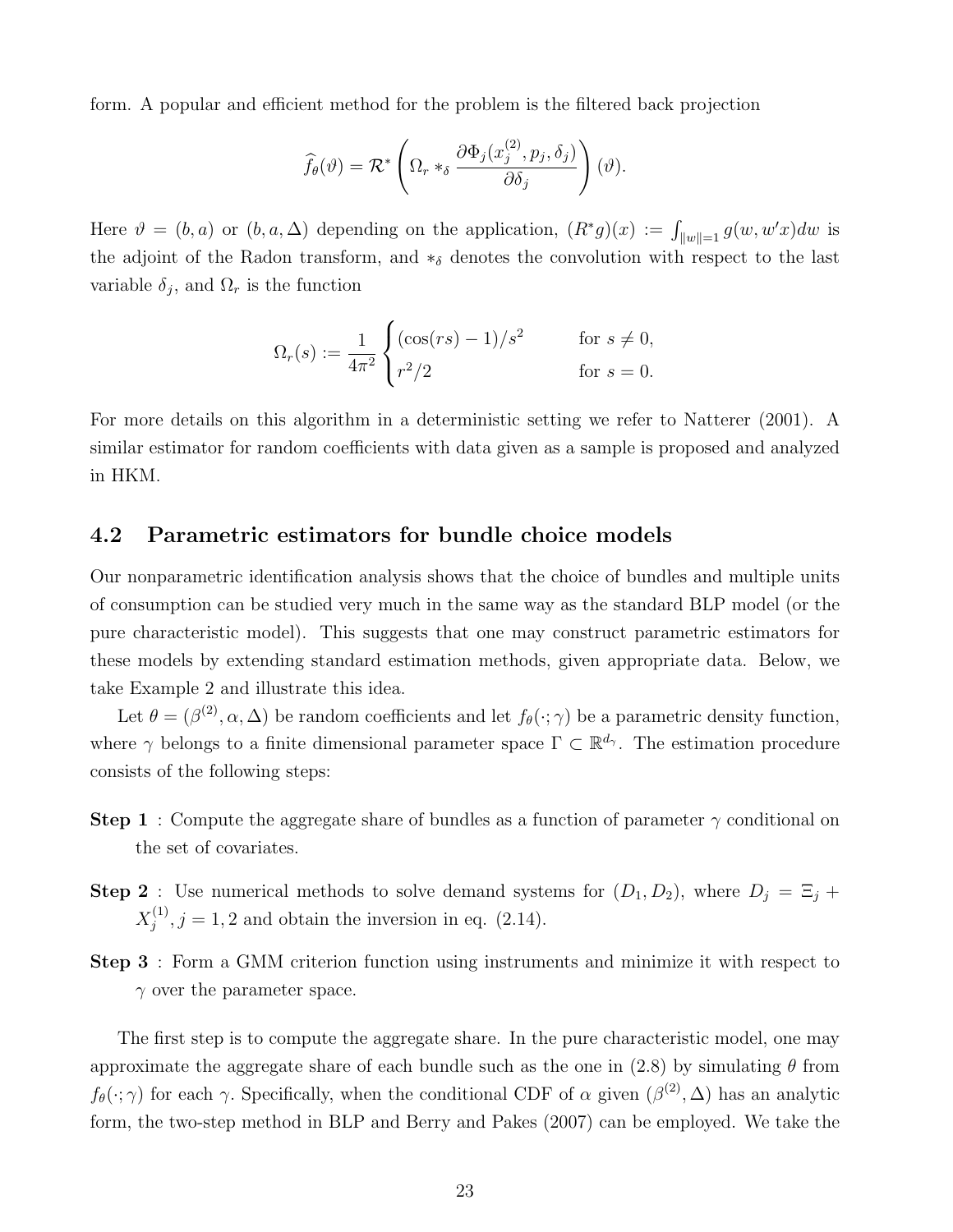form. A popular and efficient method for the problem is the filtered back projection

$$
\widehat{f}_{\theta}(\vartheta) = \mathcal{R}^* \left( \Omega_r *_{\delta} \frac{\partial \Phi_j(x_j^{(2)}, p_j, \delta_j)}{\partial \delta_j} \right) (\vartheta).
$$

Here  $\vartheta = (b, a)$  or  $(b, a, \Delta)$  depending on the application,  $(R^*g)(x) := \int_{\|w\|=1} g(w, w'x)dw$  is the adjoint of the Radon transform, and  $*_\delta$  denotes the convolution with respect to the last variable  $\delta_j$ , and  $\Omega_r$  is the function

$$
\Omega_r(s) := \frac{1}{4\pi^2} \begin{cases} (\cos(rs) - 1)/s^2 & \text{for } s \neq 0, \\ r^2/2 & \text{for } s = 0. \end{cases}
$$

For more details on this algorithm in a deterministic setting we refer to Natterer (2001). A similar estimator for random coefficients with data given as a sample is proposed and analyzed in HKM.

#### 4.2 Parametric estimators for bundle choice models

Our nonparametric identification analysis shows that the choice of bundles and multiple units of consumption can be studied very much in the same way as the standard BLP model (or the pure characteristic model). This suggests that one may construct parametric estimators for these models by extending standard estimation methods, given appropriate data. Below, we take Example 2 and illustrate this idea.

Let  $\theta = (\beta^{(2)}, \alpha, \Delta)$  be random coefficients and let  $f_{\theta}(\cdot; \gamma)$  be a parametric density function, where  $\gamma$  belongs to a finite dimensional parameter space  $\Gamma \subset \mathbb{R}^{d_{\gamma}}$ . The estimation procedure consists of the following steps:

- **Step 1** : Compute the aggregate share of bundles as a function of parameter  $\gamma$  conditional on the set of covariates.
- **Step 2**: Use numerical methods to solve demand systems for  $(D_1, D_2)$ , where  $D_j = \Xi_j +$  $X_i^{(1)}$  $j^{(1)}$ ,  $j = 1, 2$  and obtain the inversion in eq. (2.14).
- Step 3 : Form a GMM criterion function using instruments and minimize it with respect to  $\gamma$  over the parameter space.

The first step is to compute the aggregate share. In the pure characteristic model, one may approximate the aggregate share of each bundle such as the one in (2.8) by simulating  $\theta$  from  $f_{\theta}(\cdot;\gamma)$  for each  $\gamma$ . Specifically, when the conditional CDF of  $\alpha$  given  $(\beta^{(2)}, \Delta)$  has an analytic form, the two-step method in BLP and Berry and Pakes (2007) can be employed. We take the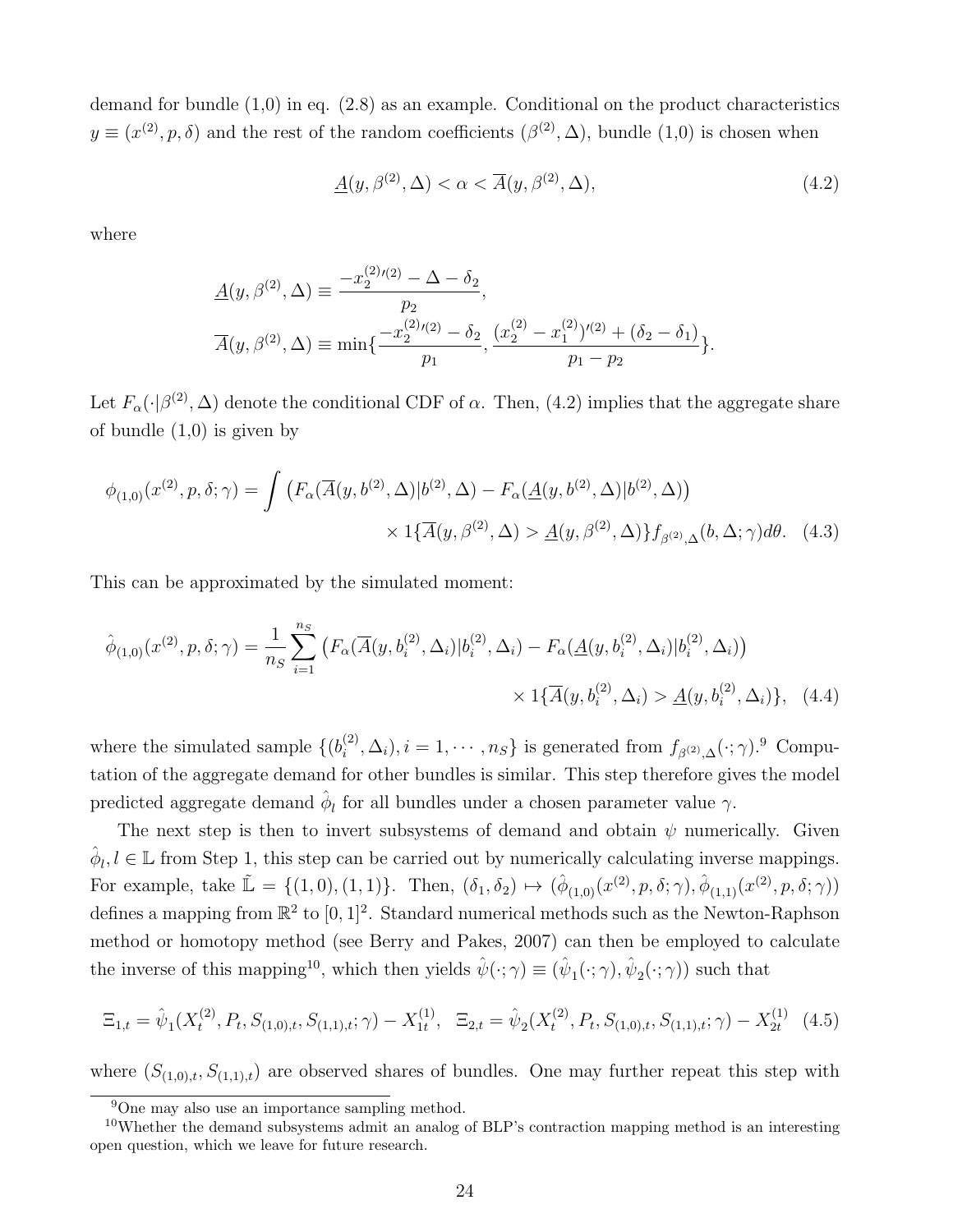demand for bundle  $(1,0)$  in eq.  $(2.8)$  as an example. Conditional on the product characteristics  $y \equiv (x^{(2)}, p, \delta)$  and the rest of the random coefficients  $(\beta^{(2)}, \Delta)$ , bundle  $(1,0)$  is chosen when

$$
\underline{A}(y,\beta^{(2)},\Delta)<\alpha<\overline{A}(y,\beta^{(2)},\Delta),\tag{4.2}
$$

where

$$
\begin{aligned} \underline{A}(y,\beta^{(2)},\Delta) & \equiv \frac{-x_2^{(2)}(2)-\Delta-\delta_2}{p_2}, \\ \overline{A}(y,\beta^{(2)},\Delta) & \equiv \min\{\frac{-x_2^{(2)}(2)-\delta_2}{p_1},\frac{(x_2^{(2)}-x_1^{(2)})'(2)+(\delta_2-\delta_1)}{p_1-p_2}\}. \end{aligned}
$$

Let  $F_\alpha(\cdot|\beta^{(2)},\Delta)$  denote the conditional CDF of  $\alpha$ . Then, (4.2) implies that the aggregate share of bundle  $(1,0)$  is given by

$$
\phi_{(1,0)}(x^{(2)}, p, \delta; \gamma) = \int \left( F_{\alpha}(\overline{A}(y, b^{(2)}, \Delta) | b^{(2)}, \Delta) - F_{\alpha}(\underline{A}(y, b^{(2)}, \Delta) | b^{(2)}, \Delta) \right) \times 1 \{ \overline{A}(y, \beta^{(2)}, \Delta) > \underline{A}(y, \beta^{(2)}, \Delta) \} f_{\beta^{(2)}, \Delta}(b, \Delta; \gamma) d\theta. \tag{4.3}
$$

This can be approximated by the simulated moment:

$$
\hat{\phi}_{(1,0)}(x^{(2)}, p, \delta; \gamma) = \frac{1}{n_S} \sum_{i=1}^{n_S} \left( F_\alpha(\overline{A}(y, b_i^{(2)}, \Delta_i) | b_i^{(2)}, \Delta_i) - F_\alpha(\underline{A}(y, b_i^{(2)}, \Delta_i) | b_i^{(2)}, \Delta_i) \right) \times 1\{\overline{A}(y, b_i^{(2)}, \Delta_i) > \underline{A}(y, b_i^{(2)}, \Delta_i)\}, \quad (4.4)
$$

where the simulated sample  $\{b_i^{(2)}\}$  $i^{(2)}, \Delta_i$ ,  $i = 1, \cdots, n_S$  is generated from  $f_{\beta^{(2)}, \Delta}(\cdot; \gamma)$ . Computation of the aggregate demand for other bundles is similar. This step therefore gives the model predicted aggregate demand  $\hat{\phi}_l$  for all bundles under a chosen parameter value  $\gamma$ .

The next step is then to invert subsystems of demand and obtain  $\psi$  numerically. Given  $\hat{\phi}_l, l \in \mathbb{L}$  from Step 1, this step can be carried out by numerically calculating inverse mappings. For example, take  $\mathbb{L} = \{(1,0), (1,1)\}\.$  Then,  $(\delta_1, \delta_2) \mapsto (\hat{\phi}_{(1,0)}(x^{(2)}, p, \delta; \gamma), \hat{\phi}_{(1,1)}(x^{(2)}, p, \delta; \gamma))$ defines a mapping from  $\mathbb{R}^2$  to  $[0,1]^2$ . Standard numerical methods such as the Newton-Raphson method or homotopy method (see Berry and Pakes, 2007) can then be employed to calculate the inverse of this mapping<sup>10</sup>, which then yields  $\hat{\psi}(\cdot;\gamma) \equiv (\hat{\psi}_1(\cdot;\gamma), \hat{\psi}_2(\cdot;\gamma))$  such that

$$
\Xi_{1,t} = \hat{\psi}_1(X_t^{(2)}, P_t, S_{(1,0),t}, S_{(1,1),t}; \gamma) - X_{1t}^{(1)}, \quad \Xi_{2,t} = \hat{\psi}_2(X_t^{(2)}, P_t, S_{(1,0),t}, S_{(1,1),t}; \gamma) - X_{2t}^{(1)} \tag{4.5}
$$

where  $(S_{(1,0),t}, S_{(1,1),t})$  are observed shares of bundles. One may further repeat this step with

<sup>9</sup>One may also use an importance sampling method.

<sup>&</sup>lt;sup>10</sup>Whether the demand subsystems admit an analog of BLP's contraction mapping method is an interesting open question, which we leave for future research.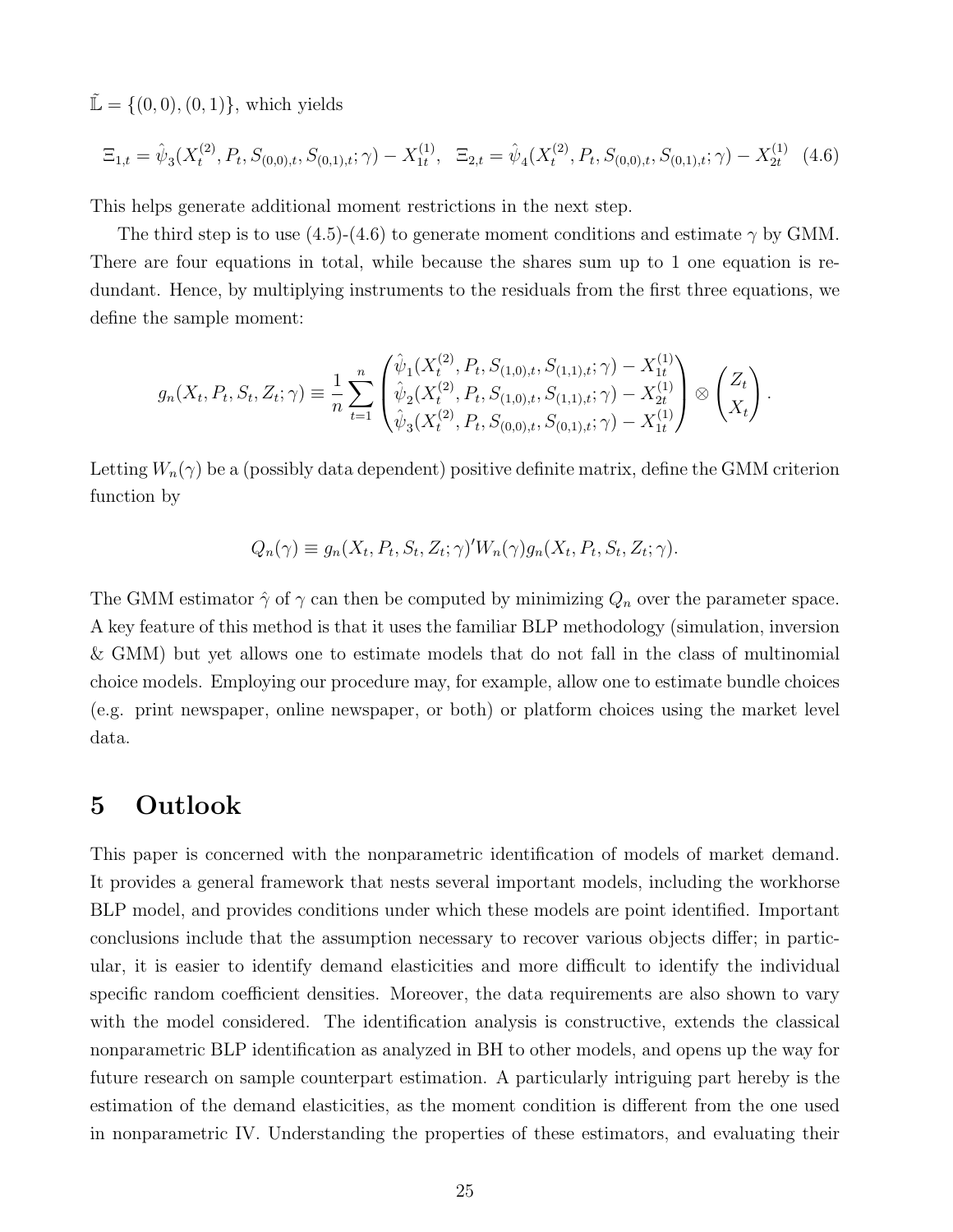$\tilde{L} = \{(0, 0), (0, 1)\},$  which yields

$$
\Xi_{1,t} = \hat{\psi}_3(X_t^{(2)}, P_t, S_{(0,0),t}, S_{(0,1),t}; \gamma) - X_{1t}^{(1)}, \quad \Xi_{2,t} = \hat{\psi}_4(X_t^{(2)}, P_t, S_{(0,0),t}, S_{(0,1),t}; \gamma) - X_{2t}^{(1)} \tag{4.6}
$$

This helps generate additional moment restrictions in the next step.

The third step is to use  $(4.5)-(4.6)$  to generate moment conditions and estimate  $\gamma$  by GMM. There are four equations in total, while because the shares sum up to 1 one equation is redundant. Hence, by multiplying instruments to the residuals from the first three equations, we define the sample moment:

$$
g_n(X_t, P_t, S_t, Z_t; \gamma) \equiv \frac{1}{n} \sum_{t=1}^n \begin{pmatrix} \hat{\psi}_1(X_t^{(2)}, P_t, S_{(1,0),t}, S_{(1,1),t}; \gamma) - X_{1t}^{(1)} \\ \hat{\psi}_2(X_t^{(2)}, P_t, S_{(1,0),t}, S_{(1,1),t}; \gamma) - X_{2t}^{(1)} \\ \hat{\psi}_3(X_t^{(2)}, P_t, S_{(0,0),t}, S_{(0,1),t}; \gamma) - X_{1t}^{(1)} \end{pmatrix} \otimes \begin{pmatrix} Z_t \\ X_t \end{pmatrix}.
$$

Letting  $W_n(\gamma)$  be a (possibly data dependent) positive definite matrix, define the GMM criterion function by

$$
Q_n(\gamma) \equiv g_n(X_t, P_t, S_t, Z_t; \gamma)' W_n(\gamma) g_n(X_t, P_t, S_t, Z_t; \gamma).
$$

The GMM estimator  $\hat{\gamma}$  of  $\gamma$  can then be computed by minimizing  $Q_n$  over the parameter space. A key feature of this method is that it uses the familiar BLP methodology (simulation, inversion & GMM) but yet allows one to estimate models that do not fall in the class of multinomial choice models. Employing our procedure may, for example, allow one to estimate bundle choices (e.g. print newspaper, online newspaper, or both) or platform choices using the market level data.

## 5 Outlook

This paper is concerned with the nonparametric identification of models of market demand. It provides a general framework that nests several important models, including the workhorse BLP model, and provides conditions under which these models are point identified. Important conclusions include that the assumption necessary to recover various objects differ; in particular, it is easier to identify demand elasticities and more difficult to identify the individual specific random coefficient densities. Moreover, the data requirements are also shown to vary with the model considered. The identification analysis is constructive, extends the classical nonparametric BLP identification as analyzed in BH to other models, and opens up the way for future research on sample counterpart estimation. A particularly intriguing part hereby is the estimation of the demand elasticities, as the moment condition is different from the one used in nonparametric IV. Understanding the properties of these estimators, and evaluating their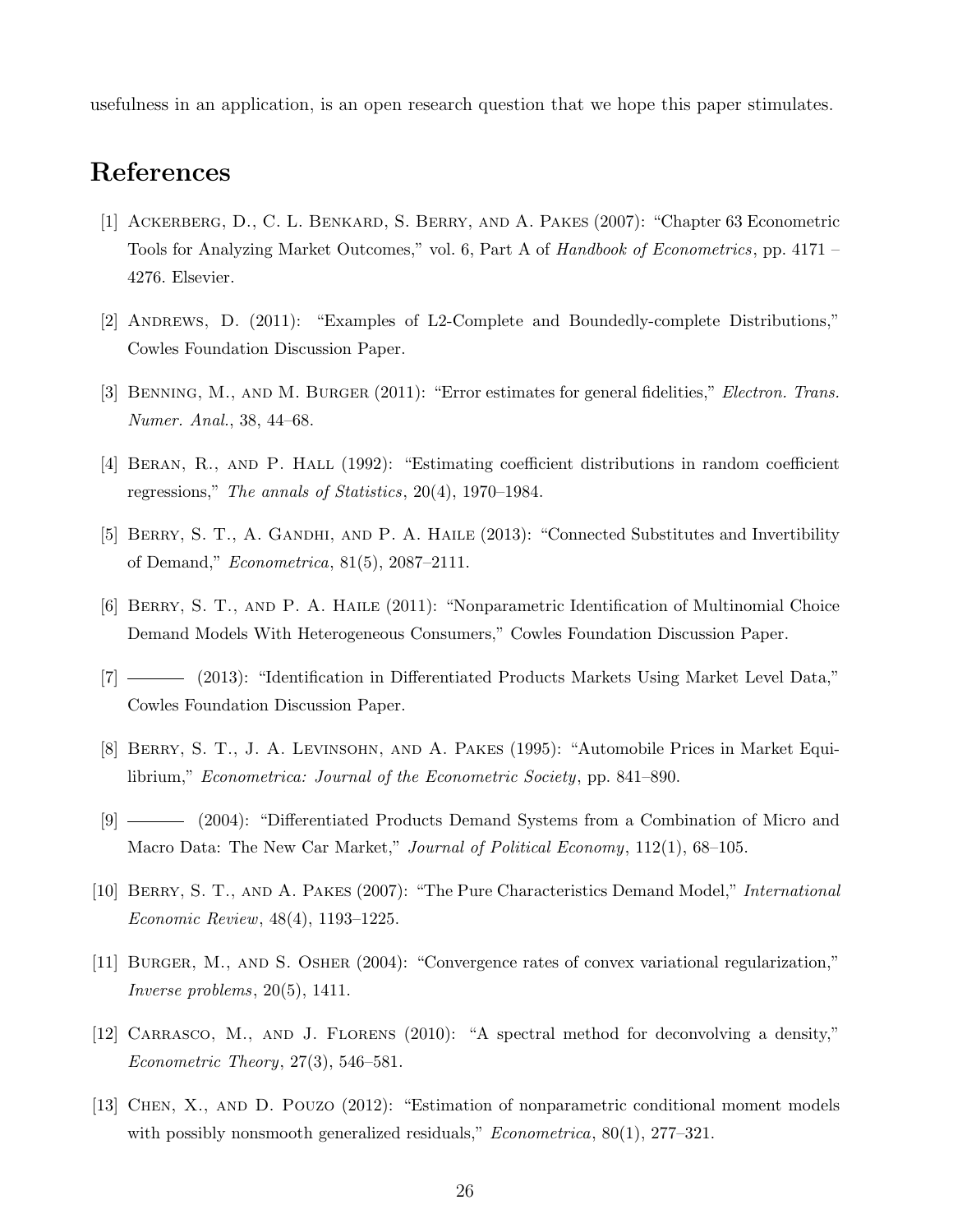usefulness in an application, is an open research question that we hope this paper stimulates.

# References

- [1] Ackerberg, D., C. L. Benkard, S. Berry, and A. Pakes (2007): "Chapter 63 Econometric Tools for Analyzing Market Outcomes," vol. 6, Part A of Handbook of Econometrics, pp. 4171 – 4276. Elsevier.
- [2] Andrews, D. (2011): "Examples of L2-Complete and Boundedly-complete Distributions," Cowles Foundation Discussion Paper.
- [3] BENNING, M., AND M. BURGER (2011): "Error estimates for general fidelities," Electron. Trans. Numer. Anal., 38, 44–68.
- [4] Beran, R., and P. Hall (1992): "Estimating coefficient distributions in random coefficient regressions," The annals of Statistics, 20(4), 1970–1984.
- [5] BERRY, S. T., A. GANDHI, AND P. A. HAILE (2013): "Connected Substitutes and Invertibility of Demand," Econometrica, 81(5), 2087–2111.
- [6] Berry, S. T., and P. A. Haile (2011): "Nonparametric Identification of Multinomial Choice Demand Models With Heterogeneous Consumers," Cowles Foundation Discussion Paper.
- [7] (2013): "Identification in Differentiated Products Markets Using Market Level Data," Cowles Foundation Discussion Paper.
- [8] Berry, S. T., J. A. Levinsohn, and A. Pakes (1995): "Automobile Prices in Market Equilibrium," Econometrica: Journal of the Econometric Society, pp. 841–890.
- [9] (2004): "Differentiated Products Demand Systems from a Combination of Micro and Macro Data: The New Car Market," Journal of Political Economy, 112(1), 68-105.
- [10] BERRY, S. T., AND A. PAKES (2007): "The Pure Characteristics Demand Model," International Economic Review, 48(4), 1193–1225.
- [11] Burger, M., and S. Osher (2004): "Convergence rates of convex variational regularization," Inverse problems, 20(5), 1411.
- [12] CARRASCO, M., AND J. FLORENS (2010): "A spectral method for deconvolving a density," Econometric Theory, 27(3), 546–581.
- [13] Chen, X., and D. Pouzo (2012): "Estimation of nonparametric conditional moment models with possibly nonsmooth generalized residuals,"  $Econometrica$ ,  $80(1)$ ,  $277-321$ .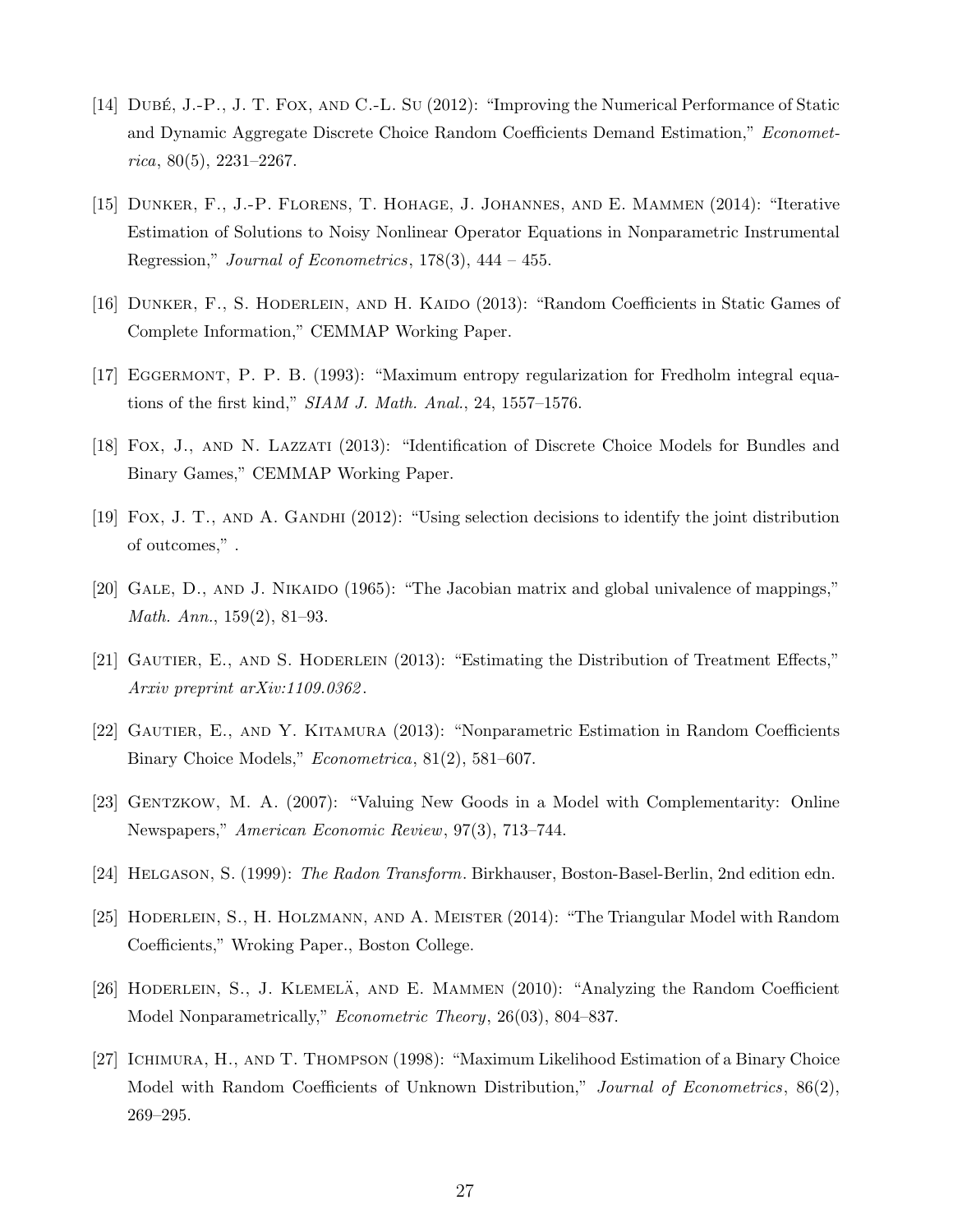- [14] DUBÉ, J.-P., J. T. FOX, AND C.-L. SU (2012): "Improving the Numerical Performance of Static and Dynamic Aggregate Discrete Choice Random Coefficients Demand Estimation," Economet $rica, 80(5), 2231-2267.$
- [15] Dunker, F., J.-P. Florens, T. Hohage, J. Johannes, and E. Mammen (2014): "Iterative Estimation of Solutions to Noisy Nonlinear Operator Equations in Nonparametric Instrumental Regression," Journal of Econometrics,  $178(3)$ ,  $444 - 455$ .
- [16] DUNKER, F., S. HODERLEIN, AND H. KAIDO (2013): "Random Coefficients in Static Games of Complete Information," CEMMAP Working Paper.
- [17] Eggermont, P. P. B. (1993): "Maximum entropy regularization for Fredholm integral equations of the first kind," SIAM J. Math. Anal., 24, 1557–1576.
- [18] Fox, J., and N. Lazzati (2013): "Identification of Discrete Choice Models for Bundles and Binary Games," CEMMAP Working Paper.
- [19] Fox, J. T., and A. Gandhi (2012): "Using selection decisions to identify the joint distribution of outcomes," .
- [20] GALE, D., AND J. NIKAIDO (1965): "The Jacobian matrix and global univalence of mappings," Math. Ann., 159(2), 81–93.
- [21] GAUTIER, E., AND S. HODERLEIN (2013): "Estimating the Distribution of Treatment Effects," Arxiv preprint arXiv:1109.0362 .
- [22] Gautier, E., and Y. Kitamura (2013): "Nonparametric Estimation in Random Coefficients Binary Choice Models," Econometrica, 81(2), 581–607.
- [23] GENTZKOW, M. A. (2007): "Valuing New Goods in a Model with Complementarity: Online Newspapers," American Economic Review, 97(3), 713–744.
- [24] Helgason, S. (1999): The Radon Transform. Birkhauser, Boston-Basel-Berlin, 2nd edition edn.
- [25] Hoderlein, S., H. Holzmann, and A. Meister (2014): "The Triangular Model with Random Coefficients," Wroking Paper., Boston College.
- [26] HODERLEIN, S., J. KLEMELA, AND E. MAMMEN  $(2010)$ : "Analyzing the Random Coefficient Model Nonparametrically," *Econometric Theory*, 26(03), 804–837.
- [27] ICHIMURA, H., AND T. THOMPSON (1998): "Maximum Likelihood Estimation of a Binary Choice Model with Random Coefficients of Unknown Distribution," Journal of Econometrics, 86(2), 269–295.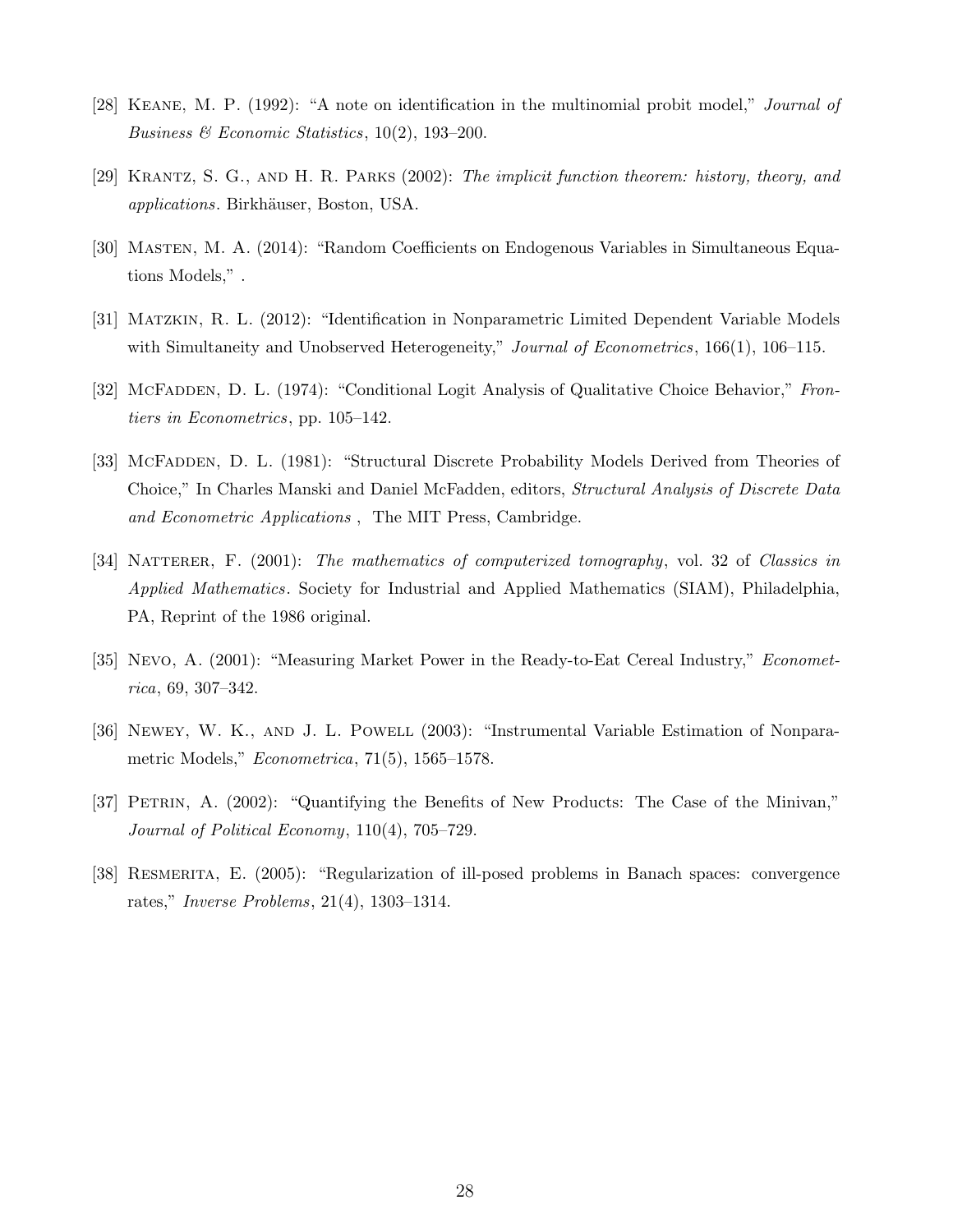- [28] Keane, M. P. (1992): "A note on identification in the multinomial probit model," Journal of Business & Economic Statistics,  $10(2)$ , 193-200.
- [29] Krantz, S. G., and H. R. Parks (2002): The implicit function theorem: history, theory, and applications. Birkh¨auser, Boston, USA.
- [30] Masten, M. A. (2014): "Random Coefficients on Endogenous Variables in Simultaneous Equations Models," .
- [31] Matzkin, R. L. (2012): "Identification in Nonparametric Limited Dependent Variable Models with Simultaneity and Unobserved Heterogeneity," Journal of Econometrics, 166(1), 106–115.
- [32] McFappen, D. L. (1974): "Conditional Logit Analysis of Qualitative Choice Behavior," Frontiers in Econometrics, pp. 105–142.
- [33] McFadden, D. L. (1981): "Structural Discrete Probability Models Derived from Theories of Choice," In Charles Manski and Daniel McFadden, editors, Structural Analysis of Discrete Data and Econometric Applications , The MIT Press, Cambridge.
- [34] NATTERER, F. (2001): The mathematics of computerized tomography, vol. 32 of Classics in Applied Mathematics. Society for Industrial and Applied Mathematics (SIAM), Philadelphia, PA, Reprint of the 1986 original.
- [35] Nevo, A. (2001): "Measuring Market Power in the Ready-to-Eat Cereal Industry," Econometrica, 69, 307–342.
- [36] Newey, W. K., and J. L. Powell (2003): "Instrumental Variable Estimation of Nonparametric Models," Econometrica, 71(5), 1565–1578.
- [37] PETRIN, A. (2002): "Quantifying the Benefits of New Products: The Case of the Minivan," Journal of Political Economy, 110(4), 705–729.
- [38] Resmerita, E. (2005): "Regularization of ill-posed problems in Banach spaces: convergence rates," Inverse Problems, 21(4), 1303–1314.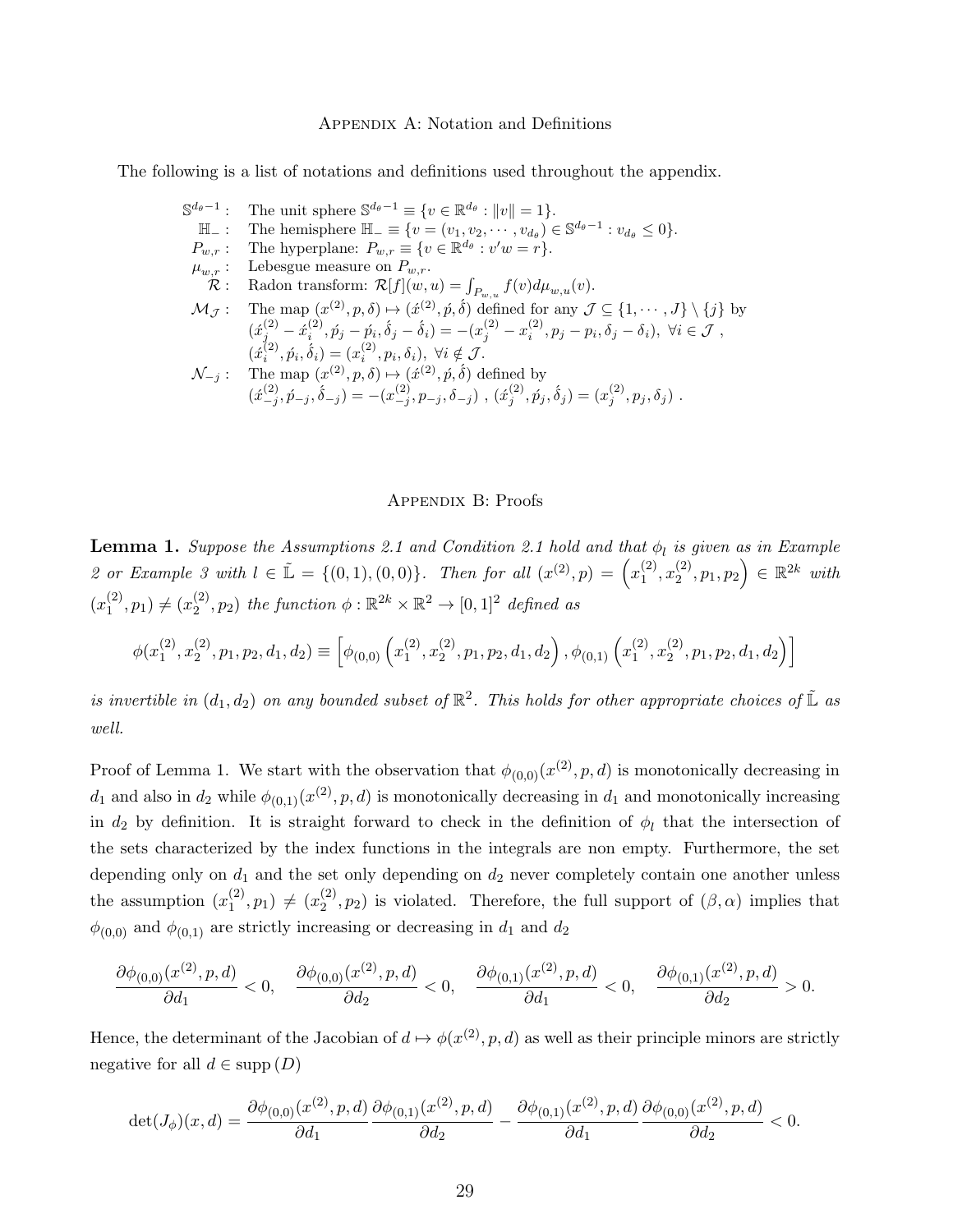#### APPENDIX A: Notation and Definitions

The following is a list of notations and definitions used throughout the appendix.

 $\mathbb{S}^{d_{\theta}-1}$ : The unit sphere  $\mathbb{S}^{d_{\theta}-1} \equiv \{v \in \mathbb{R}^{d_{\theta}} : ||v|| = 1\}.$  $\mathbb{H}_-$ : The hemisphere  $\mathbb{H}_- \equiv \{v = (v_1, v_2, \cdots, v_{d_\theta}) \in \mathbb{S}^{d_\theta - 1} : v_{d_\theta} \leq 0\}.$  $P_{w,r}$ : The hyperplane:  $P_{w,r} \equiv \{v \in \mathbb{R}^{d_{\theta}} : v'w = r\}.$  $\mu_{w,r}$ : Lebesgue measure on  $P_{w,r}$ .  $\mathcal{R}$ : Radon transform:  $\mathcal{R}[f](w, u) = \int_{P_{w, u}} f(v) d\mu_{w, u}(v)$ .  $\mathcal{M}_{\mathcal{J}}:$  The map  $(x^{(2)}, p, \delta) \mapsto (\acute{x}^{(2)}, \acute{p}, \acute{\delta})$  defined for any  $\mathcal{J} \subseteq \{1, \cdots, J\} \setminus \{j\}$  by  $(\acute{x}^{(2)}_j - \acute{x}^{(2)}_i, \acute{p}_j - \acute{p}_i, \acute{\delta}_j - \acute{\delta}_i) = -(x^{(2)}_j - x^{(2)}_i, p_j - p_i, \delta_j - \delta_i), \ \forall i \in \mathcal{J} \ ,$  $(x_i^{(2)}, p_i, \delta_i) = (x_i^{(2)}, p_i, \delta_i), \forall i \notin \mathcal{J}.$  $\mathcal{N}_{-j}$ : The map  $(x^{(2)}, p, \delta) \mapsto (\acute{x}^{(2)}, \acute{p}, \acute{\delta})$  defined by  $(\acute{x}^{(2)}_{-j},\acute{p}_{-j},\acute{\delta}_{-j})=-(x^{(2)}_{-j},p_{-j},\delta_{-j}) \,\,,\, (\acute{x}^{(2)}_{j},\acute{p}_{j},\acute{\delta}_{j})=(x^{(2)}_{j},p_{j},\delta_{j})\,\,.$ 

#### Appendix B: Proofs

**Lemma 1.** Suppose the Assumptions 2.1 and Condition 2.1 hold and that  $\phi_l$  is given as in Example 2 or Example 3 with  $l \in \mathbb{L} = \{(0,1), (0,0)\}.$  Then for all  $(x^{(2)}, p) = (x_1^{(2)})$  $\binom{2}{1}, x_2^{(2)}$  $\binom{2}{2}, p_1, p_2 \in \mathbb{R}^{2k}$  with  $(x_1^{(2)}$  $\binom{2}{1}, p_1 \neq \binom{2}{2}$  $\mathbb{R}^{(2)}_2$ ,  $p_2$ ) the function  $\phi : \mathbb{R}^{2k} \times \mathbb{R}^2 \to [0,1]^2$  defined as

$$
\phi(x_1^{(2)}, x_2^{(2)}, p_1, p_2, d_1, d_2) \equiv \left[ \phi_{(0,0)}\left(x_1^{(2)}, x_2^{(2)}, p_1, p_2, d_1, d_2\right), \phi_{(0,1)}\left(x_1^{(2)}, x_2^{(2)}, p_1, p_2, d_1, d_2\right) \right]
$$

is invertible in  $(d_1, d_2)$  on any bounded subset of  $\mathbb{R}^2$ . This holds for other appropriate choices of  $\tilde{\mathbb{L}}$  as well.

Proof of Lemma 1. We start with the observation that  $\phi_{(0,0)}(x^{(2)}, p, d)$  is monotonically decreasing in  $d_1$  and also in  $d_2$  while  $\phi_{(0,1)}(x^{(2)}, p, d)$  is monotonically decreasing in  $d_1$  and monotonically increasing in  $d_2$  by definition. It is straight forward to check in the definition of  $\phi_l$  that the intersection of the sets characterized by the index functions in the integrals are non empty. Furthermore, the set depending only on  $d_1$  and the set only depending on  $d_2$  never completely contain one another unless the assumption  $(x_1^{(2)})$  $\binom{2}{1}, p_1 \neq \binom{2}{2}$  $\binom{2}{2}$ ,  $p_2$ ) is violated. Therefore, the full support of  $(\beta, \alpha)$  implies that  $\phi_{(0,0)}$  and  $\phi_{(0,1)}$  are strictly increasing or decreasing in  $d_1$  and  $d_2$ 

$$
\frac{\partial \phi_{(0,0)}(x^{(2)}, p, d)}{\partial d_1} < 0, \quad \frac{\partial \phi_{(0,0)}(x^{(2)}, p, d)}{\partial d_2} < 0, \quad \frac{\partial \phi_{(0,1)}(x^{(2)}, p, d)}{\partial d_1} < 0, \quad \frac{\partial \phi_{(0,1)}(x^{(2)}, p, d)}{\partial d_2} > 0.
$$

Hence, the determinant of the Jacobian of  $d \mapsto \phi(x^{(2)}, p, d)$  as well as their principle minors are strictly negative for all  $d \in \text{supp}(D)$ 

$$
\det(J_{\phi})(x,d) = \frac{\partial \phi_{(0,0)}(x^{(2)},p,d)}{\partial d_1} \frac{\partial \phi_{(0,1)}(x^{(2)},p,d)}{\partial d_2} - \frac{\partial \phi_{(0,1)}(x^{(2)},p,d)}{\partial d_1} \frac{\partial \phi_{(0,0)}(x^{(2)},p,d)}{\partial d_2} < 0.
$$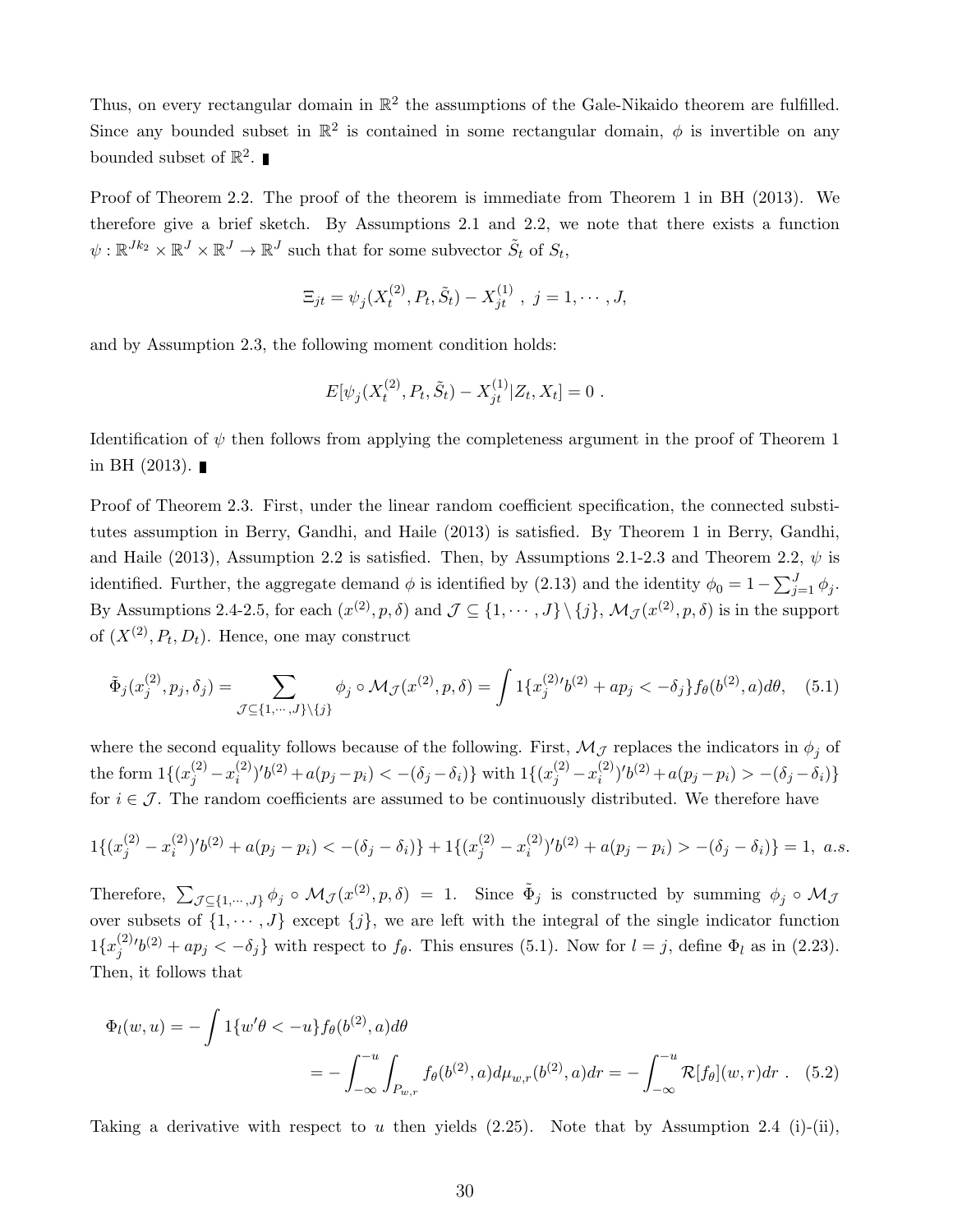Thus, on every rectangular domain in  $\mathbb{R}^2$  the assumptions of the Gale-Nikaido theorem are fulfilled. Since any bounded subset in  $\mathbb{R}^2$  is contained in some rectangular domain,  $\phi$  is invertible on any bounded subset of  $\mathbb{R}^2$ .

Proof of Theorem 2.2. The proof of the theorem is immediate from Theorem 1 in BH (2013). We therefore give a brief sketch. By Assumptions 2.1 and 2.2, we note that there exists a function  $\psi: \mathbb{R}^{Jk_2} \times \mathbb{R}^J \times \mathbb{R}^J \to \mathbb{R}^J$  such that for some subvector  $\tilde{S}_t$  of  $S_t$ ,

$$
\Xi_{jt} = \psi_j(X_t^{(2)}, P_t, \tilde{S}_t) - X_{jt}^{(1)}, \ j = 1, \cdots, J,
$$

and by Assumption 2.3, the following moment condition holds:

$$
E[\psi_j(X_t^{(2)}, P_t, \tilde{S}_t) - X_{jt}^{(1)}|Z_t, X_t] = 0.
$$

Identification of  $\psi$  then follows from applying the completeness argument in the proof of Theorem 1 in BH  $(2013)$ .

Proof of Theorem 2.3. First, under the linear random coefficient specification, the connected substitutes assumption in Berry, Gandhi, and Haile (2013) is satisfied. By Theorem 1 in Berry, Gandhi, and Haile (2013), Assumption 2.2 is satisfied. Then, by Assumptions 2.1-2.3 and Theorem 2.2,  $\psi$  is identified. Further, the aggregate demand  $\phi$  is identified by (2.13) and the identity  $\phi_0 = 1 - \sum_{j=1}^{J} \phi_j$ . By Assumptions 2.4-2.5, for each  $(x^{(2)}, p, \delta)$  and  $\mathcal{J} \subseteq \{1, \cdots, J\} \setminus \{j\}, \mathcal{M}_{\mathcal{J}}(x^{(2)}, p, \delta)$  is in the support of  $(X^{(2)}, P_t, D_t)$ . Hence, one may construct

$$
\tilde{\Phi}_j(x_j^{(2)}, p_j, \delta_j) = \sum_{\mathcal{J} \subseteq \{1, \cdots, J\} \setminus \{j\}} \phi_j \circ \mathcal{M}_{\mathcal{J}}(x^{(2)}, p, \delta) = \int 1\{x_j^{(2)}b^{(2)} + ap_j < -\delta_j\} f_\theta(b^{(2)}, a) d\theta,\tag{5.1}
$$

where the second equality follows because of the following. First,  $\mathcal{M}_{\mathcal{J}}$  replaces the indicators in  $\phi_j$  of the form  $1\{(x_j^{(2)} - x_i^{(2)}\)$  $\delta^{(2)}_{i})'b^{(2)} + a(p_j - p_i) < -(\delta_j - \delta_i) \}$  with  $1\{(x_j^{(2)} - x_i^{(2)})\}$  $(i^{(2)})'b^{(2)} + a(p_j - p_i) > -(\delta_j - \delta_i)$ for  $i \in \mathcal{J}$ . The random coefficients are assumed to be continuously distributed. We therefore have

$$
1\{(x_j^{(2)} - x_i^{(2)})'b^{(2)} + a(p_j - p_i) < -(\delta_j - \delta_i)\} + 1\{(x_j^{(2)} - x_i^{(2)})'b^{(2)} + a(p_j - p_i) > -(\delta_j - \delta_i)\} = 1, \ a.s.
$$

Therefore,  $\sum_{\mathcal{J}\subseteq\{1,\cdots,J\}}\phi_j\circ\mathcal{M}_{\mathcal{J}}(x^{(2)},p,\delta) = 1$ . Since  $\tilde{\Phi}_j$  is constructed by summing  $\phi_j\circ\mathcal{M}_{\mathcal{J}}(x^{(2)},p,\delta)$ over subsets of  $\{1, \dots, J\}$  except  $\{j\}$ , we are left with the integral of the single indicator function  $1\{x_i^{(2)}\}$  $j^{(2)}j^{(2)} + ap_j < -\delta_j$  with respect to  $f_\theta$ . This ensures (5.1). Now for  $l = j$ , define  $\Phi_l$  as in (2.23). Then, it follows that

$$
\Phi_l(w, u) = -\int 1\{w'\theta < -u\} f_\theta(b^{(2)}, a) d\theta
$$
\n
$$
= -\int_{-\infty}^{-u} \int_{P_{w,r}} f_\theta(b^{(2)}, a) d\mu_{w,r}(b^{(2)}, a) dr = -\int_{-\infty}^{-u} \mathcal{R}[f_\theta](w, r) dr \quad (5.2)
$$

Taking a derivative with respect to u then yields  $(2.25)$ . Note that by Assumption 2.4 (i)-(ii),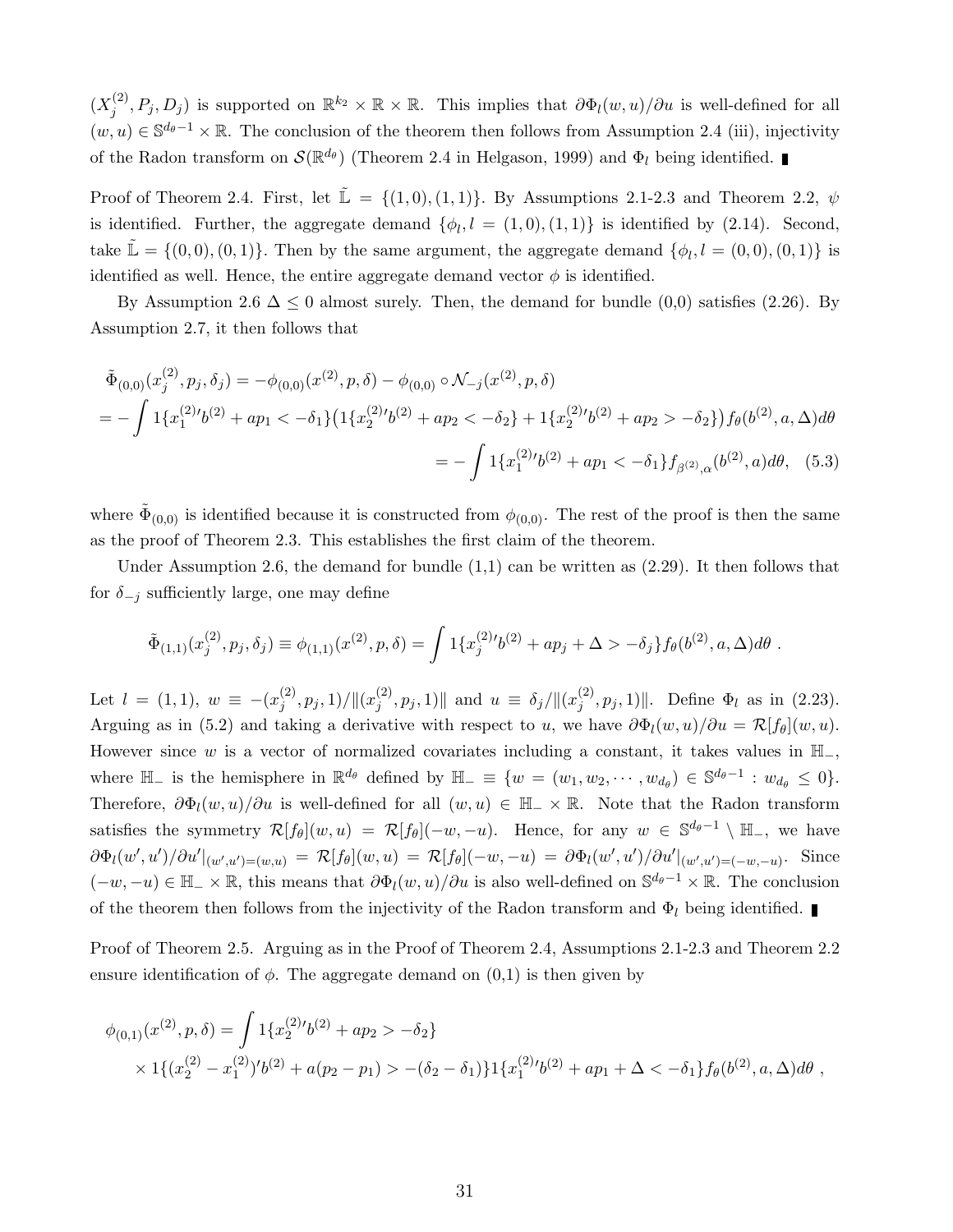$(X_i^{(2)}$  $\mathbb{R}^{(2)}$ ,  $P_j, D_j$ ) is supported on  $\mathbb{R}^{k_2} \times \mathbb{R} \times \mathbb{R}$ . This implies that  $\partial \Phi_l(w, u)/\partial u$  is well-defined for all  $(w, u) \in \mathbb{S}^{d_{\theta}-1} \times \mathbb{R}$ . The conclusion of the theorem then follows from Assumption 2.4 (iii), injectivity of the Radon transform on  $\mathcal{S}(\mathbb{R}^{d_{\theta}})$  (Theorem 2.4 in Helgason, 1999) and  $\Phi_l$  being identified.

Proof of Theorem 2.4. First, let  $\mathbb{L} = \{(1,0), (1,1)\}$ . By Assumptions 2.1-2.3 and Theorem 2.2,  $\psi$ is identified. Further, the aggregate demand  $\{\phi_l, l = (1,0), (1,1)\}\$  is identified by  $(2.14)$ . Second, take  $\mathbb{L} = \{(0,0), (0,1)\}.$  Then by the same argument, the aggregate demand  $\{\phi_l, l = (0,0), (0,1)\}$  is identified as well. Hence, the entire aggregate demand vector  $\phi$  is identified.

By Assumption 2.6  $\Delta \leq 0$  almost surely. Then, the demand for bundle (0,0) satisfies (2.26). By Assumption 2.7, it then follows that

$$
\tilde{\Phi}_{(0,0)}(x_j^{(2)}, p_j, \delta_j) = -\phi_{(0,0)}(x^{(2)}, p, \delta) - \phi_{(0,0)} \circ \mathcal{N}_{-j}(x^{(2)}, p, \delta)
$$
\n
$$
= -\int 1\{x_1^{(2)}\prime b^{(2)} + ap_1 < -\delta_1\} \left(1\{x_2^{(2)}\prime b^{(2)} + ap_2 < -\delta_2\} + 1\{x_2^{(2)}\prime b^{(2)} + ap_2 > -\delta_2\}\right) f_\theta(b^{(2)}, a, \Delta) d\theta
$$
\n
$$
= -\int 1\{x_1^{(2)}\prime b^{(2)} + ap_1 < -\delta_1\} f_{\beta^{(2)},\alpha}(b^{(2)}, a) d\theta, \quad (5.3)
$$

where  $\tilde{\Phi}_{(0,0)}$  is identified because it is constructed from  $\phi_{(0,0)}$ . The rest of the proof is then the same as the proof of Theorem 2.3. This establishes the first claim of the theorem.

Under Assumption 2.6, the demand for bundle  $(1,1)$  can be written as  $(2.29)$ . It then follows that for  $\delta_{-j}$  sufficiently large, one may define

$$
\tilde{\Phi}_{(1,1)}(x_j^{(2)}, p_j, \delta_j) \equiv \phi_{(1,1)}(x^{(2)}, p, \delta) = \int 1\{x_j^{(2)}(b^{(2)} + ap_j + \Delta > -\delta_j\} f_\theta(b^{(2)}, a, \Delta) d\theta.
$$

Let  $l = (1, 1), w \equiv -(x_i^{(2)})$  $\binom{(2)}{j}, p_j, 1)/\|(x_j^{(2)}$  $\|\hat{y}_{j}^{(2)}, p_{j}, 1)\|$  and  $u \equiv \delta_{j}/\|(x_{j}^{(2)})$  $\|\hat{p}_j^{(2)}, p_j, 1\|\$ . Define  $\Phi_l$  as in (2.23). Arguing as in (5.2) and taking a derivative with respect to u, we have  $\partial \Phi_l(w, u)/\partial u = \mathcal{R}[f_\theta](w, u)$ . However since w is a vector of normalized covariates including a constant, it takes values in  $H_-,$ where  $\mathbb{H}_{-}$  is the hemisphere in  $\mathbb{R}^{d_{\theta}}$  defined by  $\mathbb{H}_{-} \equiv \{w = (w_1, w_2, \cdots, w_{d_{\theta}}) \in \mathbb{S}^{d_{\theta}-1} : w_{d_{\theta}} \leq 0\}.$ Therefore,  $\partial \Phi_l(w, u)/\partial u$  is well-defined for all  $(w, u) \in \mathbb{H}_+ \times \mathbb{R}$ . Note that the Radon transform satisfies the symmetry  $\mathcal{R}[f_{\theta}](w, u) = \mathcal{R}[f_{\theta}](-w, -u)$ . Hence, for any  $w \in \mathbb{S}^{d_{\theta}-1} \setminus \mathbb{H}_{-}$ , we have  $\partial \Phi_l(w',u') / \partial u' \vert_{(w',u')=(w,u)} = \mathcal{R}[f_\theta](w,u) = \mathcal{R}[f_\theta](-w,-u) = \partial \Phi_l(w',u') / \partial u' \vert_{(w',u')=(-w,-u)}$ . Since  $(-w, -u) \in \mathbb{H}_-\times \mathbb{R}$ , this means that  $\partial \Phi_l(w, u)/\partial u$  is also well-defined on  $\mathbb{S}^{d_{\theta}-1}\times \mathbb{R}$ . The conclusion of the theorem then follows from the injectivity of the Radon transform and  $\Phi_l$  being identified.

Proof of Theorem 2.5. Arguing as in the Proof of Theorem 2.4, Assumptions 2.1-2.3 and Theorem 2.2 ensure identification of  $\phi$ . The aggregate demand on  $(0,1)$  is then given by

$$
\phi_{(0,1)}(x^{(2)},p,\delta) = \int 1\{x_2^{(2)}(b^{(2)} + ap_2 > -\delta_2\} \times 1\{(x_2^{(2)} - x_1^{(2)})'(b^{(2)} + a(p_2 - p_1) > -(\delta_2 - \delta_1)\}1\{x_1^{(2)}(b^{(2)} + ap_1 + \Delta < -\delta_1\}f_\theta(b^{(2)},a,\Delta)d\theta,
$$